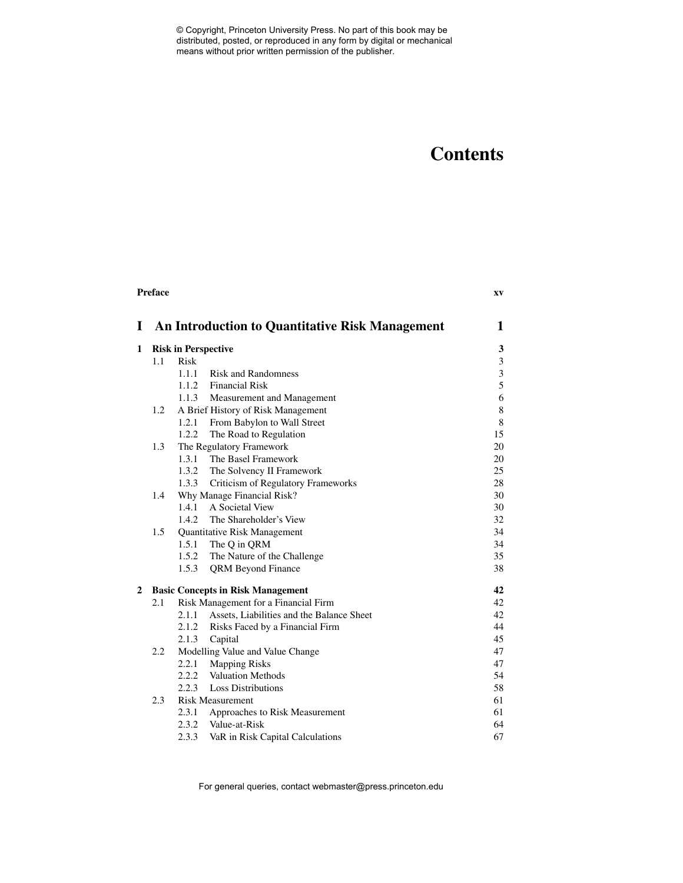# **Contents**

|              | <b>Preface</b> |             |                                                        | XV             |
|--------------|----------------|-------------|--------------------------------------------------------|----------------|
| L            |                |             | <b>An Introduction to Quantitative Risk Management</b> | 1              |
| 1            |                |             | <b>Risk in Perspective</b>                             | $\mathbf{3}$   |
|              | 1.1            | <b>Risk</b> |                                                        | $\mathfrak{Z}$ |
|              |                | 1.1.1       | <b>Risk and Randomness</b>                             | $\overline{3}$ |
|              |                |             | 1.1.2 Financial Risk                                   | 5              |
|              |                |             | 1.1.3 Measurement and Management                       | 6              |
|              | 1.2            |             | A Brief History of Risk Management                     | $\,$ 8 $\,$    |
|              |                | 1.2.1       | From Babylon to Wall Street                            | $\,8\,$        |
|              |                | 1.2.2       | The Road to Regulation                                 | 15             |
|              | 1.3            |             | The Regulatory Framework                               | $20\,$         |
|              |                | 1.3.1       | The Basel Framework                                    | 20             |
|              |                |             | 1.3.2 The Solvency II Framework                        | 25             |
|              |                | 1.3.3       | Criticism of Regulatory Frameworks                     | 28             |
|              | 1.4            |             | Why Manage Financial Risk?                             | 30             |
|              |                | 1.4.1       | A Societal View                                        | 30             |
|              |                | 1.4.2       | The Shareholder's View                                 | 32             |
|              | 1.5            |             | Quantitative Risk Management                           | 34             |
|              |                | 1.5.1       | The Q in QRM                                           | 34             |
|              |                |             | 1.5.2 The Nature of the Challenge                      | 35             |
|              |                | 1.5.3       | <b>QRM Beyond Finance</b>                              | 38             |
| $\mathbf{2}$ |                |             | <b>Basic Concepts in Risk Management</b>               | 42             |
|              | 2.1            |             | Risk Management for a Financial Firm                   | 42             |
|              |                | 2.1.1       | Assets, Liabilities and the Balance Sheet              | 42             |
|              |                |             | 2.1.2 Risks Faced by a Financial Firm                  | 44             |
|              |                | 2.1.3       | Capital                                                | 45             |
|              | 2.2            |             | Modelling Value and Value Change                       | 47             |
|              |                |             | 2.2.1 Mapping Risks                                    | 47             |
|              |                |             | 2.2.2 Valuation Methods                                | 54             |
|              |                | 2.2.3       | <b>Loss Distributions</b>                              | 58             |
|              | 2.3            |             | <b>Risk Measurement</b>                                | 61             |
|              |                | 2.3.1       | Approaches to Risk Measurement                         | 61             |
|              |                |             | 2.3.2 Value-at-Risk                                    | 64             |
|              |                | 2.3.3       | VaR in Risk Capital Calculations                       | 67             |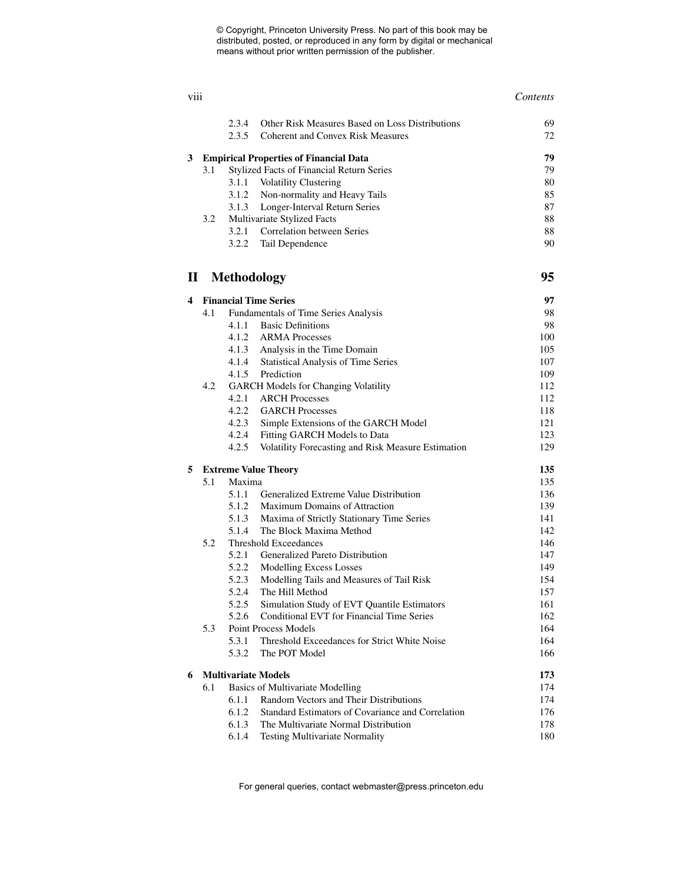### viii *Contents* 2.3.4 Other Risk Measures Based on Loss Distributions 69 2.3.5 Coherent and Convex Risk Measures 72 **3 Empirical Properties of Financial Data 79** 3.1 Stylized Facts of Financial Return Series 79 3.1.1 Volatility Clustering 80 3.1.2 Non-normality and Heavy Tails 85 3.1.3 Longer-Interval Return Series 87 3.2 Multivariate Stylized Facts 88 3.2.1 Correlation between Series 88 3.2.2 Tail Dependence 90 **II Methodology 95 4 Financial Time Series 97** 4.1 Fundamentals of Time Series Analysis 98 4.1.1 Basic Definitions 98 4.1.2 ARMA Processes 100 4.1.3 Analysis in the Time Domain 105 4.1.4 Statistical Analysis of Time Series 107 4.1.5 Prediction 109 4.2 GARCH Models for Changing Volatility 112 4.2.1 ARCH Processes 112 4.2.2 GARCH Processes 118 4.2.3 Simple Extensions of the GARCH Model 121 4.2.4 Fitting GARCH Models to Data 123 4.2.5 Volatility Forecasting and Risk Measure Estimation 129 **5 Extreme Value Theory 135** 5.1 Maxima 135 5.1.1 Generalized Extreme Value Distribution 136 5.1.2 Maximum Domains of Attraction 139 5.1.3 Maxima of Strictly Stationary Time Series 141 5.1.4 The Block Maxima Method 142 5.2 Threshold Exceedances 146 5.2.1 Generalized Pareto Distribution 147 5.2.2 Modelling Excess Losses 149 5.2.3 Modelling Tails and Measures of Tail Risk 154 5.2.4 The Hill Method 157 5.2.5 Simulation Study of EVT Quantile Estimators 161 5.2.6 Conditional EVT for Financial Time Series 162 5.3 Point Process Models 164 5.3.1 Threshold Exceedances for Strict White Noise 164 5.3.2 The POT Model 166 **6 Multivariate Models 173** 6.1 Basics of Multivariate Modelling 174 6.1.1 Random Vectors and Their Distributions 174 6.1.2 Standard Estimators of Covariance and Correlation 176 6.1.3 The Multivariate Normal Distribution 178 6.1.4 Testing Multivariate Normality 180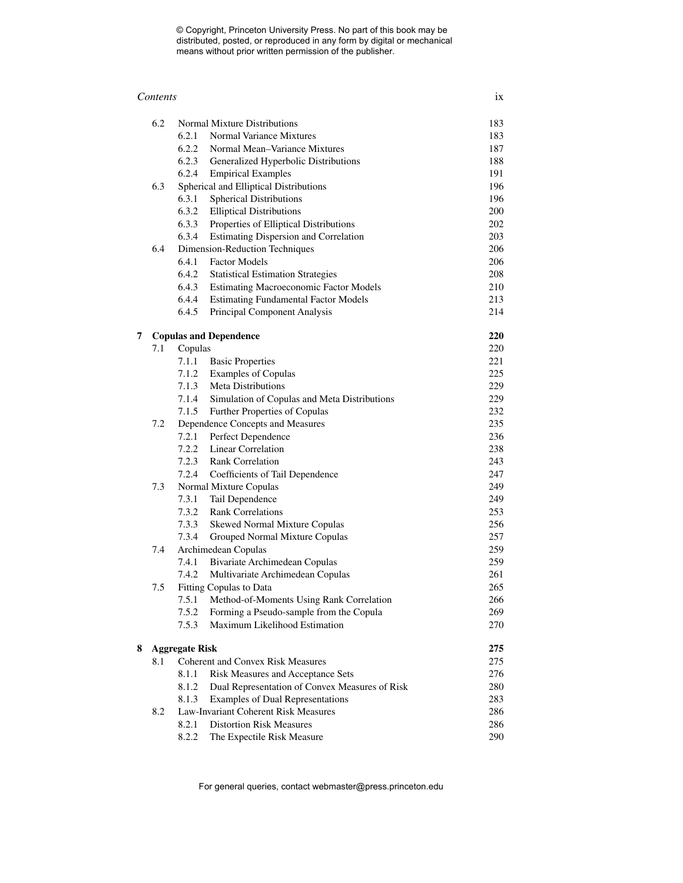#### *Contents* ix

|   | 6.2                   |         | Normal Mixture Distributions                   | 183        |
|---|-----------------------|---------|------------------------------------------------|------------|
|   |                       | 6.2.1   | Normal Variance Mixtures                       | 183        |
|   |                       | 6.2.2   | Normal Mean-Variance Mixtures                  | 187        |
|   |                       | 6.2.3   | Generalized Hyperbolic Distributions           | 188        |
|   |                       | 6.2.4   | <b>Empirical Examples</b>                      | 191        |
|   | 6.3                   |         | Spherical and Elliptical Distributions         | 196        |
|   |                       | 6.3.1   | <b>Spherical Distributions</b>                 | 196        |
|   |                       | 6.3.2   | <b>Elliptical Distributions</b>                | 200        |
|   |                       | 6.3.3   | Properties of Elliptical Distributions         | 202        |
|   |                       | 6.3.4   | <b>Estimating Dispersion and Correlation</b>   | 203        |
|   | 6.4                   |         | Dimension-Reduction Techniques                 | 206        |
|   |                       |         | 6.4.1 Factor Models                            | 206        |
|   |                       | 6.4.2   | <b>Statistical Estimation Strategies</b>       | 208        |
|   |                       |         | 6.4.3 Estimating Macroeconomic Factor Models   | 210        |
|   |                       | 6.4.4   | <b>Estimating Fundamental Factor Models</b>    | 213        |
|   |                       | 6.4.5   | Principal Component Analysis                   | 214        |
|   |                       |         |                                                |            |
| 7 |                       |         | <b>Copulas and Dependence</b>                  | 220<br>220 |
|   | 7.1                   | Copulas | 7.1.1 Basic Properties                         | 221        |
|   |                       |         | 7.1.2 Examples of Copulas                      | 225        |
|   |                       | 7.1.3   | <b>Meta Distributions</b>                      | 229        |
|   |                       | 7.1.4   |                                                | 229        |
|   |                       | 7.1.5   | Simulation of Copulas and Meta Distributions   |            |
|   |                       |         | Further Properties of Copulas                  | 232        |
|   | 7.2                   |         | Dependence Concepts and Measures               | 235        |
|   |                       | 7.2.1   | Perfect Dependence                             | 236        |
|   |                       |         | 7.2.2 Linear Correlation                       | 238        |
|   |                       |         | 7.2.3 Rank Correlation                         | 243        |
|   |                       | 7.2.4   | Coefficients of Tail Dependence                | 247        |
|   | 7.3                   |         | Normal Mixture Copulas                         | 249        |
|   |                       | 7.3.1   | Tail Dependence                                | 249        |
|   |                       | 7.3.2   | <b>Rank Correlations</b>                       | 253        |
|   |                       | 7.3.3   | Skewed Normal Mixture Copulas                  | 256        |
|   |                       | 7.3.4   | Grouped Normal Mixture Copulas                 | 257        |
|   | 7.4                   |         | Archimedean Copulas                            | 259        |
|   |                       |         | 7.4.1 Bivariate Archimedean Copulas            | 259        |
|   |                       | 7.4.2   | Multivariate Archimedean Copulas               | 261        |
|   | 7.5                   |         | Fitting Copulas to Data                        | 265        |
|   |                       | 7.5.1   | Method-of-Moments Using Rank Correlation       | 266        |
|   |                       | 7.5.2   | Forming a Pseudo-sample from the Copula        | 269        |
|   |                       | 7.5.3   | Maximum Likelihood Estimation                  | 270        |
| 8 | <b>Aggregate Risk</b> |         |                                                | 275        |
|   | 8.1                   |         | <b>Coherent and Convex Risk Measures</b>       | 275        |
|   |                       | 8.1.1   | Risk Measures and Acceptance Sets              | 276        |
|   |                       | 8.1.2   | Dual Representation of Convex Measures of Risk | 280        |
|   |                       | 8.1.3   | Examples of Dual Representations               | 283        |
|   | 8.2                   |         | Law-Invariant Coherent Risk Measures           | 286        |
|   |                       | 8.2.1   | <b>Distortion Risk Measures</b>                | 286        |
|   |                       | 8.2.2   | The Expectile Risk Measure                     | 290        |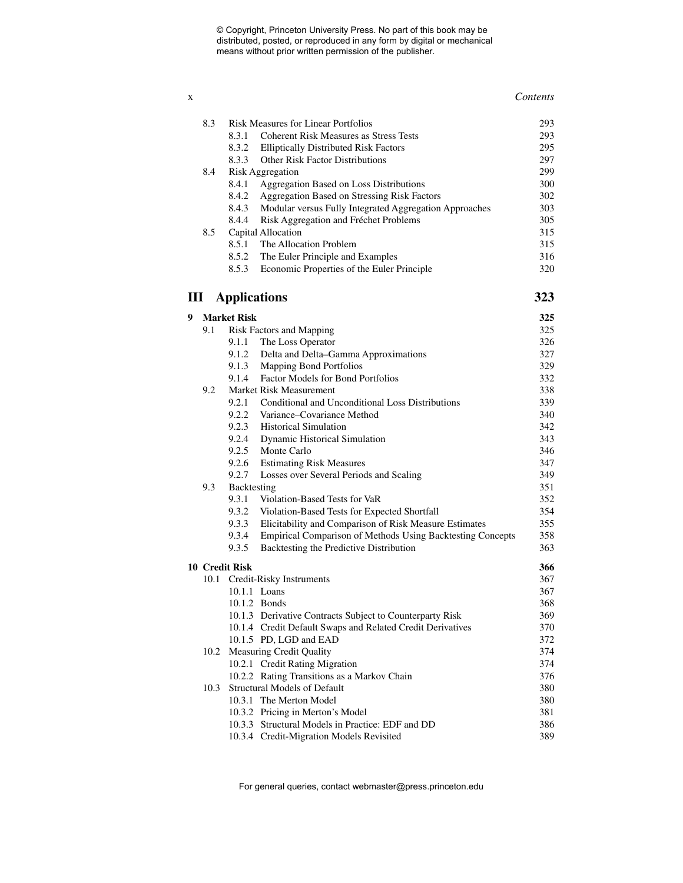#### x *Contents*

|   | 8.3  |                     | <b>Risk Measures for Linear Portfolios</b>                 | 293 |
|---|------|---------------------|------------------------------------------------------------|-----|
|   |      | 8.3.1               | <b>Coherent Risk Measures as Stress Tests</b>              | 293 |
|   |      | 8.3.2               | <b>Elliptically Distributed Risk Factors</b>               | 295 |
|   |      | 8.3.3               | Other Risk Factor Distributions                            | 297 |
|   | 8.4  |                     | <b>Risk Aggregation</b>                                    | 299 |
|   |      | 8.4.1               | Aggregation Based on Loss Distributions                    | 300 |
|   |      | 8.4.2               | Aggregation Based on Stressing Risk Factors                | 302 |
|   |      | 8.4.3               | Modular versus Fully Integrated Aggregation Approaches     | 303 |
|   |      | 8.4.4               | Risk Aggregation and Fréchet Problems                      | 305 |
|   | 8.5  |                     | Capital Allocation                                         | 315 |
|   |      | 8.5.1               | The Allocation Problem                                     | 315 |
|   |      | 8.5.2               | The Euler Principle and Examples                           | 316 |
|   |      | 8.5.3               | Economic Properties of the Euler Principle                 | 320 |
|   | Ш    | <b>Applications</b> |                                                            | 323 |
| 9 |      | <b>Market Risk</b>  |                                                            | 325 |
|   | 9.1  |                     | <b>Risk Factors and Mapping</b>                            | 325 |
|   |      | 9.1.1               | The Loss Operator                                          | 326 |
|   |      |                     | 9.1.2 Delta and Delta-Gamma Approximations                 | 327 |
|   |      |                     | 9.1.3 Mapping Bond Portfolios                              | 329 |
|   |      | 9.1.4               | <b>Factor Models for Bond Portfolios</b>                   | 332 |
|   | 9.2  |                     | Market Risk Measurement                                    | 338 |
|   |      | 9.2.1               | Conditional and Unconditional Loss Distributions           | 339 |
|   |      | 9.2.2               | Variance–Covariance Method                                 | 340 |
|   |      | 9.2.3               | <b>Historical Simulation</b>                               | 342 |
|   |      |                     | 9.2.4 Dynamic Historical Simulation                        | 343 |
|   |      | 9.2.5               | Monte Carlo                                                | 346 |
|   |      | 9.2.6               | <b>Estimating Risk Measures</b>                            | 347 |
|   |      | 9.2.7               | Losses over Several Periods and Scaling                    | 349 |
|   | 9.3  | Backtesting         |                                                            | 351 |
|   |      | 9.3.1               | Violation-Based Tests for VaR                              | 352 |
|   |      | 9.3.2               | Violation-Based Tests for Expected Shortfall               | 354 |
|   |      | 9.3.3               | Elicitability and Comparison of Risk Measure Estimates     | 355 |
|   |      | 9.3.4               | Empirical Comparison of Methods Using Backtesting Concepts | 358 |
|   |      | 9.3.5               | Backtesting the Predictive Distribution                    | 363 |
|   |      | 10 Credit Risk      |                                                            | 366 |
|   | 10.1 |                     | Credit-Risky Instruments                                   | 367 |
|   |      |                     | 10.1.1 Loans                                               | 367 |
|   |      |                     | 10.1.2 Bonds                                               | 368 |
|   |      |                     | 10.1.3 Derivative Contracts Subject to Counterparty Risk   | 369 |
|   |      |                     | 10.1.4 Credit Default Swaps and Related Credit Derivatives | 370 |
|   |      |                     | 10.1.5 PD, LGD and EAD                                     | 372 |
|   | 10.2 |                     | Measuring Credit Quality                                   | 374 |
|   |      |                     | 10.2.1 Credit Rating Migration                             | 374 |
|   |      |                     | 10.2.2 Rating Transitions as a Markov Chain                | 376 |
|   | 10.3 |                     | <b>Structural Models of Default</b>                        | 380 |
|   |      |                     | 10.3.1 The Merton Model                                    | 380 |
|   |      |                     | 10.3.2 Pricing in Merton's Model                           | 381 |
|   |      |                     | 10.3.3 Structural Models in Practice: EDF and DD           | 386 |
|   |      |                     | 10.3.4 Credit-Migration Models Revisited                   | 389 |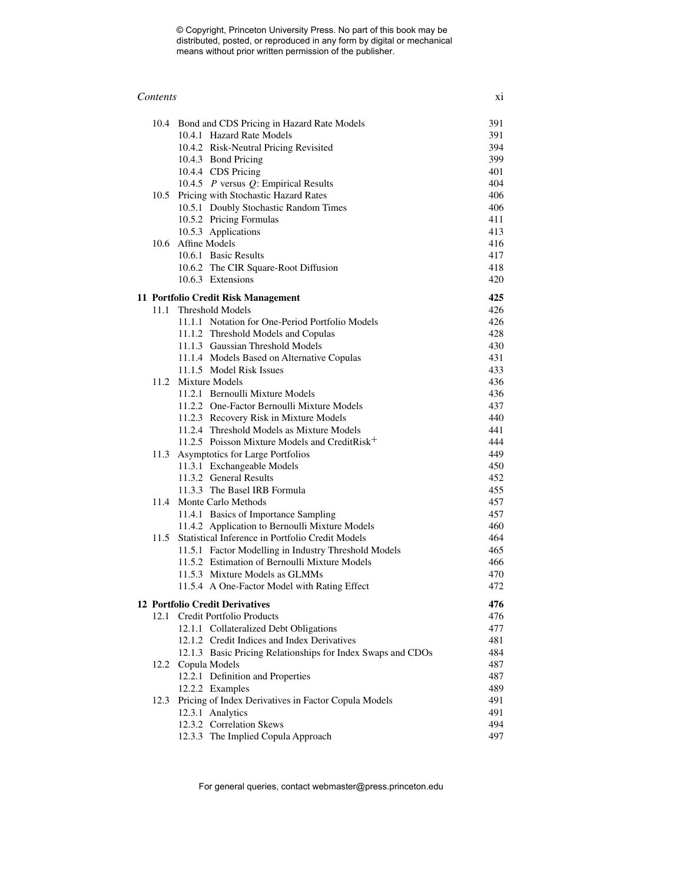| Contents | V <sub>1</sub><br>Λl |
|----------|----------------------|
|----------|----------------------|

|      | 10.4 Bond and CDS Pricing in Hazard Rate Models             | 391 |
|------|-------------------------------------------------------------|-----|
|      | 10.4.1 Hazard Rate Models                                   | 391 |
|      | 10.4.2 Risk-Neutral Pricing Revisited                       | 394 |
|      | 10.4.3 Bond Pricing                                         | 399 |
|      | 10.4.4 CDS Pricing                                          | 401 |
|      | 10.4.5 $P$ versus $Q$ : Empirical Results                   | 404 |
|      | 10.5 Pricing with Stochastic Hazard Rates                   | 406 |
|      | 10.5.1 Doubly Stochastic Random Times                       | 406 |
|      | 10.5.2 Pricing Formulas                                     | 411 |
|      | 10.5.3 Applications                                         | 413 |
|      | 10.6 Affine Models                                          | 416 |
|      | 10.6.1 Basic Results                                        | 417 |
|      | 10.6.2 The CIR Square-Root Diffusion                        | 418 |
|      | 10.6.3 Extensions                                           | 420 |
|      | 11 Portfolio Credit Risk Management                         | 425 |
|      | 11.1 Threshold Models                                       | 426 |
|      | 11.1.1 Notation for One-Period Portfolio Models             | 426 |
|      | 11.1.2 Threshold Models and Copulas                         | 428 |
|      | 11.1.3 Gaussian Threshold Models                            | 430 |
|      | 11.1.4 Models Based on Alternative Copulas                  | 431 |
|      | 11.1.5 Model Risk Issues                                    | 433 |
|      | 11.2 Mixture Models                                         | 436 |
|      | 11.2.1 Bernoulli Mixture Models                             | 436 |
|      | 11.2.2 One-Factor Bernoulli Mixture Models                  | 437 |
|      | 11.2.3 Recovery Risk in Mixture Models                      | 440 |
|      | 11.2.4 Threshold Models as Mixture Models                   | 441 |
|      | 11.2.5 Poisson Mixture Models and CreditRisk <sup>+</sup>   | 444 |
| 11.3 | Asymptotics for Large Portfolios                            | 449 |
|      | 11.3.1 Exchangeable Models                                  | 450 |
|      | 11.3.2 General Results                                      | 452 |
|      | 11.3.3 The Basel IRB Formula                                | 455 |
|      | 11.4 Monte Carlo Methods                                    | 457 |
|      | 11.4.1 Basics of Importance Sampling                        | 457 |
|      | 11.4.2 Application to Bernoulli Mixture Models              | 460 |
| 11.5 | Statistical Inference in Portfolio Credit Models            | 464 |
|      | 11.5.1 Factor Modelling in Industry Threshold Models        | 465 |
|      | 11.5.2 Estimation of Bernoulli Mixture Models               | 466 |
|      | 11.5.3 Mixture Models as GLMMs                              | 470 |
|      | 11.5.4 A One-Factor Model with Rating Effect                | 472 |
|      | 12 Portfolio Credit Derivatives                             | 476 |
| 12.1 | Credit Portfolio Products                                   | 476 |
|      | 12.1.1 Collateralized Debt Obligations                      | 477 |
|      | 12.1.2 Credit Indices and Index Derivatives                 | 481 |
|      | 12.1.3 Basic Pricing Relationships for Index Swaps and CDOs | 484 |
|      | 12.2 Copula Models                                          | 487 |
|      | 12.2.1 Definition and Properties                            | 487 |
|      | 12.2.2 Examples                                             | 489 |
| 12.3 | Pricing of Index Derivatives in Factor Copula Models        | 491 |
|      | 12.3.1 Analytics                                            | 491 |
|      | 12.3.2 Correlation Skews                                    | 494 |
|      | 12.3.3 The Implied Copula Approach                          | 497 |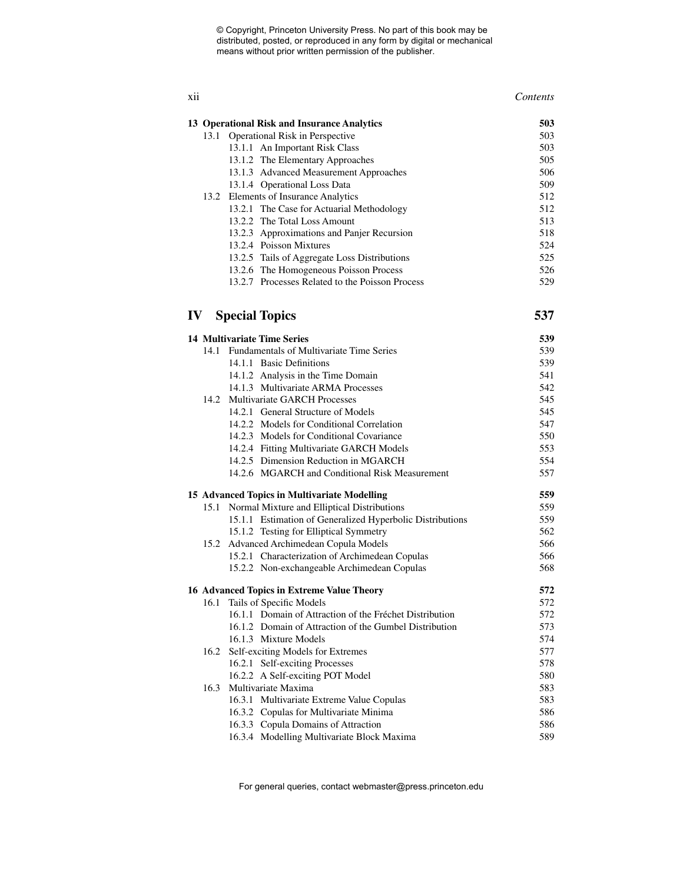#### xii *Contents*

| 13 Operational Risk and Insurance Analytics |                                                 | 503 |
|---------------------------------------------|-------------------------------------------------|-----|
| 13.1                                        | <b>Operational Risk in Perspective</b>          | 503 |
| 13.1.1 An Important Risk Class              |                                                 | 503 |
| 13.1.2 The Elementary Approaches            |                                                 | 505 |
|                                             | 13.1.3 Advanced Measurement Approaches          | 506 |
|                                             | 13.1.4 Operational Loss Data                    | 509 |
|                                             | 13.2 Elements of Insurance Analytics            | 512 |
|                                             | 13.2.1 The Case for Actuarial Methodology       | 512 |
|                                             | 13.2.2 The Total Loss Amount                    | 513 |
|                                             | 13.2.3 Approximations and Panjer Recursion      | 518 |
|                                             | 13.2.4 Poisson Mixtures                         | 524 |
|                                             | 13.2.5 Tails of Aggregate Loss Distributions    | 525 |
|                                             | 13.2.6 The Homogeneous Poisson Process          | 526 |
|                                             | 13.2.7 Processes Related to the Poisson Process | 529 |
| IV                                          | <b>Special Topics</b>                           |     |

|      | <b>14 Multivariate Time Series</b>                        | 539 |
|------|-----------------------------------------------------------|-----|
|      | 14.1 Fundamentals of Multivariate Time Series             | 539 |
|      | 14.1.1 Basic Definitions                                  | 539 |
|      | 14.1.2 Analysis in the Time Domain                        | 541 |
|      | 14.1.3 Multivariate ARMA Processes                        | 542 |
| 14.2 | <b>Multivariate GARCH Processes</b>                       | 545 |
|      | 14.2.1 General Structure of Models                        | 545 |
|      | 14.2.2 Models for Conditional Correlation                 | 547 |
|      | 14.2.3 Models for Conditional Covariance                  | 550 |
|      | 14.2.4 Fitting Multivariate GARCH Models                  | 553 |
|      | 14.2.5 Dimension Reduction in MGARCH                      | 554 |
|      | 14.2.6 MGARCH and Conditional Risk Measurement            | 557 |
|      | 15 Advanced Topics in Multivariate Modelling              | 559 |
| 15.1 | Normal Mixture and Elliptical Distributions               | 559 |
|      | 15.1.1 Estimation of Generalized Hyperbolic Distributions | 559 |
|      | 15.1.2 Testing for Elliptical Symmetry                    | 562 |
| 15.2 | Advanced Archimedean Copula Models                        | 566 |
|      | 15.2.1 Characterization of Archimedean Copulas            | 566 |
|      | 15.2.2 Non-exchangeable Archimedean Copulas               | 568 |
|      | 16 Advanced Topics in Extreme Value Theory                | 572 |
| 16.1 | Tails of Specific Models                                  | 572 |
|      | 16.1.1 Domain of Attraction of the Fréchet Distribution   | 572 |
|      | 16.1.2 Domain of Attraction of the Gumbel Distribution    | 573 |
|      | 16.1.3 Mixture Models                                     | 574 |
| 16.2 | Self-exciting Models for Extremes                         | 577 |
|      | 16.2.1 Self-exciting Processes                            | 578 |
|      | 16.2.2 A Self-exciting POT Model                          | 580 |
| 16.3 | Multivariate Maxima                                       | 583 |
|      | 16.3.1 Multivariate Extreme Value Copulas                 | 583 |
|      | 16.3.2 Copulas for Multivariate Minima                    | 586 |
|      | 16.3.3 Copula Domains of Attraction                       | 586 |
|      | 16.3.4 Modelling Multivariate Block Maxima                | 589 |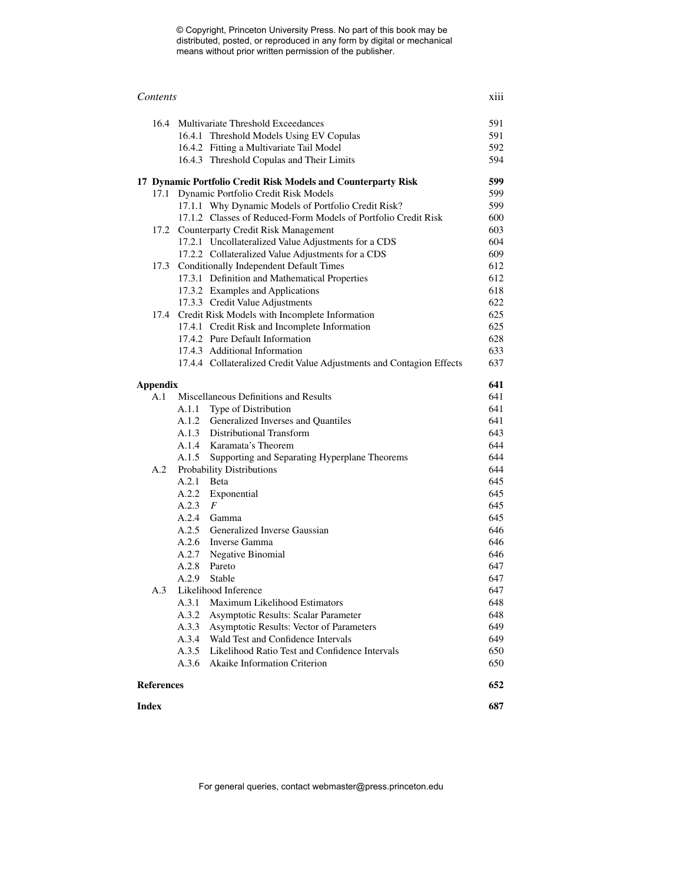| Contents                                     |                                                                                               |                                                                      | xiii       |  |
|----------------------------------------------|-----------------------------------------------------------------------------------------------|----------------------------------------------------------------------|------------|--|
|                                              | 16.4 Multivariate Threshold Exceedances                                                       |                                                                      |            |  |
|                                              | 16.4.1 Threshold Models Using EV Copulas                                                      |                                                                      | 591        |  |
|                                              | 16.4.2 Fitting a Multivariate Tail Model                                                      |                                                                      | 592        |  |
|                                              | 16.4.3 Threshold Copulas and Their Limits                                                     |                                                                      | 594        |  |
|                                              | 17 Dynamic Portfolio Credit Risk Models and Counterparty Risk                                 |                                                                      | 599        |  |
|                                              | 17.1 Dynamic Portfolio Credit Risk Models                                                     |                                                                      | 599        |  |
|                                              | 17.1.1 Why Dynamic Models of Portfolio Credit Risk?                                           |                                                                      | 599        |  |
|                                              |                                                                                               | 17.1.2 Classes of Reduced-Form Models of Portfolio Credit Risk       | 600        |  |
|                                              | 17.2 Counterparty Credit Risk Management                                                      |                                                                      | 603        |  |
|                                              | 17.2.1 Uncollateralized Value Adjustments for a CDS                                           |                                                                      | 604<br>609 |  |
|                                              | 17.2.2 Collateralized Value Adjustments for a CDS                                             |                                                                      | 612        |  |
|                                              | 17.3 Conditionally Independent Default Times<br>17.3.1 Definition and Mathematical Properties |                                                                      | 612        |  |
|                                              | 17.3.2 Examples and Applications                                                              |                                                                      | 618        |  |
|                                              | 17.3.3 Credit Value Adjustments                                                               |                                                                      | 622        |  |
|                                              | 17.4 Credit Risk Models with Incomplete Information                                           |                                                                      | 625        |  |
|                                              | 17.4.1 Credit Risk and Incomplete Information                                                 |                                                                      | 625        |  |
|                                              | 17.4.2 Pure Default Information                                                               |                                                                      | 628        |  |
|                                              | 17.4.3 Additional Information                                                                 |                                                                      | 633        |  |
|                                              |                                                                                               | 17.4.4 Collateralized Credit Value Adjustments and Contagion Effects | 637        |  |
| <b>Appendix</b>                              |                                                                                               |                                                                      | 641        |  |
| Miscellaneous Definitions and Results<br>A.1 |                                                                                               | 641                                                                  |            |  |
|                                              | A.1.1 Type of Distribution                                                                    |                                                                      | 641        |  |
|                                              | A.1.2 Generalized Inverses and Quantiles                                                      |                                                                      | 641        |  |
|                                              | A.1.3 Distributional Transform                                                                |                                                                      | 643        |  |
|                                              | A.1.4 Karamata's Theorem                                                                      |                                                                      | 644        |  |
|                                              | A.1.5 Supporting and Separating Hyperplane Theorems                                           |                                                                      | 644        |  |
| A.2                                          | Probability Distributions                                                                     |                                                                      | 644        |  |
|                                              | A.2.1 Beta                                                                                    |                                                                      | 645        |  |
|                                              | A.2.2 Exponential                                                                             |                                                                      | 645        |  |
|                                              | $A.2.3$ $F$                                                                                   |                                                                      | 645        |  |
|                                              | A.2.4 Gamma                                                                                   |                                                                      | 645        |  |
|                                              | A.2.5 Generalized Inverse Gaussian                                                            |                                                                      | 646        |  |
|                                              | A.2.6 Inverse Gamma                                                                           |                                                                      | 646        |  |
|                                              | A.2.7 Negative Binomial                                                                       |                                                                      | 646        |  |
|                                              | A.2.8 Pareto                                                                                  |                                                                      | 647        |  |
|                                              | A.2.9<br>Stable                                                                               |                                                                      | 647        |  |
| A.3                                          | Likelihood Inference                                                                          |                                                                      | 647        |  |
|                                              | Maximum Likelihood Estimators<br>A.3.1                                                        |                                                                      | 648        |  |
|                                              | A.3.2<br>Asymptotic Results: Scalar Parameter                                                 |                                                                      | 648        |  |
|                                              | A.3.3<br>Asymptotic Results: Vector of Parameters                                             |                                                                      | 649        |  |
|                                              | Wald Test and Confidence Intervals<br>A.3.4                                                   |                                                                      | 649        |  |
|                                              | A.3.5<br>Likelihood Ratio Test and Confidence Intervals                                       |                                                                      | 650        |  |
|                                              | A.3.6<br><b>Akaike Information Criterion</b>                                                  |                                                                      | 650        |  |
|                                              | <b>References</b><br>652                                                                      |                                                                      |            |  |
| <b>Index</b>                                 |                                                                                               |                                                                      | 687        |  |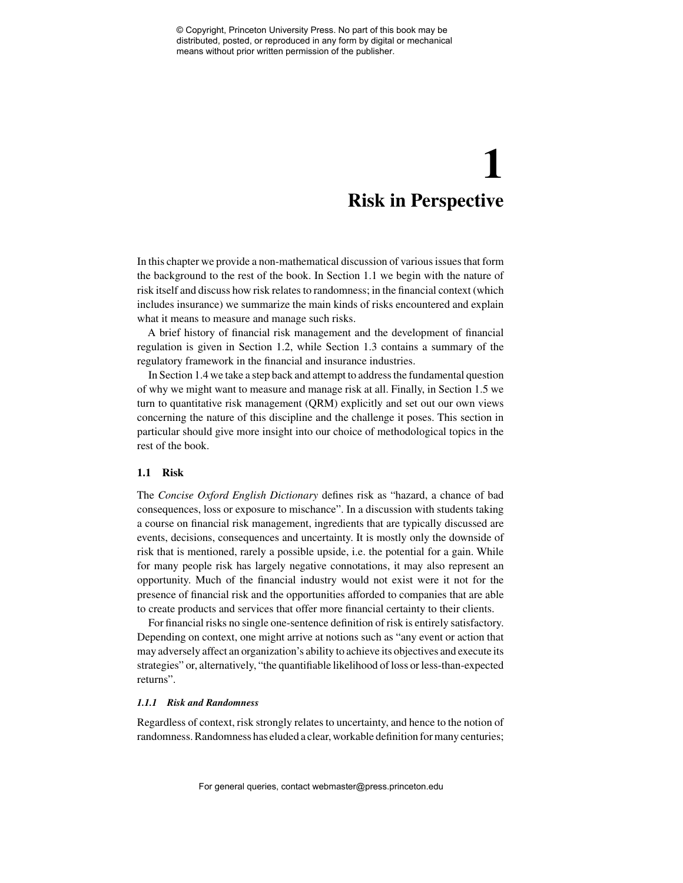# **1 Risk in Perspective**

In this chapter we provide a non-mathematical discussion of various issues that form the background to the rest of the book. In Section 1.1 we begin with the nature of risk itself and discuss how risk relates to randomness; in the financial context (which includes insurance) we summarize the main kinds of risks encountered and explain what it means to measure and manage such risks.

A brief history of financial risk management and the development of financial regulation is given in Section 1.2, while Section 1.3 contains a summary of the regulatory framework in the financial and insurance industries.

In Section 1.4 we take a step back and attempt to address the fundamental question of why we might want to measure and manage risk at all. Finally, in Section 1.5 we turn to quantitative risk management (QRM) explicitly and set out our own views concerning the nature of this discipline and the challenge it poses. This section in particular should give more insight into our choice of methodological topics in the rest of the book.

### **1.1 Risk**

The *Concise Oxford English Dictionary* defines risk as "hazard, a chance of bad consequences, loss or exposure to mischance". In a discussion with students taking a course on financial risk management, ingredients that are typically discussed are events, decisions, consequences and uncertainty. It is mostly only the downside of risk that is mentioned, rarely a possible upside, i.e. the potential for a gain. While for many people risk has largely negative connotations, it may also represent an opportunity. Much of the financial industry would not exist were it not for the presence of financial risk and the opportunities afforded to companies that are able to create products and services that offer more financial certainty to their clients.

For financial risks no single one-sentence definition of risk is entirely satisfactory. Depending on context, one might arrive at notions such as "any event or action that may adversely affect an organization's ability to achieve its objectives and execute its strategies" or, alternatively, "the quantifiable likelihood of loss or less-than-expected returns".

### *1.1.1 Risk and Randomness*

Regardless of context, risk strongly relates to uncertainty, and hence to the notion of randomness. Randomness has eluded a clear, workable definition for many centuries;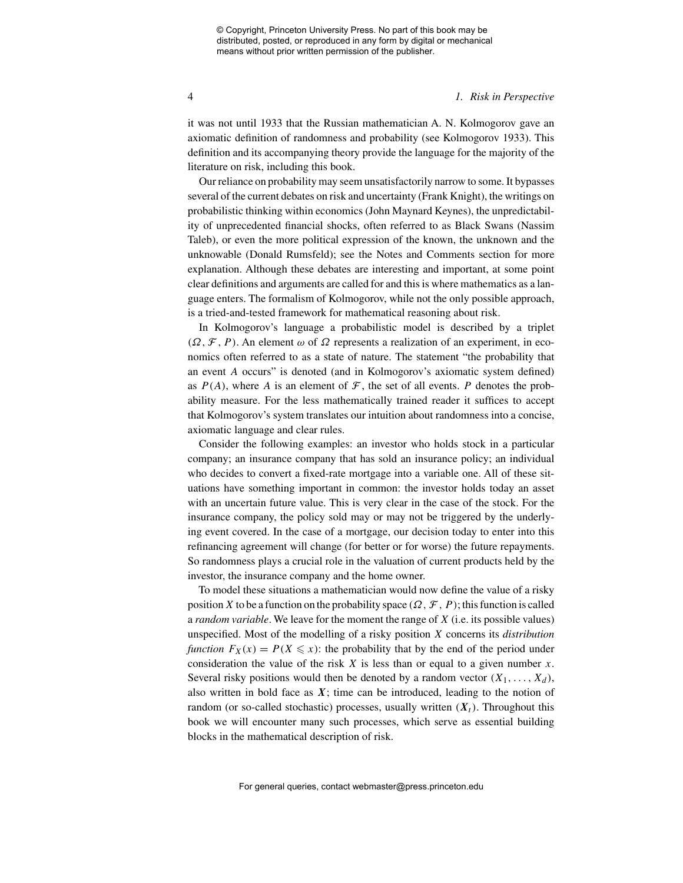#### 4 *1. Risk in Perspective*

it was not until 1933 that the Russian mathematician A. N. Kolmogorov gave an axiomatic definition of randomness and probability (see Kolmogorov 1933). This definition and its accompanying theory provide the language for the majority of the literature on risk, including this book.

Our reliance on probability may seem unsatisfactorily narrow to some. It bypasses several of the current debates on risk and uncertainty (Frank Knight), the writings on probabilistic thinking within economics (John Maynard Keynes), the unpredictability of unprecedented financial shocks, often referred to as Black Swans (Nassim Taleb), or even the more political expression of the known, the unknown and the unknowable (Donald Rumsfeld); see the Notes and Comments section for more explanation. Although these debates are interesting and important, at some point clear definitions and arguments are called for and this is where mathematics as a language enters. The formalism of Kolmogorov, while not the only possible approach, is a tried-and-tested framework for mathematical reasoning about risk.

In Kolmogorov's language a probabilistic model is described by a triplet  $(\Omega, \mathcal{F}, P)$ . An element  $\omega$  of  $\Omega$  represents a realization of an experiment, in economics often referred to as a state of nature. The statement "the probability that an event *A* occurs" is denoted (and in Kolmogorov's axiomatic system defined) as  $P(A)$ , where A is an element of  $\mathcal F$ , the set of all events. P denotes the probability measure. For the less mathematically trained reader it suffices to accept that Kolmogorov's system translates our intuition about randomness into a concise, axiomatic language and clear rules.

Consider the following examples: an investor who holds stock in a particular company; an insurance company that has sold an insurance policy; an individual who decides to convert a fixed-rate mortgage into a variable one. All of these situations have something important in common: the investor holds today an asset with an uncertain future value. This is very clear in the case of the stock. For the insurance company, the policy sold may or may not be triggered by the underlying event covered. In the case of a mortgage, our decision today to enter into this refinancing agreement will change (for better or for worse) the future repayments. So randomness plays a crucial role in the valuation of current products held by the investor, the insurance company and the home owner.

To model these situations a mathematician would now define the value of a risky position *X* to be a function on the probability space  $(\Omega, \mathcal{F}, P)$ ; this function is called a *random variable*. We leave for the moment the range of *X* (i.e. its possible values) unspecified. Most of the modelling of a risky position *X* concerns its *distribution function*  $F_X(x) = P(X \leq x)$ : the probability that by the end of the period under consideration the value of the risk  $X$  is less than or equal to a given number  $x$ . Several risky positions would then be denoted by a random vector  $(X_1, \ldots, X_d)$ , also written in bold face as  $X$ ; time can be introduced, leading to the notion of random (or so-called stochastic) processes, usually written  $(X_t)$ . Throughout this book we will encounter many such processes, which serve as essential building blocks in the mathematical description of risk.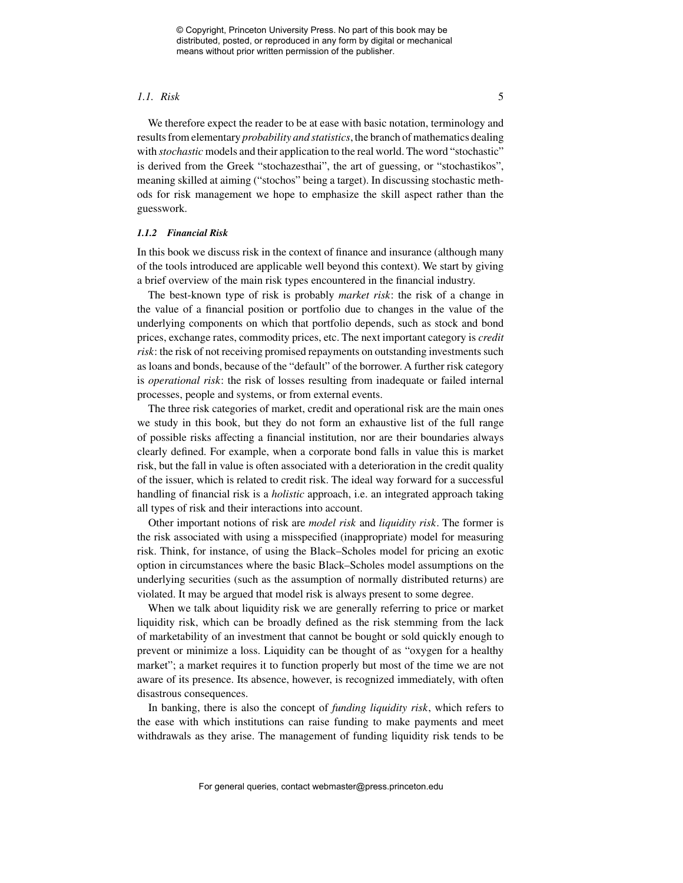#### *1.1. Risk* 5

We therefore expect the reader to be at ease with basic notation, terminology and results from elementary *probability and statistics*, the branch of mathematics dealing with *stochastic* models and their application to the real world. The word "stochastic" is derived from the Greek "stochazesthai", the art of guessing, or "stochastikos", meaning skilled at aiming ("stochos" being a target). In discussing stochastic methods for risk management we hope to emphasize the skill aspect rather than the guesswork.

#### *1.1.2 Financial Risk*

In this book we discuss risk in the context of finance and insurance (although many of the tools introduced are applicable well beyond this context). We start by giving a brief overview of the main risk types encountered in the financial industry.

The best-known type of risk is probably *market risk*: the risk of a change in the value of a financial position or portfolio due to changes in the value of the underlying components on which that portfolio depends, such as stock and bond prices, exchange rates, commodity prices, etc. The next important category is *credit risk*: the risk of not receiving promised repayments on outstanding investments such as loans and bonds, because of the "default" of the borrower. A further risk category is *operational risk*: the risk of losses resulting from inadequate or failed internal processes, people and systems, or from external events.

The three risk categories of market, credit and operational risk are the main ones we study in this book, but they do not form an exhaustive list of the full range of possible risks affecting a financial institution, nor are their boundaries always clearly defined. For example, when a corporate bond falls in value this is market risk, but the fall in value is often associated with a deterioration in the credit quality of the issuer, which is related to credit risk. The ideal way forward for a successful handling of financial risk is a *holistic* approach, i.e. an integrated approach taking all types of risk and their interactions into account.

Other important notions of risk are *model risk* and *liquidity risk*. The former is the risk associated with using a misspecified (inappropriate) model for measuring risk. Think, for instance, of using the Black–Scholes model for pricing an exotic option in circumstances where the basic Black–Scholes model assumptions on the underlying securities (such as the assumption of normally distributed returns) are violated. It may be argued that model risk is always present to some degree.

When we talk about liquidity risk we are generally referring to price or market liquidity risk, which can be broadly defined as the risk stemming from the lack of marketability of an investment that cannot be bought or sold quickly enough to prevent or minimize a loss. Liquidity can be thought of as "oxygen for a healthy market"; a market requires it to function properly but most of the time we are not aware of its presence. Its absence, however, is recognized immediately, with often disastrous consequences.

In banking, there is also the concept of *funding liquidity risk*, which refers to the ease with which institutions can raise funding to make payments and meet withdrawals as they arise. The management of funding liquidity risk tends to be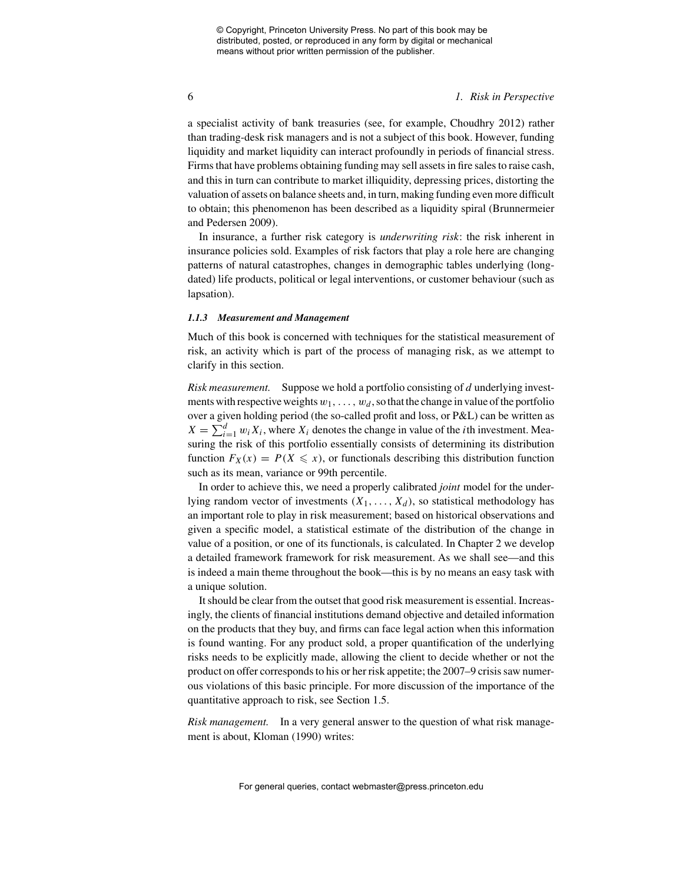#### 6 *1. Risk in Perspective*

a specialist activity of bank treasuries (see, for example, Choudhry 2012) rather than trading-desk risk managers and is not a subject of this book. However, funding liquidity and market liquidity can interact profoundly in periods of financial stress. Firms that have problems obtaining funding may sell assets in fire sales to raise cash, and this in turn can contribute to market illiquidity, depressing prices, distorting the valuation of assets on balance sheets and, in turn, making funding even more difficult to obtain; this phenomenon has been described as a liquidity spiral (Brunnermeier and Pedersen 2009).

In insurance, a further risk category is *underwriting risk*: the risk inherent in insurance policies sold. Examples of risk factors that play a role here are changing patterns of natural catastrophes, changes in demographic tables underlying (longdated) life products, political or legal interventions, or customer behaviour (such as lapsation).

#### *1.1.3 Measurement and Management*

Much of this book is concerned with techniques for the statistical measurement of risk, an activity which is part of the process of managing risk, as we attempt to clarify in this section.

*Risk measurement.* Suppose we hold a portfolio consisting of *d* underlying investments with respective weights  $w_1, \ldots, w_d$ , so that the change in value of the portfolio over a given holding period (the so-called profit and loss, or P&L) can be written as  $X = \sum_{i=1}^{d} w_i X_i$ , where  $X_i$  denotes the change in value of the *i*th investment. Measuring the risk of this portfolio essentially consists of determining its distribution function  $F_X(x) = P(X \leq x)$ , or functionals describing this distribution function such as its mean, variance or 99th percentile.

In order to achieve this, we need a properly calibrated *joint* model for the underlying random vector of investments  $(X_1, \ldots, X_d)$ , so statistical methodology has an important role to play in risk measurement; based on historical observations and given a specific model, a statistical estimate of the distribution of the change in value of a position, or one of its functionals, is calculated. In Chapter 2 we develop a detailed framework framework for risk measurement. As we shall see—and this is indeed a main theme throughout the book—this is by no means an easy task with a unique solution.

It should be clear from the outset that good risk measurement is essential. Increasingly, the clients of financial institutions demand objective and detailed information on the products that they buy, and firms can face legal action when this information is found wanting. For any product sold, a proper quantification of the underlying risks needs to be explicitly made, allowing the client to decide whether or not the product on offer corresponds to his or her risk appetite; the 2007–9 crisis saw numerous violations of this basic principle. For more discussion of the importance of the quantitative approach to risk, see Section 1.5.

*Risk management.* In a very general answer to the question of what risk management is about, Kloman (1990) writes: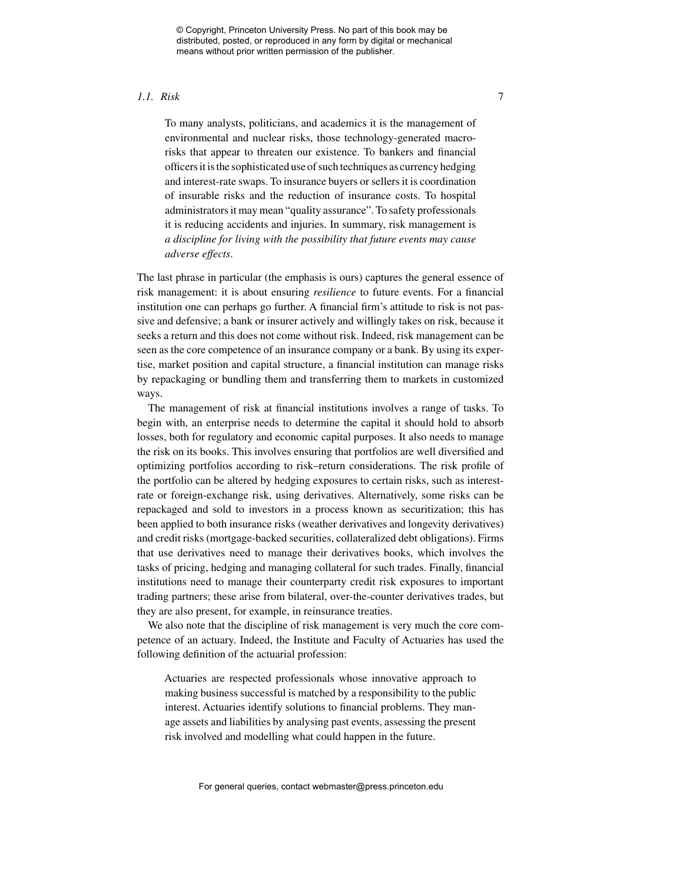#### *1.1. Risk* 7

To many analysts, politicians, and academics it is the management of environmental and nuclear risks, those technology-generated macrorisks that appear to threaten our existence. To bankers and financial officers it is the sophisticated use of such techniques as currency hedging and interest-rate swaps. To insurance buyers or sellers it is coordination of insurable risks and the reduction of insurance costs. To hospital administrators it may mean "quality assurance". To safety professionals it is reducing accidents and injuries. In summary, risk management is *a discipline for living with the possibility that future events may cause adverse effects*.

The last phrase in particular (the emphasis is ours) captures the general essence of risk management: it is about ensuring *resilience* to future events. For a financial institution one can perhaps go further. A financial firm's attitude to risk is not passive and defensive; a bank or insurer actively and willingly takes on risk, because it seeks a return and this does not come without risk. Indeed, risk management can be seen as the core competence of an insurance company or a bank. By using its expertise, market position and capital structure, a financial institution can manage risks by repackaging or bundling them and transferring them to markets in customized ways.

The management of risk at financial institutions involves a range of tasks. To begin with, an enterprise needs to determine the capital it should hold to absorb losses, both for regulatory and economic capital purposes. It also needs to manage the risk on its books. This involves ensuring that portfolios are well diversified and optimizing portfolios according to risk–return considerations. The risk profile of the portfolio can be altered by hedging exposures to certain risks, such as interestrate or foreign-exchange risk, using derivatives. Alternatively, some risks can be repackaged and sold to investors in a process known as securitization; this has been applied to both insurance risks (weather derivatives and longevity derivatives) and credit risks (mortgage-backed securities, collateralized debt obligations). Firms that use derivatives need to manage their derivatives books, which involves the tasks of pricing, hedging and managing collateral for such trades. Finally, financial institutions need to manage their counterparty credit risk exposures to important trading partners; these arise from bilateral, over-the-counter derivatives trades, but they are also present, for example, in reinsurance treaties.

We also note that the discipline of risk management is very much the core competence of an actuary. Indeed, the Institute and Faculty of Actuaries has used the following definition of the actuarial profession:

Actuaries are respected professionals whose innovative approach to making business successful is matched by a responsibility to the public interest. Actuaries identify solutions to financial problems. They manage assets and liabilities by analysing past events, assessing the present risk involved and modelling what could happen in the future.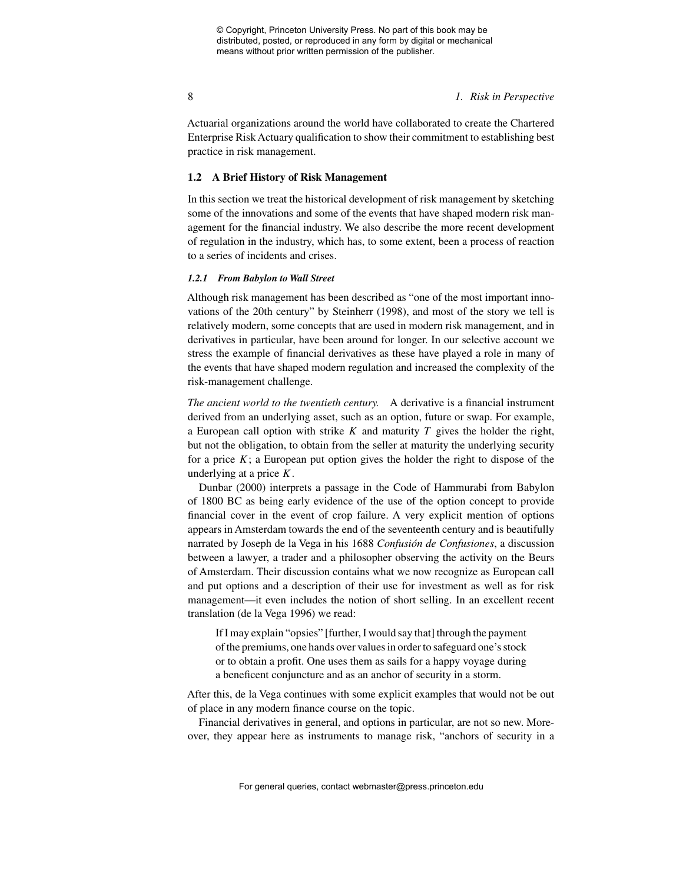8 *1. Risk in Perspective*

Actuarial organizations around the world have collaborated to create the Chartered Enterprise Risk Actuary qualification to show their commitment to establishing best practice in risk management.

### **1.2 A Brief History of Risk Management**

In this section we treat the historical development of risk management by sketching some of the innovations and some of the events that have shaped modern risk management for the financial industry. We also describe the more recent development of regulation in the industry, which has, to some extent, been a process of reaction to a series of incidents and crises.

### *1.2.1 From Babylon to Wall Street*

Although risk management has been described as "one of the most important innovations of the 20th century" by Steinherr (1998), and most of the story we tell is relatively modern, some concepts that are used in modern risk management, and in derivatives in particular, have been around for longer. In our selective account we stress the example of financial derivatives as these have played a role in many of the events that have shaped modern regulation and increased the complexity of the risk-management challenge.

*The ancient world to the twentieth century.* A derivative is a financial instrument derived from an underlying asset, such as an option, future or swap. For example, a European call option with strike *K* and maturity *T* gives the holder the right, but not the obligation, to obtain from the seller at maturity the underlying security for a price  $K$ ; a European put option gives the holder the right to dispose of the underlying at a price *K*.

Dunbar (2000) interprets a passage in the Code of Hammurabi from Babylon of 1800 BC as being early evidence of the use of the option concept to provide financial cover in the event of crop failure. A very explicit mention of options appears in Amsterdam towards the end of the seventeenth century and is beautifully narrated by Joseph de la Vega in his 1688 *Confusión de Confusiones*, a discussion between a lawyer, a trader and a philosopher observing the activity on the Beurs of Amsterdam. Their discussion contains what we now recognize as European call and put options and a description of their use for investment as well as for risk management—it even includes the notion of short selling. In an excellent recent translation (de la Vega 1996) we read:

If I may explain "opsies" [further, I would say that] through the payment of the premiums, one hands over values in order to safeguard one's stock or to obtain a profit. One uses them as sails for a happy voyage during a beneficent conjuncture and as an anchor of security in a storm.

After this, de la Vega continues with some explicit examples that would not be out of place in any modern finance course on the topic.

Financial derivatives in general, and options in particular, are not so new. Moreover, they appear here as instruments to manage risk, "anchors of security in a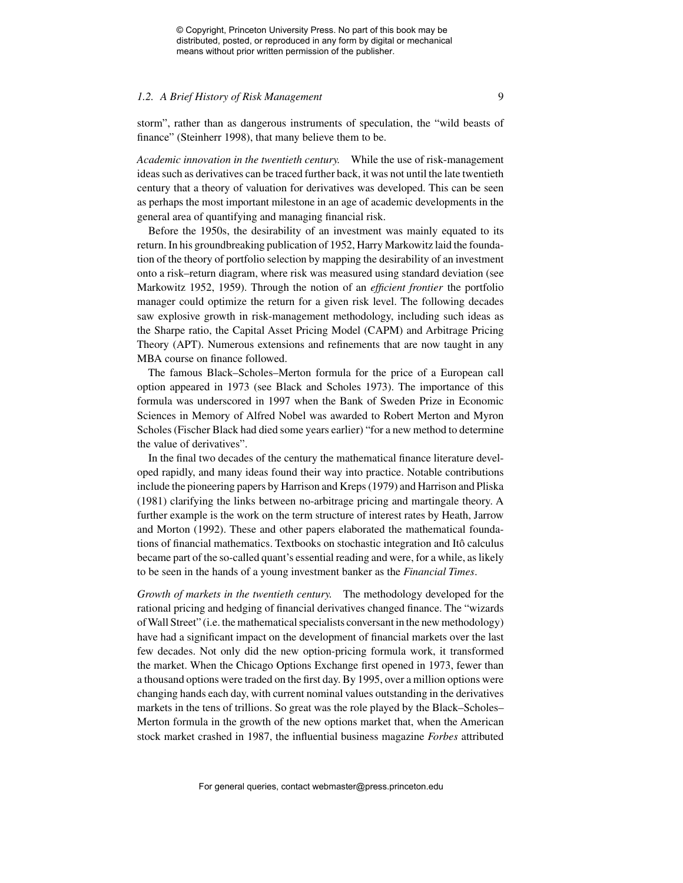### *1.2.* A Brief History of Risk Management 9

storm", rather than as dangerous instruments of speculation, the "wild beasts of finance" (Steinherr 1998), that many believe them to be.

*Academic innovation in the twentieth century.* While the use of risk-management ideas such as derivatives can be traced further back, it was not until the late twentieth century that a theory of valuation for derivatives was developed. This can be seen as perhaps the most important milestone in an age of academic developments in the general area of quantifying and managing financial risk.

Before the 1950s, the desirability of an investment was mainly equated to its return. In his groundbreaking publication of 1952, Harry Markowitz laid the foundation of the theory of portfolio selection by mapping the desirability of an investment onto a risk–return diagram, where risk was measured using standard deviation (see Markowitz 1952, 1959). Through the notion of an *efficient frontier* the portfolio manager could optimize the return for a given risk level. The following decades saw explosive growth in risk-management methodology, including such ideas as the Sharpe ratio, the Capital Asset Pricing Model (CAPM) and Arbitrage Pricing Theory (APT). Numerous extensions and refinements that are now taught in any MBA course on finance followed.

The famous Black–Scholes–Merton formula for the price of a European call option appeared in 1973 (see Black and Scholes 1973). The importance of this formula was underscored in 1997 when the Bank of Sweden Prize in Economic Sciences in Memory of Alfred Nobel was awarded to Robert Merton and Myron Scholes (Fischer Black had died some years earlier) "for a new method to determine the value of derivatives".

In the final two decades of the century the mathematical finance literature developed rapidly, and many ideas found their way into practice. Notable contributions include the pioneering papers by Harrison and Kreps (1979) and Harrison and Pliska (1981) clarifying the links between no-arbitrage pricing and martingale theory. A further example is the work on the term structure of interest rates by Heath, Jarrow and Morton (1992). These and other papers elaborated the mathematical foundations of financial mathematics. Textbooks on stochastic integration and Itô calculus became part of the so-called quant's essential reading and were, for a while, as likely to be seen in the hands of a young investment banker as the *Financial Times*.

*Growth of markets in the twentieth century.* The methodology developed for the rational pricing and hedging of financial derivatives changed finance. The "wizards of Wall Street" (i.e. the mathematical specialists conversant in the new methodology) have had a significant impact on the development of financial markets over the last few decades. Not only did the new option-pricing formula work, it transformed the market. When the Chicago Options Exchange first opened in 1973, fewer than a thousand options were traded on the first day. By 1995, over a million options were changing hands each day, with current nominal values outstanding in the derivatives markets in the tens of trillions. So great was the role played by the Black–Scholes– Merton formula in the growth of the new options market that, when the American stock market crashed in 1987, the influential business magazine *Forbes* attributed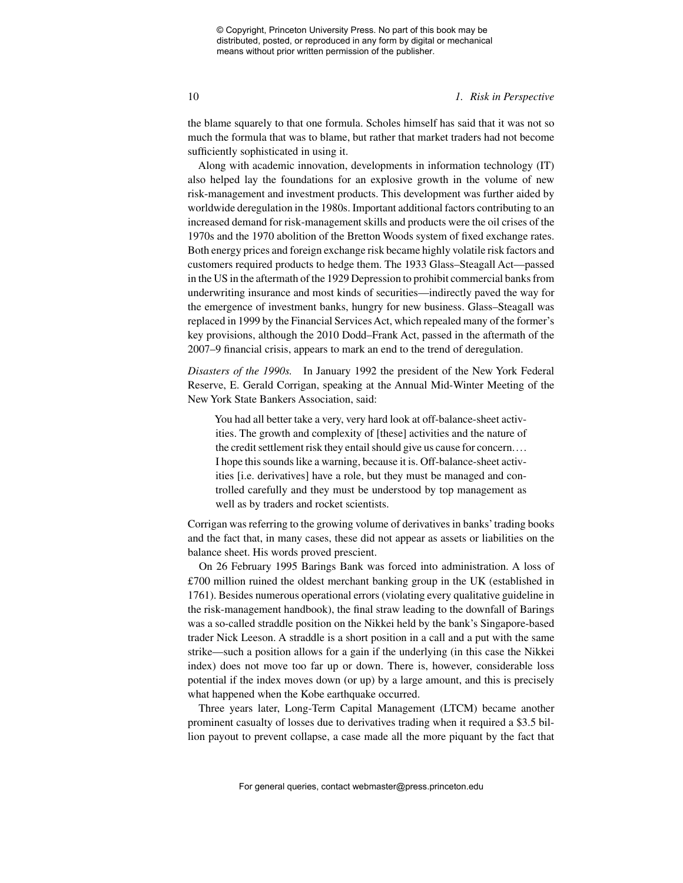#### 10 *1. Risk in Perspective*

the blame squarely to that one formula. Scholes himself has said that it was not so much the formula that was to blame, but rather that market traders had not become sufficiently sophisticated in using it.

Along with academic innovation, developments in information technology (IT) also helped lay the foundations for an explosive growth in the volume of new risk-management and investment products. This development was further aided by worldwide deregulation in the 1980s. Important additional factors contributing to an increased demand for risk-management skills and products were the oil crises of the 1970s and the 1970 abolition of the Bretton Woods system of fixed exchange rates. Both energy prices and foreign exchange risk became highly volatile risk factors and customers required products to hedge them. The 1933 Glass–Steagall Act—passed in the US in the aftermath of the 1929 Depression to prohibit commercial banks from underwriting insurance and most kinds of securities—indirectly paved the way for the emergence of investment banks, hungry for new business. Glass–Steagall was replaced in 1999 by the Financial Services Act, which repealed many of the former's key provisions, although the 2010 Dodd–Frank Act, passed in the aftermath of the 2007–9 financial crisis, appears to mark an end to the trend of deregulation.

*Disasters of the 1990s.* In January 1992 the president of the New York Federal Reserve, E. Gerald Corrigan, speaking at the Annual Mid-Winter Meeting of the New York State Bankers Association, said:

You had all better take a very, very hard look at off-balance-sheet activities. The growth and complexity of [these] activities and the nature of the credit settlement risk they entail should give us cause for concern.... I hope this sounds like a warning, because it is. Off-balance-sheet activities [i.e. derivatives] have a role, but they must be managed and controlled carefully and they must be understood by top management as well as by traders and rocket scientists.

Corrigan was referring to the growing volume of derivatives in banks' trading books and the fact that, in many cases, these did not appear as assets or liabilities on the balance sheet. His words proved prescient.

On 26 February 1995 Barings Bank was forced into administration. A loss of £700 million ruined the oldest merchant banking group in the UK (established in 1761). Besides numerous operational errors (violating every qualitative guideline in the risk-management handbook), the final straw leading to the downfall of Barings was a so-called straddle position on the Nikkei held by the bank's Singapore-based trader Nick Leeson. A straddle is a short position in a call and a put with the same strike—such a position allows for a gain if the underlying (in this case the Nikkei index) does not move too far up or down. There is, however, considerable loss potential if the index moves down (or up) by a large amount, and this is precisely what happened when the Kobe earthquake occurred.

Three years later, Long-Term Capital Management (LTCM) became another prominent casualty of losses due to derivatives trading when it required a \$3.5 billion payout to prevent collapse, a case made all the more piquant by the fact that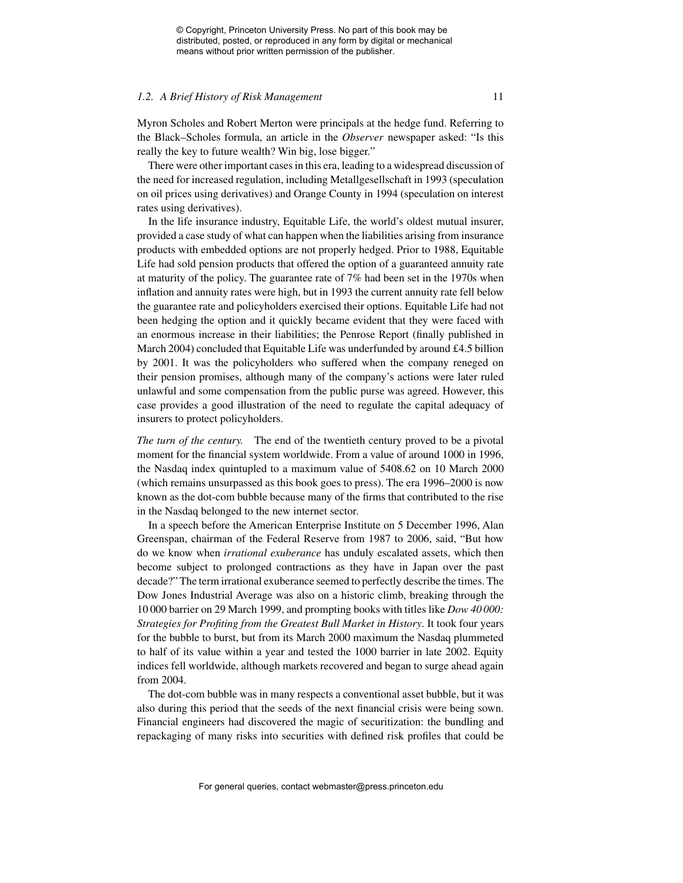#### *1.2. A Brief History of Risk Management* 11

Myron Scholes and Robert Merton were principals at the hedge fund. Referring to the Black–Scholes formula, an article in the *Observer* newspaper asked: "Is this really the key to future wealth? Win big, lose bigger."

There were other important cases in this era, leading to a widespread discussion of the need for increased regulation, including Metallgesellschaft in 1993 (speculation on oil prices using derivatives) and Orange County in 1994 (speculation on interest rates using derivatives).

In the life insurance industry, Equitable Life, the world's oldest mutual insurer, provided a case study of what can happen when the liabilities arising from insurance products with embedded options are not properly hedged. Prior to 1988, Equitable Life had sold pension products that offered the option of a guaranteed annuity rate at maturity of the policy. The guarantee rate of 7% had been set in the 1970s when inflation and annuity rates were high, but in 1993 the current annuity rate fell below the guarantee rate and policyholders exercised their options. Equitable Life had not been hedging the option and it quickly became evident that they were faced with an enormous increase in their liabilities; the Penrose Report (finally published in March 2004) concluded that Equitable Life was underfunded by around £4.5 billion by 2001. It was the policyholders who suffered when the company reneged on their pension promises, although many of the company's actions were later ruled unlawful and some compensation from the public purse was agreed. However, this case provides a good illustration of the need to regulate the capital adequacy of insurers to protect policyholders.

*The turn of the century.* The end of the twentieth century proved to be a pivotal moment for the financial system worldwide. From a value of around 1000 in 1996, the Nasdaq index quintupled to a maximum value of 5408.62 on 10 March 2000 (which remains unsurpassed as this book goes to press). The era 1996–2000 is now known as the dot-com bubble because many of the firms that contributed to the rise in the Nasdaq belonged to the new internet sector.

In a speech before the American Enterprise Institute on 5 December 1996, Alan Greenspan, chairman of the Federal Reserve from 1987 to 2006, said, "But how do we know when *irrational exuberance* has unduly escalated assets, which then become subject to prolonged contractions as they have in Japan over the past decade?" The term irrational exuberance seemed to perfectly describe the times. The Dow Jones Industrial Average was also on a historic climb, breaking through the 10 000 barrier on 29 March 1999, and prompting books with titles like *Dow 40 000: Strategies for Profiting from the Greatest Bull Market in History*. It took four years for the bubble to burst, but from its March 2000 maximum the Nasdaq plummeted to half of its value within a year and tested the 1000 barrier in late 2002. Equity indices fell worldwide, although markets recovered and began to surge ahead again from 2004.

The dot-com bubble was in many respects a conventional asset bubble, but it was also during this period that the seeds of the next financial crisis were being sown. Financial engineers had discovered the magic of securitization: the bundling and repackaging of many risks into securities with defined risk profiles that could be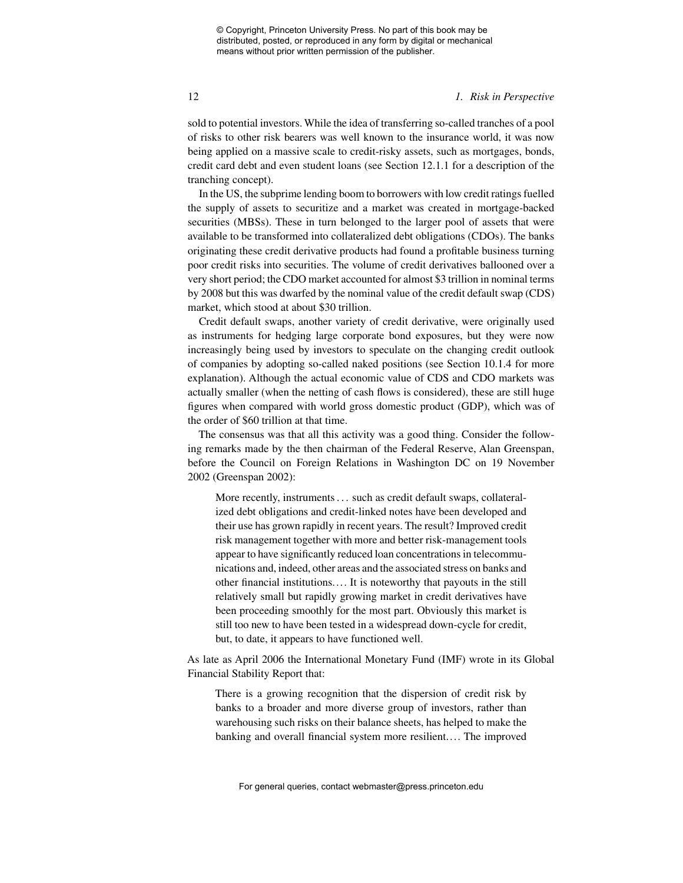#### 12 *1. Risk in Perspective*

sold to potential investors. While the idea of transferring so-called tranches of a pool of risks to other risk bearers was well known to the insurance world, it was now being applied on a massive scale to credit-risky assets, such as mortgages, bonds, credit card debt and even student loans (see Section 12.1.1 for a description of the tranching concept).

In the US, the subprime lending boom to borrowers with low credit ratings fuelled the supply of assets to securitize and a market was created in mortgage-backed securities (MBSs). These in turn belonged to the larger pool of assets that were available to be transformed into collateralized debt obligations (CDOs). The banks originating these credit derivative products had found a profitable business turning poor credit risks into securities. The volume of credit derivatives ballooned over a very short period; the CDO market accounted for almost \$3 trillion in nominal terms by 2008 but this was dwarfed by the nominal value of the credit default swap (CDS) market, which stood at about \$30 trillion.

Credit default swaps, another variety of credit derivative, were originally used as instruments for hedging large corporate bond exposures, but they were now increasingly being used by investors to speculate on the changing credit outlook of companies by adopting so-called naked positions (see Section 10.1.4 for more explanation). Although the actual economic value of CDS and CDO markets was actually smaller (when the netting of cash flows is considered), these are still huge figures when compared with world gross domestic product (GDP), which was of the order of \$60 trillion at that time.

The consensus was that all this activity was a good thing. Consider the following remarks made by the then chairman of the Federal Reserve, Alan Greenspan, before the Council on Foreign Relations in Washington DC on 19 November 2002 (Greenspan 2002):

More recently, instruments . . . such as credit default swaps, collateralized debt obligations and credit-linked notes have been developed and their use has grown rapidly in recent years. The result? Improved credit risk management together with more and better risk-management tools appear to have significantly reduced loan concentrations in telecommunications and, indeed, other areas and the associated stress on banks and other financial institutions.... It is noteworthy that payouts in the still relatively small but rapidly growing market in credit derivatives have been proceeding smoothly for the most part. Obviously this market is still too new to have been tested in a widespread down-cycle for credit, but, to date, it appears to have functioned well.

As late as April 2006 the International Monetary Fund (IMF) wrote in its Global Financial Stability Report that:

There is a growing recognition that the dispersion of credit risk by banks to a broader and more diverse group of investors, rather than warehousing such risks on their balance sheets, has helped to make the banking and overall financial system more resilient.... The improved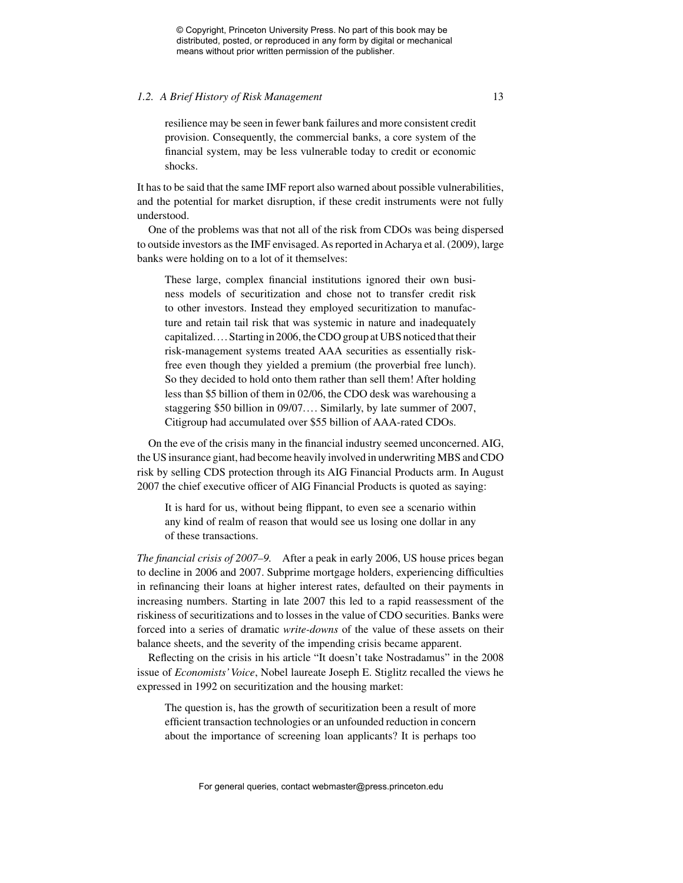#### *1.2. A Brief History of Risk Management* 13

resilience may be seen in fewer bank failures and more consistent credit provision. Consequently, the commercial banks, a core system of the financial system, may be less vulnerable today to credit or economic shocks.

It has to be said that the same IMF report also warned about possible vulnerabilities, and the potential for market disruption, if these credit instruments were not fully understood.

One of the problems was that not all of the risk from CDOs was being dispersed to outside investors as the IMF envisaged. As reported in Acharya et al. (2009), large banks were holding on to a lot of it themselves:

These large, complex financial institutions ignored their own business models of securitization and chose not to transfer credit risk to other investors. Instead they employed securitization to manufacture and retain tail risk that was systemic in nature and inadequately capitalized.... Starting in 2006, the CDO group at UBS noticed that their risk-management systems treated AAA securities as essentially riskfree even though they yielded a premium (the proverbial free lunch). So they decided to hold onto them rather than sell them! After holding less than \$5 billion of them in 02/06, the CDO desk was warehousing a staggering \$50 billion in 09/07.... Similarly, by late summer of 2007, Citigroup had accumulated over \$55 billion of AAA-rated CDOs.

On the eve of the crisis many in the financial industry seemed unconcerned. AIG, the US insurance giant, had become heavily involved in underwriting MBS and CDO risk by selling CDS protection through its AIG Financial Products arm. In August 2007 the chief executive officer of AIG Financial Products is quoted as saying:

It is hard for us, without being flippant, to even see a scenario within any kind of realm of reason that would see us losing one dollar in any of these transactions.

*The financial crisis of 2007–9.* After a peak in early 2006, US house prices began to decline in 2006 and 2007. Subprime mortgage holders, experiencing difficulties in refinancing their loans at higher interest rates, defaulted on their payments in increasing numbers. Starting in late 2007 this led to a rapid reassessment of the riskiness of securitizations and to losses in the value of CDO securities. Banks were forced into a series of dramatic *write-downs* of the value of these assets on their balance sheets, and the severity of the impending crisis became apparent.

Reflecting on the crisis in his article "It doesn't take Nostradamus" in the 2008 issue of *Economists'Voice*, Nobel laureate Joseph E. Stiglitz recalled the views he expressed in 1992 on securitization and the housing market:

The question is, has the growth of securitization been a result of more efficient transaction technologies or an unfounded reduction in concern about the importance of screening loan applicants? It is perhaps too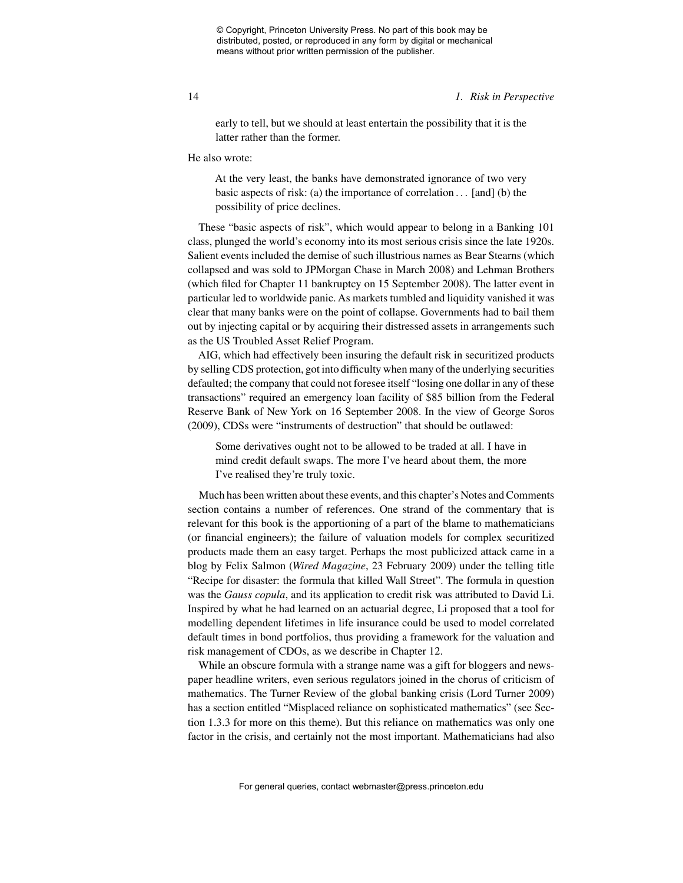#### 14 *1. Risk in Perspective*

early to tell, but we should at least entertain the possibility that it is the latter rather than the former.

He also wrote:

At the very least, the banks have demonstrated ignorance of two very basic aspects of risk: (a) the importance of correlation  $\dots$  [and] (b) the possibility of price declines.

These "basic aspects of risk", which would appear to belong in a Banking 101 class, plunged the world's economy into its most serious crisis since the late 1920s. Salient events included the demise of such illustrious names as Bear Stearns (which collapsed and was sold to JPMorgan Chase in March 2008) and Lehman Brothers (which filed for Chapter 11 bankruptcy on 15 September 2008). The latter event in particular led to worldwide panic. As markets tumbled and liquidity vanished it was clear that many banks were on the point of collapse. Governments had to bail them out by injecting capital or by acquiring their distressed assets in arrangements such as the US Troubled Asset Relief Program.

AIG, which had effectively been insuring the default risk in securitized products by selling CDS protection, got into difficulty when many of the underlying securities defaulted; the company that could not foresee itself "losing one dollar in any of these transactions" required an emergency loan facility of \$85 billion from the Federal Reserve Bank of New York on 16 September 2008. In the view of George Soros (2009), CDSs were "instruments of destruction" that should be outlawed:

Some derivatives ought not to be allowed to be traded at all. I have in mind credit default swaps. The more I've heard about them, the more I've realised they're truly toxic.

Much has been written about these events, and this chapter's Notes and Comments section contains a number of references. One strand of the commentary that is relevant for this book is the apportioning of a part of the blame to mathematicians (or financial engineers); the failure of valuation models for complex securitized products made them an easy target. Perhaps the most publicized attack came in a blog by Felix Salmon (*Wired Magazine*, 23 February 2009) under the telling title "Recipe for disaster: the formula that killed Wall Street". The formula in question was the *Gauss copula*, and its application to credit risk was attributed to David Li. Inspired by what he had learned on an actuarial degree, Li proposed that a tool for modelling dependent lifetimes in life insurance could be used to model correlated default times in bond portfolios, thus providing a framework for the valuation and risk management of CDOs, as we describe in Chapter 12.

While an obscure formula with a strange name was a gift for bloggers and newspaper headline writers, even serious regulators joined in the chorus of criticism of mathematics. The Turner Review of the global banking crisis (Lord Turner 2009) has a section entitled "Misplaced reliance on sophisticated mathematics" (see Section 1.3.3 for more on this theme). But this reliance on mathematics was only one factor in the crisis, and certainly not the most important. Mathematicians had also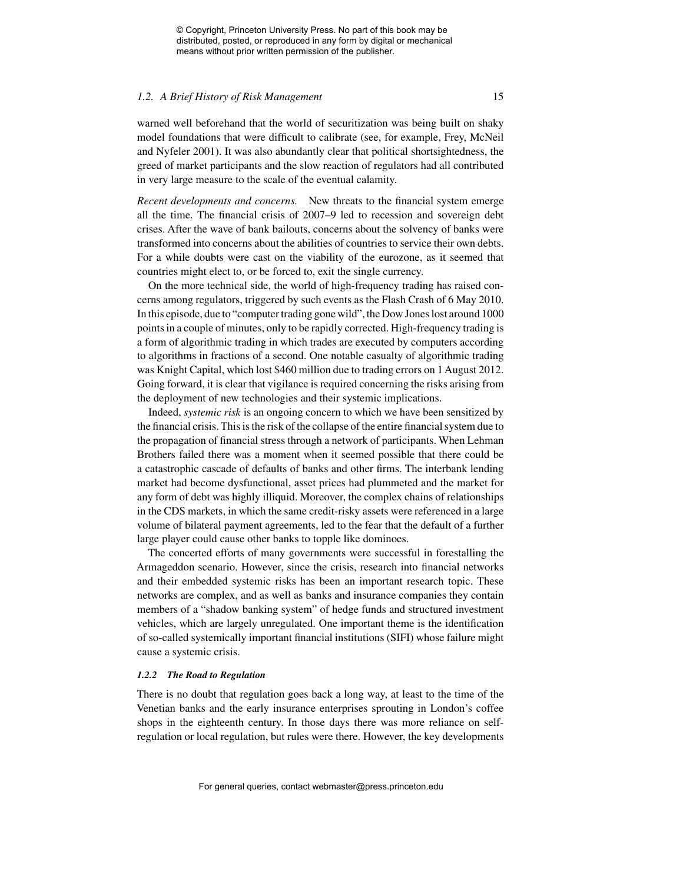#### *1.2. A Brief History of Risk Management* 15

warned well beforehand that the world of securitization was being built on shaky model foundations that were difficult to calibrate (see, for example, Frey, McNeil and Nyfeler 2001). It was also abundantly clear that political shortsightedness, the greed of market participants and the slow reaction of regulators had all contributed in very large measure to the scale of the eventual calamity.

*Recent developments and concerns.* New threats to the financial system emerge all the time. The financial crisis of 2007–9 led to recession and sovereign debt crises. After the wave of bank bailouts, concerns about the solvency of banks were transformed into concerns about the abilities of countries to service their own debts. For a while doubts were cast on the viability of the eurozone, as it seemed that countries might elect to, or be forced to, exit the single currency.

On the more technical side, the world of high-frequency trading has raised concerns among regulators, triggered by such events as the Flash Crash of 6 May 2010. In this episode, due to "computer trading gone wild", the Dow Jones lost around 1000 points in a couple of minutes, only to be rapidly corrected. High-frequency trading is a form of algorithmic trading in which trades are executed by computers according to algorithms in fractions of a second. One notable casualty of algorithmic trading was Knight Capital, which lost \$460 million due to trading errors on 1 August 2012. Going forward, it is clear that vigilance is required concerning the risks arising from the deployment of new technologies and their systemic implications.

Indeed, *systemic risk* is an ongoing concern to which we have been sensitized by the financial crisis. This is the risk of the collapse of the entire financial system due to the propagation of financial stress through a network of participants. When Lehman Brothers failed there was a moment when it seemed possible that there could be a catastrophic cascade of defaults of banks and other firms. The interbank lending market had become dysfunctional, asset prices had plummeted and the market for any form of debt was highly illiquid. Moreover, the complex chains of relationships in the CDS markets, in which the same credit-risky assets were referenced in a large volume of bilateral payment agreements, led to the fear that the default of a further large player could cause other banks to topple like dominoes.

The concerted efforts of many governments were successful in forestalling the Armageddon scenario. However, since the crisis, research into financial networks and their embedded systemic risks has been an important research topic. These networks are complex, and as well as banks and insurance companies they contain members of a "shadow banking system" of hedge funds and structured investment vehicles, which are largely unregulated. One important theme is the identification of so-called systemically important financial institutions (SIFI) whose failure might cause a systemic crisis.

#### *1.2.2 The Road to Regulation*

There is no doubt that regulation goes back a long way, at least to the time of the Venetian banks and the early insurance enterprises sprouting in London's coffee shops in the eighteenth century. In those days there was more reliance on selfregulation or local regulation, but rules were there. However, the key developments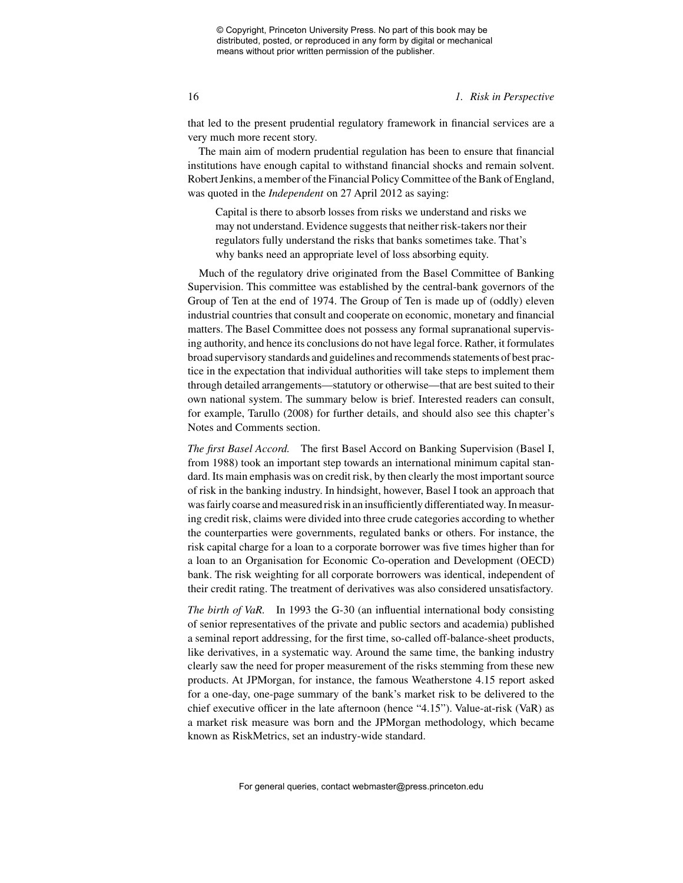16 *1. Risk in Perspective*

that led to the present prudential regulatory framework in financial services are a very much more recent story.

The main aim of modern prudential regulation has been to ensure that financial institutions have enough capital to withstand financial shocks and remain solvent. Robert Jenkins, a member of the Financial Policy Committee of the Bank of England, was quoted in the *Independent* on 27 April 2012 as saying:

Capital is there to absorb losses from risks we understand and risks we may not understand. Evidence suggests that neither risk-takers nor their regulators fully understand the risks that banks sometimes take. That's why banks need an appropriate level of loss absorbing equity.

Much of the regulatory drive originated from the Basel Committee of Banking Supervision. This committee was established by the central-bank governors of the Group of Ten at the end of 1974. The Group of Ten is made up of (oddly) eleven industrial countries that consult and cooperate on economic, monetary and financial matters. The Basel Committee does not possess any formal supranational supervising authority, and hence its conclusions do not have legal force. Rather, it formulates broad supervisory standards and guidelines and recommends statements of best practice in the expectation that individual authorities will take steps to implement them through detailed arrangements—statutory or otherwise—that are best suited to their own national system. The summary below is brief. Interested readers can consult, for example, Tarullo (2008) for further details, and should also see this chapter's Notes and Comments section.

*The first Basel Accord.* The first Basel Accord on Banking Supervision (Basel I, from 1988) took an important step towards an international minimum capital standard. Its main emphasis was on credit risk, by then clearly the most important source of risk in the banking industry. In hindsight, however, Basel I took an approach that was fairly coarse and measured risk in an insufficiently differentiated way. In measuring credit risk, claims were divided into three crude categories according to whether the counterparties were governments, regulated banks or others. For instance, the risk capital charge for a loan to a corporate borrower was five times higher than for a loan to an Organisation for Economic Co-operation and Development (OECD) bank. The risk weighting for all corporate borrowers was identical, independent of their credit rating. The treatment of derivatives was also considered unsatisfactory.

*The birth of VaR.* In 1993 the G-30 (an influential international body consisting of senior representatives of the private and public sectors and academia) published a seminal report addressing, for the first time, so-called off-balance-sheet products, like derivatives, in a systematic way. Around the same time, the banking industry clearly saw the need for proper measurement of the risks stemming from these new products. At JPMorgan, for instance, the famous Weatherstone 4.15 report asked for a one-day, one-page summary of the bank's market risk to be delivered to the chief executive officer in the late afternoon (hence "4.15"). Value-at-risk (VaR) as a market risk measure was born and the JPMorgan methodology, which became known as RiskMetrics, set an industry-wide standard.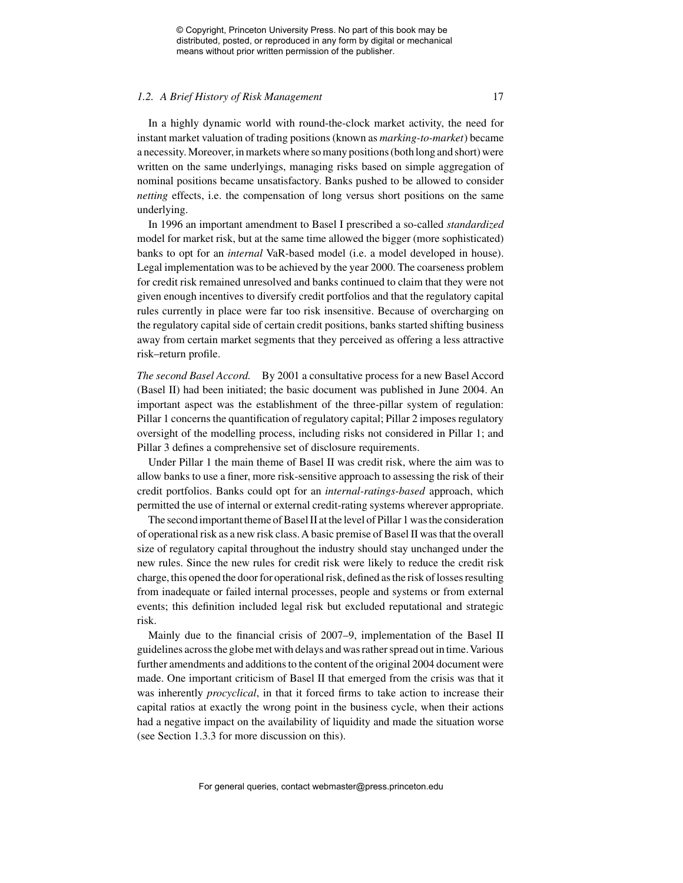#### *1.2. A Brief History of Risk Management* 17

In a highly dynamic world with round-the-clock market activity, the need for instant market valuation of trading positions (known as *marking-to-market*) became a necessity. Moreover, in markets where so many positions (both long and short) were written on the same underlyings, managing risks based on simple aggregation of nominal positions became unsatisfactory. Banks pushed to be allowed to consider *netting* effects, i.e. the compensation of long versus short positions on the same underlying.

In 1996 an important amendment to Basel I prescribed a so-called *standardized* model for market risk, but at the same time allowed the bigger (more sophisticated) banks to opt for an *internal* VaR-based model (i.e. a model developed in house). Legal implementation was to be achieved by the year 2000. The coarseness problem for credit risk remained unresolved and banks continued to claim that they were not given enough incentives to diversify credit portfolios and that the regulatory capital rules currently in place were far too risk insensitive. Because of overcharging on the regulatory capital side of certain credit positions, banks started shifting business away from certain market segments that they perceived as offering a less attractive risk–return profile.

*The second Basel Accord.* By 2001 a consultative process for a new Basel Accord (Basel II) had been initiated; the basic document was published in June 2004. An important aspect was the establishment of the three-pillar system of regulation: Pillar 1 concerns the quantification of regulatory capital; Pillar 2 imposes regulatory oversight of the modelling process, including risks not considered in Pillar 1; and Pillar 3 defines a comprehensive set of disclosure requirements.

Under Pillar 1 the main theme of Basel II was credit risk, where the aim was to allow banks to use a finer, more risk-sensitive approach to assessing the risk of their credit portfolios. Banks could opt for an *internal-ratings-based* approach, which permitted the use of internal or external credit-rating systems wherever appropriate.

The second important theme of Basel II at the level of Pillar 1 was the consideration of operational risk as a new risk class.A basic premise of Basel II was that the overall size of regulatory capital throughout the industry should stay unchanged under the new rules. Since the new rules for credit risk were likely to reduce the credit risk charge, this opened the door for operational risk, defined as the risk of losses resulting from inadequate or failed internal processes, people and systems or from external events; this definition included legal risk but excluded reputational and strategic risk.

Mainly due to the financial crisis of 2007–9, implementation of the Basel II guidelines across the globe met with delays and was rather spread out in time.Various further amendments and additions to the content of the original 2004 document were made. One important criticism of Basel II that emerged from the crisis was that it was inherently *procyclical*, in that it forced firms to take action to increase their capital ratios at exactly the wrong point in the business cycle, when their actions had a negative impact on the availability of liquidity and made the situation worse (see Section 1.3.3 for more discussion on this).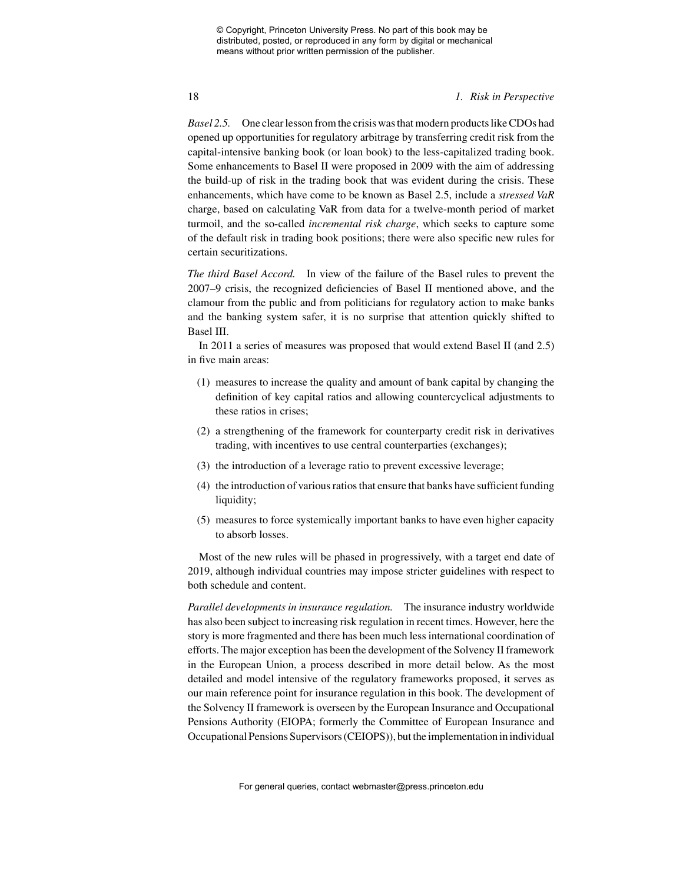### 18 *1. Risk in Perspective*

*Basel 2.5.* One clear lesson from the crisis was that modern products like CDOs had opened up opportunities for regulatory arbitrage by transferring credit risk from the capital-intensive banking book (or loan book) to the less-capitalized trading book. Some enhancements to Basel II were proposed in 2009 with the aim of addressing the build-up of risk in the trading book that was evident during the crisis. These enhancements, which have come to be known as Basel 2.5, include a *stressed VaR* charge, based on calculating VaR from data for a twelve-month period of market turmoil, and the so-called *incremental risk charge*, which seeks to capture some of the default risk in trading book positions; there were also specific new rules for certain securitizations.

*The third Basel Accord.* In view of the failure of the Basel rules to prevent the 2007–9 crisis, the recognized deficiencies of Basel II mentioned above, and the clamour from the public and from politicians for regulatory action to make banks and the banking system safer, it is no surprise that attention quickly shifted to Basel III.

In 2011 a series of measures was proposed that would extend Basel II (and 2.5) in five main areas:

- (1) measures to increase the quality and amount of bank capital by changing the definition of key capital ratios and allowing countercyclical adjustments to these ratios in crises;
- (2) a strengthening of the framework for counterparty credit risk in derivatives trading, with incentives to use central counterparties (exchanges);
- (3) the introduction of a leverage ratio to prevent excessive leverage;
- (4) the introduction of various ratios that ensure that banks have sufficient funding liquidity;
- (5) measures to force systemically important banks to have even higher capacity to absorb losses.

Most of the new rules will be phased in progressively, with a target end date of 2019, although individual countries may impose stricter guidelines with respect to both schedule and content.

*Parallel developments in insurance regulation.* The insurance industry worldwide has also been subject to increasing risk regulation in recent times. However, here the story is more fragmented and there has been much less international coordination of efforts. The major exception has been the development of the Solvency II framework in the European Union, a process described in more detail below. As the most detailed and model intensive of the regulatory frameworks proposed, it serves as our main reference point for insurance regulation in this book. The development of the Solvency II framework is overseen by the European Insurance and Occupational Pensions Authority (EIOPA; formerly the Committee of European Insurance and Occupational Pensions Supervisors (CEIOPS)), but the implementation in individual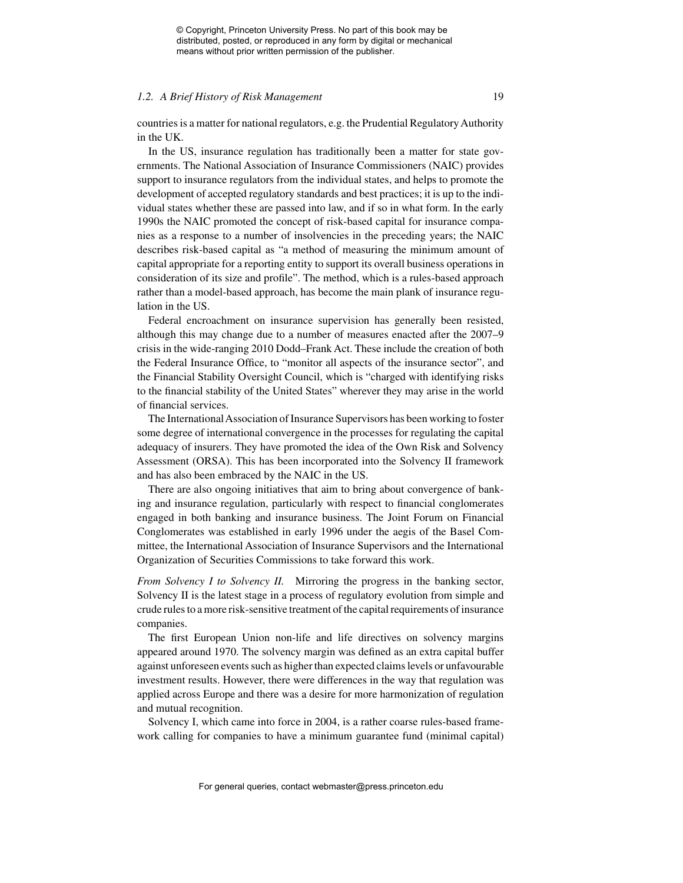#### *1.2. A Brief History of Risk Management* 19

countries is a matter for national regulators, e.g. the Prudential Regulatory Authority in the UK.

In the US, insurance regulation has traditionally been a matter for state governments. The National Association of Insurance Commissioners (NAIC) provides support to insurance regulators from the individual states, and helps to promote the development of accepted regulatory standards and best practices; it is up to the individual states whether these are passed into law, and if so in what form. In the early 1990s the NAIC promoted the concept of risk-based capital for insurance companies as a response to a number of insolvencies in the preceding years; the NAIC describes risk-based capital as "a method of measuring the minimum amount of capital appropriate for a reporting entity to support its overall business operations in consideration of its size and profile". The method, which is a rules-based approach rather than a model-based approach, has become the main plank of insurance regulation in the US.

Federal encroachment on insurance supervision has generally been resisted, although this may change due to a number of measures enacted after the 2007–9 crisis in the wide-ranging 2010 Dodd–Frank Act. These include the creation of both the Federal Insurance Office, to "monitor all aspects of the insurance sector", and the Financial Stability Oversight Council, which is "charged with identifying risks to the financial stability of the United States" wherever they may arise in the world of financial services.

The International Association of Insurance Supervisors has been working to foster some degree of international convergence in the processes for regulating the capital adequacy of insurers. They have promoted the idea of the Own Risk and Solvency Assessment (ORSA). This has been incorporated into the Solvency II framework and has also been embraced by the NAIC in the US.

There are also ongoing initiatives that aim to bring about convergence of banking and insurance regulation, particularly with respect to financial conglomerates engaged in both banking and insurance business. The Joint Forum on Financial Conglomerates was established in early 1996 under the aegis of the Basel Committee, the International Association of Insurance Supervisors and the International Organization of Securities Commissions to take forward this work.

*From Solvency I to Solvency II.* Mirroring the progress in the banking sector, Solvency II is the latest stage in a process of regulatory evolution from simple and crude rules to a more risk-sensitive treatment of the capital requirements of insurance companies.

The first European Union non-life and life directives on solvency margins appeared around 1970. The solvency margin was defined as an extra capital buffer against unforeseen events such as higher than expected claims levels or unfavourable investment results. However, there were differences in the way that regulation was applied across Europe and there was a desire for more harmonization of regulation and mutual recognition.

Solvency I, which came into force in 2004, is a rather coarse rules-based framework calling for companies to have a minimum guarantee fund (minimal capital)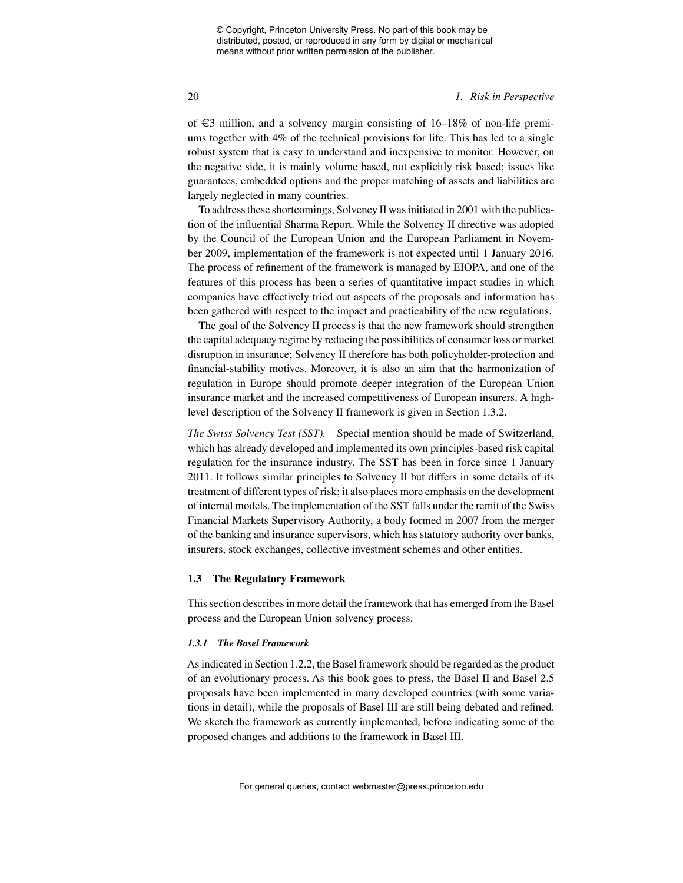### 20 *1. Risk in Perspective*

of  $€3$  million, and a solvency margin consisting of 16–18% of non-life premiums together with 4% of the technical provisions for life. This has led to a single robust system that is easy to understand and inexpensive to monitor. However, on the negative side, it is mainly volume based, not explicitly risk based; issues like guarantees, embedded options and the proper matching of assets and liabilities are largely neglected in many countries.

To address these shortcomings, Solvency II was initiated in 2001 with the publication of the influential Sharma Report. While the Solvency II directive was adopted by the Council of the European Union and the European Parliament in November 2009, implementation of the framework is not expected until 1 January 2016. The process of refinement of the framework is managed by EIOPA, and one of the features of this process has been a series of quantitative impact studies in which companies have effectively tried out aspects of the proposals and information has been gathered with respect to the impact and practicability of the new regulations.

The goal of the Solvency II process is that the new framework should strengthen the capital adequacy regime by reducing the possibilities of consumer loss or market disruption in insurance; Solvency II therefore has both policyholder-protection and financial-stability motives. Moreover, it is also an aim that the harmonization of regulation in Europe should promote deeper integration of the European Union insurance market and the increased competitiveness of European insurers. A highlevel description of the Solvency II framework is given in Section 1.3.2.

*The Swiss Solvency Test (SST).* Special mention should be made of Switzerland, which has already developed and implemented its own principles-based risk capital regulation for the insurance industry. The SST has been in force since 1 January 2011. It follows similar principles to Solvency II but differs in some details of its treatment of different types of risk; it also places more emphasis on the development of internal models. The implementation of the SST falls under the remit of the Swiss Financial Markets Supervisory Authority, a body formed in 2007 from the merger of the banking and insurance supervisors, which has statutory authority over banks, insurers, stock exchanges, collective investment schemes and other entities.

### **1.3 The Regulatory Framework**

This section describes in more detail the framework that has emerged from the Basel process and the European Union solvency process.

#### *1.3.1 The Basel Framework*

As indicated in Section 1.2.2, the Basel framework should be regarded as the product of an evolutionary process. As this book goes to press, the Basel II and Basel 2.5 proposals have been implemented in many developed countries (with some variations in detail), while the proposals of Basel III are still being debated and refined. We sketch the framework as currently implemented, before indicating some of the proposed changes and additions to the framework in Basel III.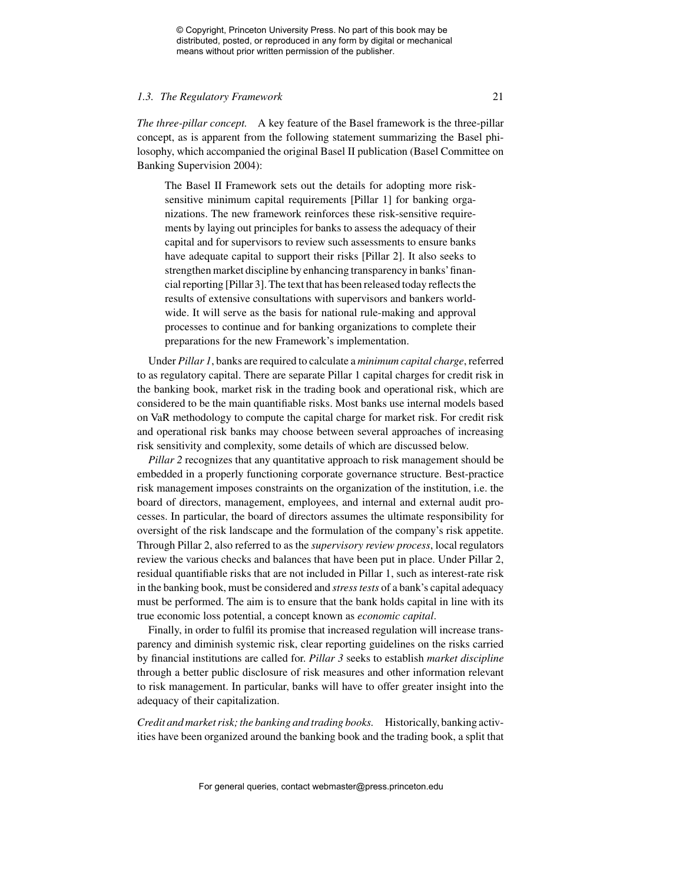#### *1.3. The Regulatory Framework* 21

*The three-pillar concept.* A key feature of the Basel framework is the three-pillar concept, as is apparent from the following statement summarizing the Basel philosophy, which accompanied the original Basel II publication (Basel Committee on Banking Supervision 2004):

The Basel II Framework sets out the details for adopting more risksensitive minimum capital requirements [Pillar 1] for banking organizations. The new framework reinforces these risk-sensitive requirements by laying out principles for banks to assess the adequacy of their capital and for supervisors to review such assessments to ensure banks have adequate capital to support their risks [Pillar 2]. It also seeks to strengthen market discipline by enhancing transparency in banks'financial reporting [Pillar 3]. The text that has been released today reflects the results of extensive consultations with supervisors and bankers worldwide. It will serve as the basis for national rule-making and approval processes to continue and for banking organizations to complete their preparations for the new Framework's implementation.

Under *Pillar 1*, banks are required to calculate a *minimum capital charge*, referred to as regulatory capital. There are separate Pillar 1 capital charges for credit risk in the banking book, market risk in the trading book and operational risk, which are considered to be the main quantifiable risks. Most banks use internal models based on VaR methodology to compute the capital charge for market risk. For credit risk and operational risk banks may choose between several approaches of increasing risk sensitivity and complexity, some details of which are discussed below.

*Pillar 2* recognizes that any quantitative approach to risk management should be embedded in a properly functioning corporate governance structure. Best-practice risk management imposes constraints on the organization of the institution, i.e. the board of directors, management, employees, and internal and external audit processes. In particular, the board of directors assumes the ultimate responsibility for oversight of the risk landscape and the formulation of the company's risk appetite. Through Pillar 2, also referred to as the *supervisory review process*, local regulators review the various checks and balances that have been put in place. Under Pillar 2, residual quantifiable risks that are not included in Pillar 1, such as interest-rate risk in the banking book, must be considered and *stress tests* of a bank's capital adequacy must be performed. The aim is to ensure that the bank holds capital in line with its true economic loss potential, a concept known as *economic capital*.

Finally, in order to fulfil its promise that increased regulation will increase transparency and diminish systemic risk, clear reporting guidelines on the risks carried by financial institutions are called for. *Pillar 3* seeks to establish *market discipline* through a better public disclosure of risk measures and other information relevant to risk management. In particular, banks will have to offer greater insight into the adequacy of their capitalization.

*Credit and market risk; the banking and trading books.* Historically, banking activities have been organized around the banking book and the trading book, a split that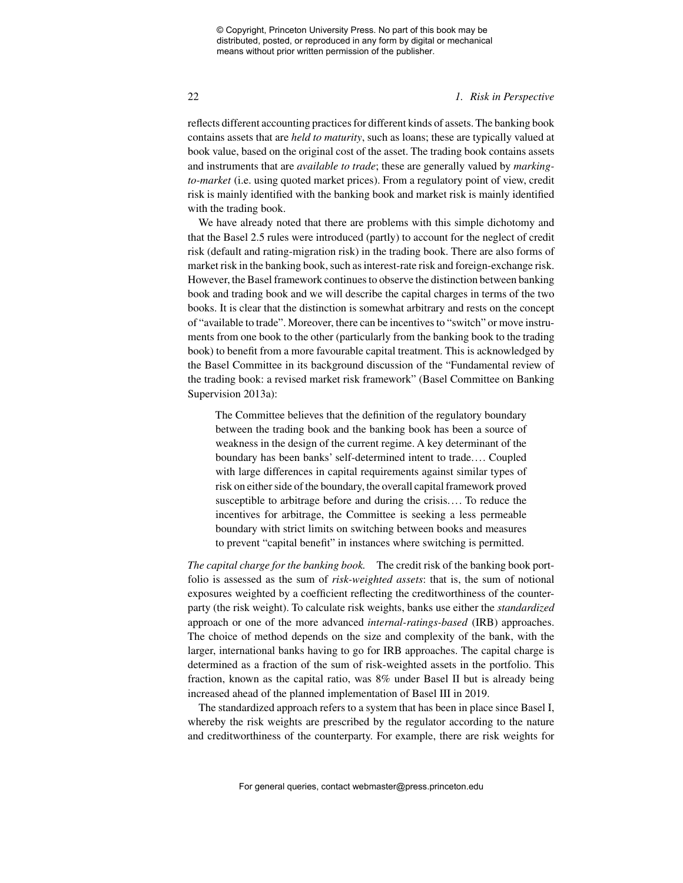#### 22 *1. Risk in Perspective*

reflects different accounting practices for different kinds of assets. The banking book contains assets that are *held to maturity*, such as loans; these are typically valued at book value, based on the original cost of the asset. The trading book contains assets and instruments that are *available to trade*; these are generally valued by *markingto-market* (i.e. using quoted market prices). From a regulatory point of view, credit risk is mainly identified with the banking book and market risk is mainly identified with the trading book.

We have already noted that there are problems with this simple dichotomy and that the Basel 2.5 rules were introduced (partly) to account for the neglect of credit risk (default and rating-migration risk) in the trading book. There are also forms of market risk in the banking book, such as interest-rate risk and foreign-exchange risk. However, the Basel framework continues to observe the distinction between banking book and trading book and we will describe the capital charges in terms of the two books. It is clear that the distinction is somewhat arbitrary and rests on the concept of "available to trade". Moreover, there can be incentives to "switch" or move instruments from one book to the other (particularly from the banking book to the trading book) to benefit from a more favourable capital treatment. This is acknowledged by the Basel Committee in its background discussion of the "Fundamental review of the trading book: a revised market risk framework" (Basel Committee on Banking Supervision 2013a):

The Committee believes that the definition of the regulatory boundary between the trading book and the banking book has been a source of weakness in the design of the current regime. A key determinant of the boundary has been banks' self-determined intent to trade.... Coupled with large differences in capital requirements against similar types of risk on either side of the boundary, the overall capital framework proved susceptible to arbitrage before and during the crisis.... To reduce the incentives for arbitrage, the Committee is seeking a less permeable boundary with strict limits on switching between books and measures to prevent "capital benefit" in instances where switching is permitted.

*The capital charge for the banking book.* The credit risk of the banking book portfolio is assessed as the sum of *risk-weighted assets*: that is, the sum of notional exposures weighted by a coefficient reflecting the creditworthiness of the counterparty (the risk weight). To calculate risk weights, banks use either the *standardized* approach or one of the more advanced *internal-ratings-based* (IRB) approaches. The choice of method depends on the size and complexity of the bank, with the larger, international banks having to go for IRB approaches. The capital charge is determined as a fraction of the sum of risk-weighted assets in the portfolio. This fraction, known as the capital ratio, was 8% under Basel II but is already being increased ahead of the planned implementation of Basel III in 2019.

The standardized approach refers to a system that has been in place since Basel I, whereby the risk weights are prescribed by the regulator according to the nature and creditworthiness of the counterparty. For example, there are risk weights for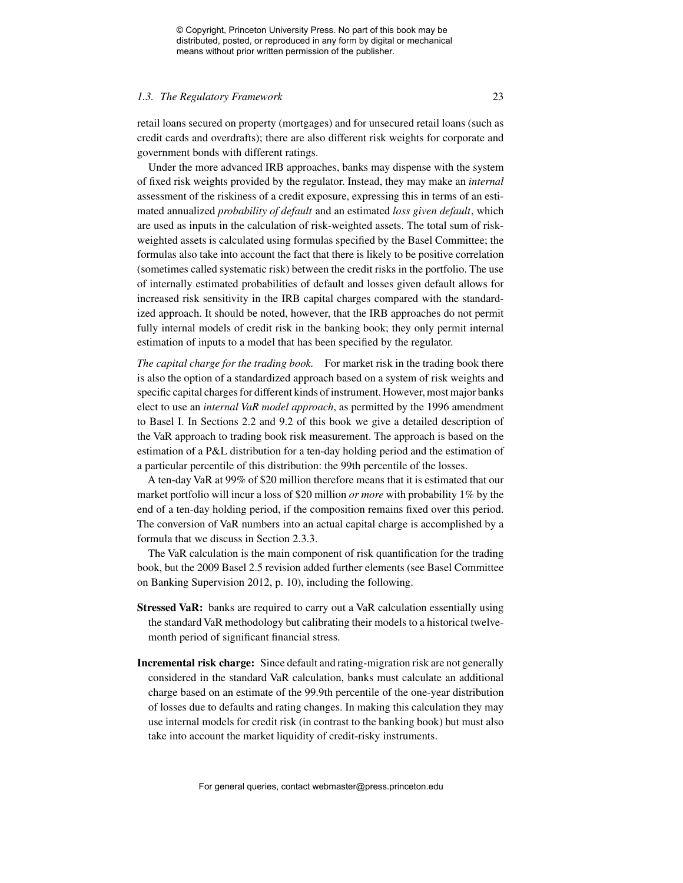#### *1.3. The Regulatory Framework* 23

retail loans secured on property (mortgages) and for unsecured retail loans (such as credit cards and overdrafts); there are also different risk weights for corporate and government bonds with different ratings.

Under the more advanced IRB approaches, banks may dispense with the system of fixed risk weights provided by the regulator. Instead, they may make an *internal* assessment of the riskiness of a credit exposure, expressing this in terms of an estimated annualized *probability of default* and an estimated *loss given default*, which are used as inputs in the calculation of risk-weighted assets. The total sum of riskweighted assets is calculated using formulas specified by the Basel Committee; the formulas also take into account the fact that there is likely to be positive correlation (sometimes called systematic risk) between the credit risks in the portfolio. The use of internally estimated probabilities of default and losses given default allows for increased risk sensitivity in the IRB capital charges compared with the standardized approach. It should be noted, however, that the IRB approaches do not permit fully internal models of credit risk in the banking book; they only permit internal estimation of inputs to a model that has been specified by the regulator.

*The capital charge for the trading book.* For market risk in the trading book there is also the option of a standardized approach based on a system of risk weights and specific capital charges for different kinds of instrument. However, most major banks elect to use an *internal VaR model approach*, as permitted by the 1996 amendment to Basel I. In Sections 2.2 and 9.2 of this book we give a detailed description of the VaR approach to trading book risk measurement. The approach is based on the estimation of a P&L distribution for a ten-day holding period and the estimation of a particular percentile of this distribution: the 99th percentile of the losses.

A ten-day VaR at 99% of \$20 million therefore means that it is estimated that our market portfolio will incur a loss of \$20 million *or more* with probability 1% by the end of a ten-day holding period, if the composition remains fixed over this period. The conversion of VaR numbers into an actual capital charge is accomplished by a formula that we discuss in Section 2.3.3.

The VaR calculation is the main component of risk quantification for the trading book, but the 2009 Basel 2.5 revision added further elements (see Basel Committee on Banking Supervision 2012, p. 10), including the following.

- **Stressed VaR:** banks are required to carry out a VaR calculation essentially using the standard VaR methodology but calibrating their models to a historical twelvemonth period of significant financial stress.
- **Incremental risk charge:** Since default and rating-migration risk are not generally considered in the standard VaR calculation, banks must calculate an additional charge based on an estimate of the 99.9th percentile of the one-year distribution of losses due to defaults and rating changes. In making this calculation they may use internal models for credit risk (in contrast to the banking book) but must also take into account the market liquidity of credit-risky instruments.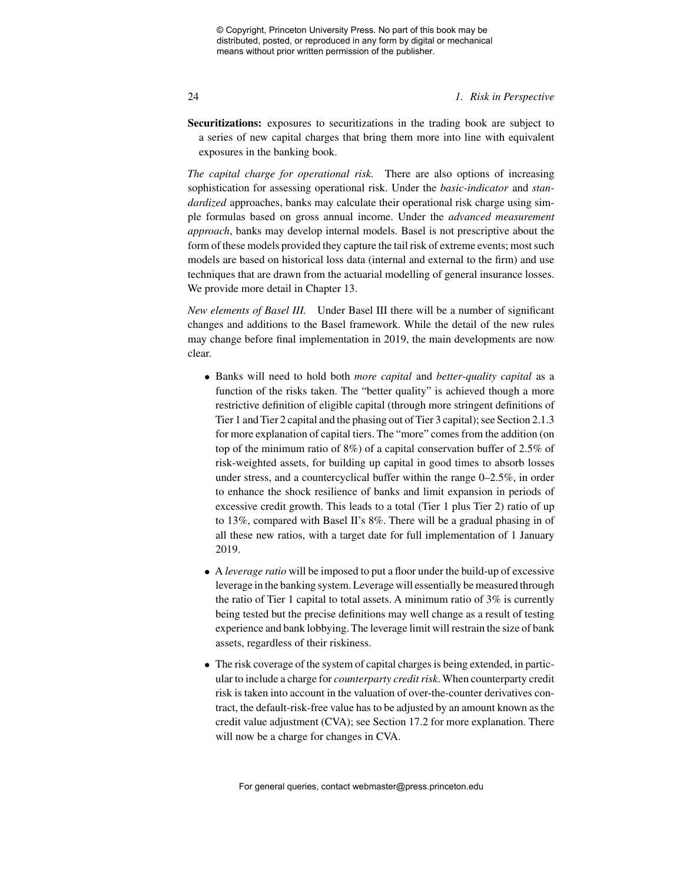### 24 *1. Risk in Perspective*

**Securitizations:** exposures to securitizations in the trading book are subject to a series of new capital charges that bring them more into line with equivalent exposures in the banking book.

*The capital charge for operational risk.* There are also options of increasing sophistication for assessing operational risk. Under the *basic-indicator* and *standardized* approaches, banks may calculate their operational risk charge using simple formulas based on gross annual income. Under the *advanced measurement approach*, banks may develop internal models. Basel is not prescriptive about the form of these models provided they capture the tail risk of extreme events; most such models are based on historical loss data (internal and external to the firm) and use techniques that are drawn from the actuarial modelling of general insurance losses. We provide more detail in Chapter 13.

*New elements of Basel III.* Under Basel III there will be a number of significant changes and additions to the Basel framework. While the detail of the new rules may change before final implementation in 2019, the main developments are now clear.

- Banks will need to hold both *more capital* and *better-quality capital* as a function of the risks taken. The "better quality" is achieved though a more restrictive definition of eligible capital (through more stringent definitions of Tier 1 and Tier 2 capital and the phasing out of Tier 3 capital); see Section 2.1.3 for more explanation of capital tiers. The "more" comes from the addition (on top of the minimum ratio of 8%) of a capital conservation buffer of 2.5% of risk-weighted assets, for building up capital in good times to absorb losses under stress, and a countercyclical buffer within the range 0–2.5%, in order to enhance the shock resilience of banks and limit expansion in periods of excessive credit growth. This leads to a total (Tier 1 plus Tier 2) ratio of up to 13%, compared with Basel II's 8%. There will be a gradual phasing in of all these new ratios, with a target date for full implementation of 1 January 2019.
- A *leverage ratio* will be imposed to put a floor under the build-up of excessive leverage in the banking system. Leverage will essentially be measured through the ratio of Tier 1 capital to total assets. A minimum ratio of 3% is currently being tested but the precise definitions may well change as a result of testing experience and bank lobbying. The leverage limit will restrain the size of bank assets, regardless of their riskiness.
- The risk coverage of the system of capital charges is being extended, in particular to include a charge for *counterparty credit risk*. When counterparty credit risk is taken into account in the valuation of over-the-counter derivatives contract, the default-risk-free value has to be adjusted by an amount known as the credit value adjustment (CVA); see Section 17.2 for more explanation. There will now be a charge for changes in CVA.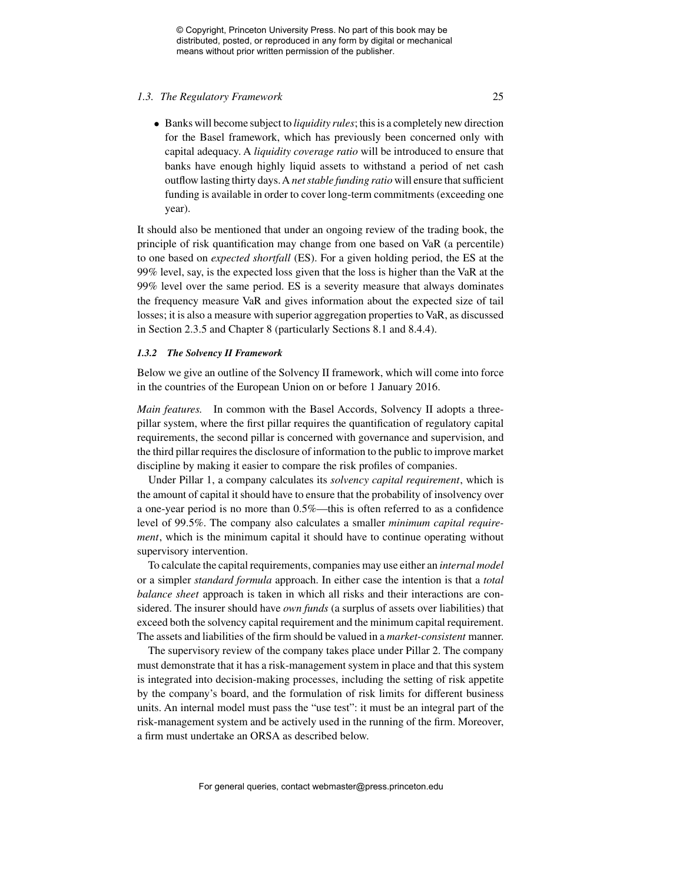#### *1.3. The Regulatory Framework* 25

• Banks will become subject to *liquidity rules*; this is a completely new direction for the Basel framework, which has previously been concerned only with capital adequacy. A *liquidity coverage ratio* will be introduced to ensure that banks have enough highly liquid assets to withstand a period of net cash outflow lasting thirty days.A *net stable funding ratio* will ensure that sufficient funding is available in order to cover long-term commitments (exceeding one year).

It should also be mentioned that under an ongoing review of the trading book, the principle of risk quantification may change from one based on VaR (a percentile) to one based on *expected shortfall* (ES). For a given holding period, the ES at the 99% level, say, is the expected loss given that the loss is higher than the VaR at the 99% level over the same period. ES is a severity measure that always dominates the frequency measure VaR and gives information about the expected size of tail losses; it is also a measure with superior aggregation properties to VaR, as discussed in Section 2.3.5 and Chapter 8 (particularly Sections 8.1 and 8.4.4).

#### *1.3.2 The Solvency II Framework*

Below we give an outline of the Solvency II framework, which will come into force in the countries of the European Union on or before 1 January 2016.

*Main features.* In common with the Basel Accords, Solvency II adopts a threepillar system, where the first pillar requires the quantification of regulatory capital requirements, the second pillar is concerned with governance and supervision, and the third pillar requires the disclosure of information to the public to improve market discipline by making it easier to compare the risk profiles of companies.

Under Pillar 1, a company calculates its *solvency capital requirement*, which is the amount of capital it should have to ensure that the probability of insolvency over a one-year period is no more than 0.5%—this is often referred to as a confidence level of 99.5%. The company also calculates a smaller *minimum capital requirement*, which is the minimum capital it should have to continue operating without supervisory intervention.

To calculate the capital requirements, companies may use either an *internal model* or a simpler *standard formula* approach. In either case the intention is that a *total balance sheet* approach is taken in which all risks and their interactions are considered. The insurer should have *own funds* (a surplus of assets over liabilities) that exceed both the solvency capital requirement and the minimum capital requirement. The assets and liabilities of the firm should be valued in a *market-consistent* manner.

The supervisory review of the company takes place under Pillar 2. The company must demonstrate that it has a risk-management system in place and that this system is integrated into decision-making processes, including the setting of risk appetite by the company's board, and the formulation of risk limits for different business units. An internal model must pass the "use test": it must be an integral part of the risk-management system and be actively used in the running of the firm. Moreover, a firm must undertake an ORSA as described below.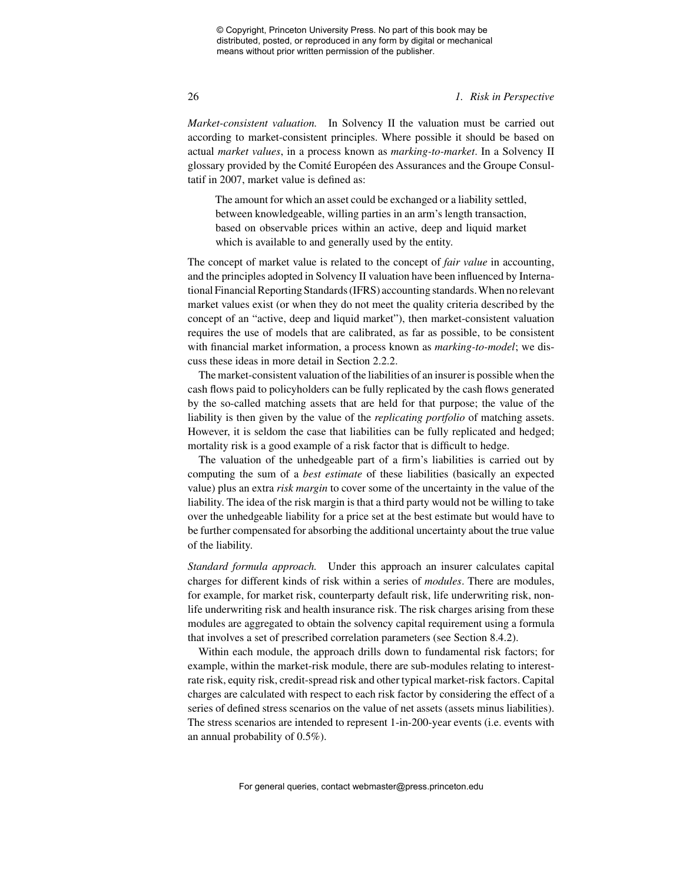#### 26 *1. Risk in Perspective*

*Market-consistent valuation.* In Solvency II the valuation must be carried out according to market-consistent principles. Where possible it should be based on actual *market values*, in a process known as *marking-to-market*. In a Solvency II glossary provided by the Comité Européen des Assurances and the Groupe Consultatif in 2007, market value is defined as:

The amount for which an asset could be exchanged or a liability settled, between knowledgeable, willing parties in an arm's length transaction, based on observable prices within an active, deep and liquid market which is available to and generally used by the entity.

The concept of market value is related to the concept of *fair value* in accounting, and the principles adopted in Solvency II valuation have been influenced by International Financial Reporting Standards (IFRS) accounting standards.When no relevant market values exist (or when they do not meet the quality criteria described by the concept of an "active, deep and liquid market"), then market-consistent valuation requires the use of models that are calibrated, as far as possible, to be consistent with financial market information, a process known as *marking-to-model*; we discuss these ideas in more detail in Section 2.2.2.

The market-consistent valuation of the liabilities of an insurer is possible when the cash flows paid to policyholders can be fully replicated by the cash flows generated by the so-called matching assets that are held for that purpose; the value of the liability is then given by the value of the *replicating portfolio* of matching assets. However, it is seldom the case that liabilities can be fully replicated and hedged; mortality risk is a good example of a risk factor that is difficult to hedge.

The valuation of the unhedgeable part of a firm's liabilities is carried out by computing the sum of a *best estimate* of these liabilities (basically an expected value) plus an extra *risk margin* to cover some of the uncertainty in the value of the liability. The idea of the risk margin is that a third party would not be willing to take over the unhedgeable liability for a price set at the best estimate but would have to be further compensated for absorbing the additional uncertainty about the true value of the liability.

*Standard formula approach.* Under this approach an insurer calculates capital charges for different kinds of risk within a series of *modules*. There are modules, for example, for market risk, counterparty default risk, life underwriting risk, nonlife underwriting risk and health insurance risk. The risk charges arising from these modules are aggregated to obtain the solvency capital requirement using a formula that involves a set of prescribed correlation parameters (see Section 8.4.2).

Within each module, the approach drills down to fundamental risk factors; for example, within the market-risk module, there are sub-modules relating to interestrate risk, equity risk, credit-spread risk and other typical market-risk factors. Capital charges are calculated with respect to each risk factor by considering the effect of a series of defined stress scenarios on the value of net assets (assets minus liabilities). The stress scenarios are intended to represent 1-in-200-year events (i.e. events with an annual probability of 0.5%).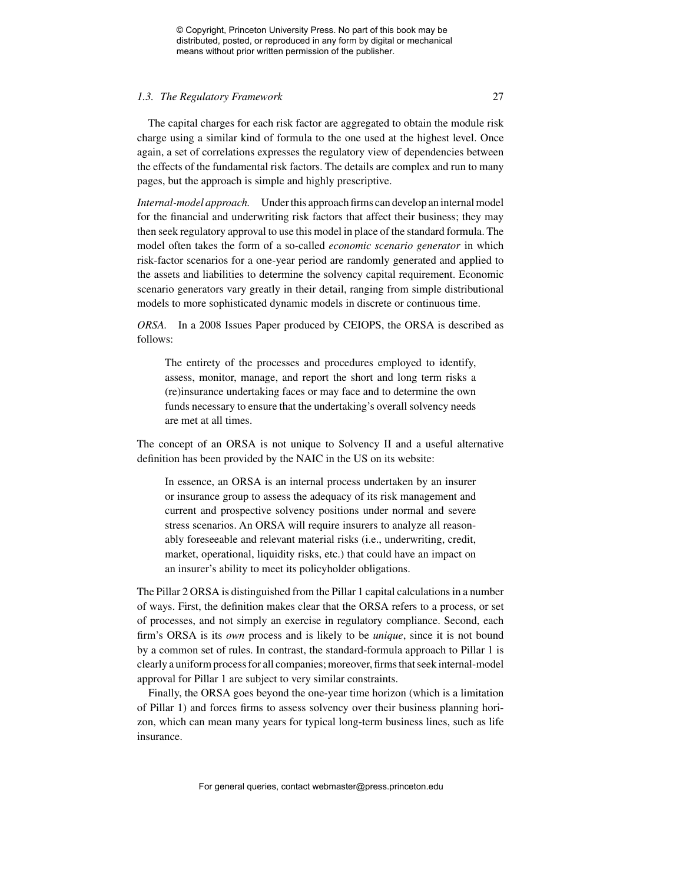#### *1.3. The Regulatory Framework* 27

The capital charges for each risk factor are aggregated to obtain the module risk charge using a similar kind of formula to the one used at the highest level. Once again, a set of correlations expresses the regulatory view of dependencies between the effects of the fundamental risk factors. The details are complex and run to many pages, but the approach is simple and highly prescriptive.

*Internal-model approach.* Under this approach firms can develop an internal model for the financial and underwriting risk factors that affect their business; they may then seek regulatory approval to use this model in place of the standard formula. The model often takes the form of a so-called *economic scenario generator* in which risk-factor scenarios for a one-year period are randomly generated and applied to the assets and liabilities to determine the solvency capital requirement. Economic scenario generators vary greatly in their detail, ranging from simple distributional models to more sophisticated dynamic models in discrete or continuous time.

*ORSA.* In a 2008 Issues Paper produced by CEIOPS, the ORSA is described as follows:

The entirety of the processes and procedures employed to identify, assess, monitor, manage, and report the short and long term risks a (re)insurance undertaking faces or may face and to determine the own funds necessary to ensure that the undertaking's overall solvency needs are met at all times.

The concept of an ORSA is not unique to Solvency II and a useful alternative definition has been provided by the NAIC in the US on its website:

In essence, an ORSA is an internal process undertaken by an insurer or insurance group to assess the adequacy of its risk management and current and prospective solvency positions under normal and severe stress scenarios. An ORSA will require insurers to analyze all reasonably foreseeable and relevant material risks (i.e., underwriting, credit, market, operational, liquidity risks, etc.) that could have an impact on an insurer's ability to meet its policyholder obligations.

The Pillar 2 ORSA is distinguished from the Pillar 1 capital calculations in a number of ways. First, the definition makes clear that the ORSA refers to a process, or set of processes, and not simply an exercise in regulatory compliance. Second, each firm's ORSA is its *own* process and is likely to be *unique*, since it is not bound by a common set of rules. In contrast, the standard-formula approach to Pillar 1 is clearly a uniform process for all companies; moreover, firms that seek internal-model approval for Pillar 1 are subject to very similar constraints.

Finally, the ORSA goes beyond the one-year time horizon (which is a limitation of Pillar 1) and forces firms to assess solvency over their business planning horizon, which can mean many years for typical long-term business lines, such as life insurance.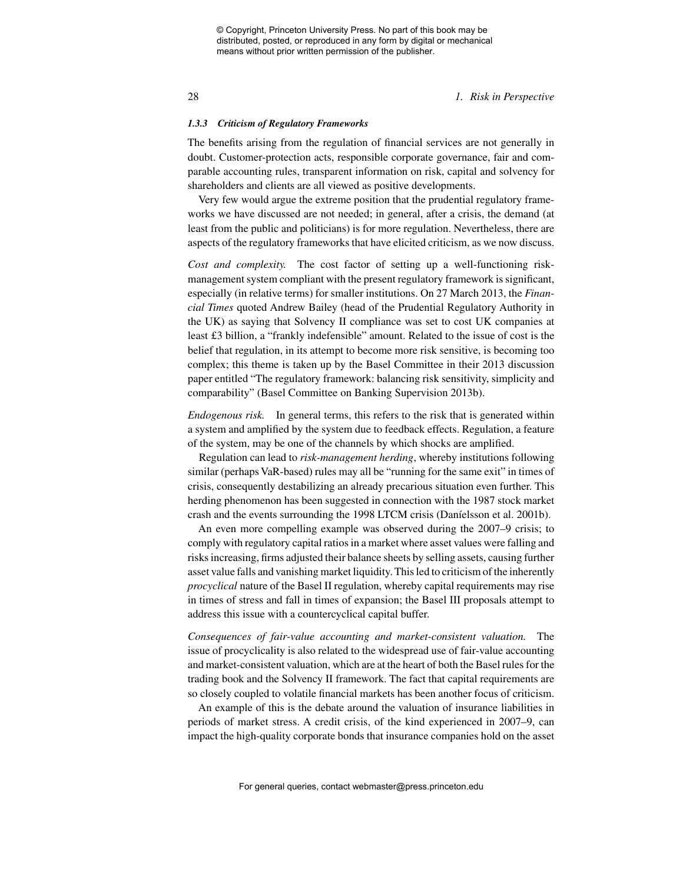28 *1. Risk in Perspective*

#### *1.3.3 Criticism of Regulatory Frameworks*

The benefits arising from the regulation of financial services are not generally in doubt. Customer-protection acts, responsible corporate governance, fair and comparable accounting rules, transparent information on risk, capital and solvency for shareholders and clients are all viewed as positive developments.

Very few would argue the extreme position that the prudential regulatory frameworks we have discussed are not needed; in general, after a crisis, the demand (at least from the public and politicians) is for more regulation. Nevertheless, there are aspects of the regulatory frameworks that have elicited criticism, as we now discuss.

*Cost and complexity.* The cost factor of setting up a well-functioning riskmanagement system compliant with the present regulatory framework is significant, especially (in relative terms) for smaller institutions. On 27 March 2013, the *Financial Times* quoted Andrew Bailey (head of the Prudential Regulatory Authority in the UK) as saying that Solvency II compliance was set to cost UK companies at least £3 billion, a "frankly indefensible" amount. Related to the issue of cost is the belief that regulation, in its attempt to become more risk sensitive, is becoming too complex; this theme is taken up by the Basel Committee in their 2013 discussion paper entitled "The regulatory framework: balancing risk sensitivity, simplicity and comparability" (Basel Committee on Banking Supervision 2013b).

*Endogenous risk.* In general terms, this refers to the risk that is generated within a system and amplified by the system due to feedback effects. Regulation, a feature of the system, may be one of the channels by which shocks are amplified.

Regulation can lead to *risk-management herding*, whereby institutions following similar (perhaps VaR-based) rules may all be "running for the same exit" in times of crisis, consequently destabilizing an already precarious situation even further. This herding phenomenon has been suggested in connection with the 1987 stock market crash and the events surrounding the 1998 LTCM crisis (Daníelsson et al. 2001b).

An even more compelling example was observed during the 2007–9 crisis; to comply with regulatory capital ratios in a market where asset values were falling and risks increasing, firms adjusted their balance sheets by selling assets, causing further asset value falls and vanishing market liquidity. This led to criticism of the inherently *procyclical* nature of the Basel II regulation, whereby capital requirements may rise in times of stress and fall in times of expansion; the Basel III proposals attempt to address this issue with a countercyclical capital buffer.

*Consequences of fair-value accounting and market-consistent valuation.* The issue of procyclicality is also related to the widespread use of fair-value accounting and market-consistent valuation, which are at the heart of both the Basel rules for the trading book and the Solvency II framework. The fact that capital requirements are so closely coupled to volatile financial markets has been another focus of criticism.

An example of this is the debate around the valuation of insurance liabilities in periods of market stress. A credit crisis, of the kind experienced in 2007–9, can impact the high-quality corporate bonds that insurance companies hold on the asset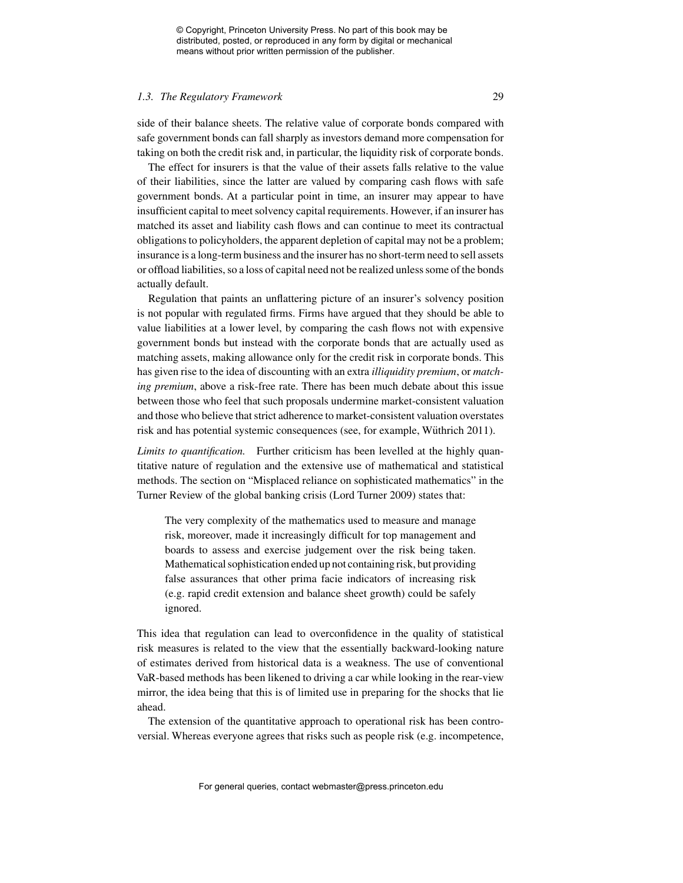#### *1.3. The Regulatory Framework* 29

side of their balance sheets. The relative value of corporate bonds compared with safe government bonds can fall sharply as investors demand more compensation for taking on both the credit risk and, in particular, the liquidity risk of corporate bonds.

The effect for insurers is that the value of their assets falls relative to the value of their liabilities, since the latter are valued by comparing cash flows with safe government bonds. At a particular point in time, an insurer may appear to have insufficient capital to meet solvency capital requirements. However, if an insurer has matched its asset and liability cash flows and can continue to meet its contractual obligations to policyholders, the apparent depletion of capital may not be a problem; insurance is a long-term business and the insurer has no short-term need to sell assets or offload liabilities, so a loss of capital need not be realized unless some of the bonds actually default.

Regulation that paints an unflattering picture of an insurer's solvency position is not popular with regulated firms. Firms have argued that they should be able to value liabilities at a lower level, by comparing the cash flows not with expensive government bonds but instead with the corporate bonds that are actually used as matching assets, making allowance only for the credit risk in corporate bonds. This has given rise to the idea of discounting with an extra *illiquidity premium*, or *matching premium*, above a risk-free rate. There has been much debate about this issue between those who feel that such proposals undermine market-consistent valuation and those who believe that strict adherence to market-consistent valuation overstates risk and has potential systemic consequences (see, for example, Wüthrich 2011).

*Limits to quantification.* Further criticism has been levelled at the highly quantitative nature of regulation and the extensive use of mathematical and statistical methods. The section on "Misplaced reliance on sophisticated mathematics" in the Turner Review of the global banking crisis (Lord Turner 2009) states that:

The very complexity of the mathematics used to measure and manage risk, moreover, made it increasingly difficult for top management and boards to assess and exercise judgement over the risk being taken. Mathematical sophistication ended up not containing risk, but providing false assurances that other prima facie indicators of increasing risk (e.g. rapid credit extension and balance sheet growth) could be safely ignored.

This idea that regulation can lead to overconfidence in the quality of statistical risk measures is related to the view that the essentially backward-looking nature of estimates derived from historical data is a weakness. The use of conventional VaR-based methods has been likened to driving a car while looking in the rear-view mirror, the idea being that this is of limited use in preparing for the shocks that lie ahead.

The extension of the quantitative approach to operational risk has been controversial. Whereas everyone agrees that risks such as people risk (e.g. incompetence,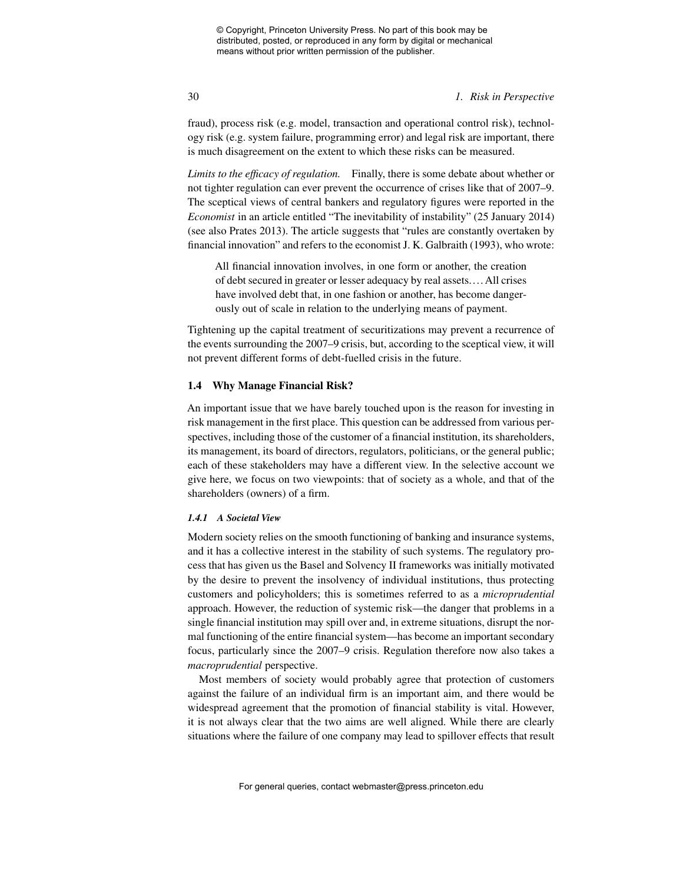### 30 *1. Risk in Perspective*

fraud), process risk (e.g. model, transaction and operational control risk), technology risk (e.g. system failure, programming error) and legal risk are important, there is much disagreement on the extent to which these risks can be measured.

*Limits to the efficacy of regulation.* Finally, there is some debate about whether or not tighter regulation can ever prevent the occurrence of crises like that of 2007–9. The sceptical views of central bankers and regulatory figures were reported in the *Economist* in an article entitled "The inevitability of instability" (25 January 2014) (see also Prates 2013). The article suggests that "rules are constantly overtaken by financial innovation" and refers to the economist J. K. Galbraith (1993), who wrote:

All financial innovation involves, in one form or another, the creation of debt secured in greater or lesser adequacy by real assets.... All crises have involved debt that, in one fashion or another, has become dangerously out of scale in relation to the underlying means of payment.

Tightening up the capital treatment of securitizations may prevent a recurrence of the events surrounding the 2007–9 crisis, but, according to the sceptical view, it will not prevent different forms of debt-fuelled crisis in the future.

### **1.4 Why Manage Financial Risk?**

An important issue that we have barely touched upon is the reason for investing in risk management in the first place. This question can be addressed from various perspectives, including those of the customer of a financial institution, its shareholders, its management, its board of directors, regulators, politicians, or the general public; each of these stakeholders may have a different view. In the selective account we give here, we focus on two viewpoints: that of society as a whole, and that of the shareholders (owners) of a firm.

#### *1.4.1 A Societal View*

Modern society relies on the smooth functioning of banking and insurance systems, and it has a collective interest in the stability of such systems. The regulatory process that has given us the Basel and Solvency II frameworks was initially motivated by the desire to prevent the insolvency of individual institutions, thus protecting customers and policyholders; this is sometimes referred to as a *microprudential* approach. However, the reduction of systemic risk—the danger that problems in a single financial institution may spill over and, in extreme situations, disrupt the normal functioning of the entire financial system—has become an important secondary focus, particularly since the 2007–9 crisis. Regulation therefore now also takes a *macroprudential* perspective.

Most members of society would probably agree that protection of customers against the failure of an individual firm is an important aim, and there would be widespread agreement that the promotion of financial stability is vital. However, it is not always clear that the two aims are well aligned. While there are clearly situations where the failure of one company may lead to spillover effects that result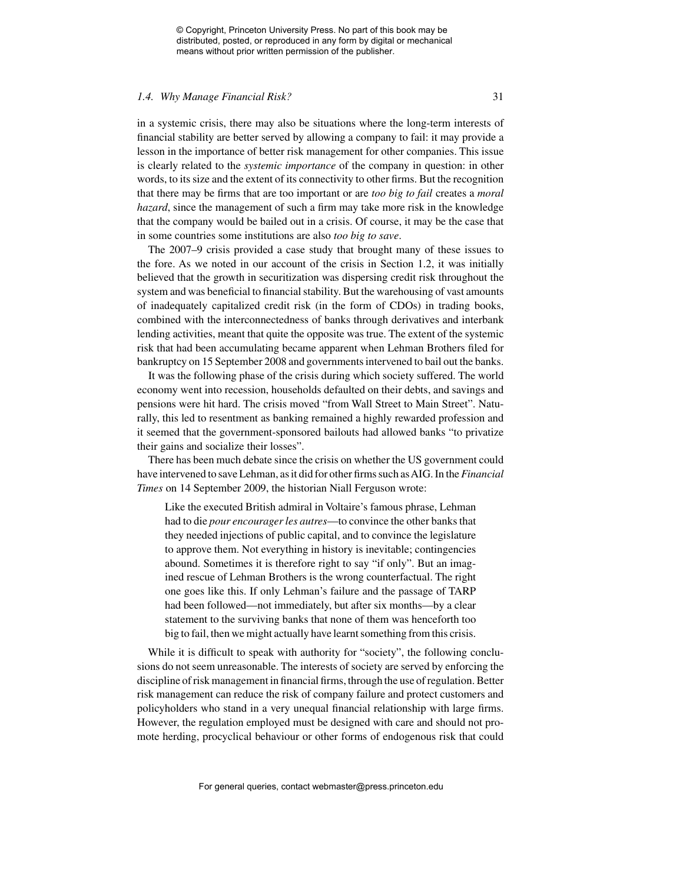#### *1.4. Why Manage Financial Risk?* 31

in a systemic crisis, there may also be situations where the long-term interests of financial stability are better served by allowing a company to fail: it may provide a lesson in the importance of better risk management for other companies. This issue is clearly related to the *systemic importance* of the company in question: in other words, to its size and the extent of its connectivity to other firms. But the recognition that there may be firms that are too important or are *too big to fail* creates a *moral hazard*, since the management of such a firm may take more risk in the knowledge that the company would be bailed out in a crisis. Of course, it may be the case that in some countries some institutions are also *too big to save*.

The 2007–9 crisis provided a case study that brought many of these issues to the fore. As we noted in our account of the crisis in Section 1.2, it was initially believed that the growth in securitization was dispersing credit risk throughout the system and was beneficial to financial stability. But the warehousing of vast amounts of inadequately capitalized credit risk (in the form of CDOs) in trading books, combined with the interconnectedness of banks through derivatives and interbank lending activities, meant that quite the opposite was true. The extent of the systemic risk that had been accumulating became apparent when Lehman Brothers filed for bankruptcy on 15 September 2008 and governments intervened to bail out the banks.

It was the following phase of the crisis during which society suffered. The world economy went into recession, households defaulted on their debts, and savings and pensions were hit hard. The crisis moved "from Wall Street to Main Street". Naturally, this led to resentment as banking remained a highly rewarded profession and it seemed that the government-sponsored bailouts had allowed banks "to privatize their gains and socialize their losses".

There has been much debate since the crisis on whether the US government could have intervened to save Lehman, as it did for other firms such asAIG. In the*Financial Times* on 14 September 2009, the historian Niall Ferguson wrote:

Like the executed British admiral in Voltaire's famous phrase, Lehman had to die *pour encourager les autres*—to convince the other banks that they needed injections of public capital, and to convince the legislature to approve them. Not everything in history is inevitable; contingencies abound. Sometimes it is therefore right to say "if only". But an imagined rescue of Lehman Brothers is the wrong counterfactual. The right one goes like this. If only Lehman's failure and the passage of TARP had been followed—not immediately, but after six months—by a clear statement to the surviving banks that none of them was henceforth too big to fail, then we might actually have learnt something from this crisis.

While it is difficult to speak with authority for "society", the following conclusions do not seem unreasonable. The interests of society are served by enforcing the discipline of risk management in financial firms, through the use of regulation. Better risk management can reduce the risk of company failure and protect customers and policyholders who stand in a very unequal financial relationship with large firms. However, the regulation employed must be designed with care and should not promote herding, procyclical behaviour or other forms of endogenous risk that could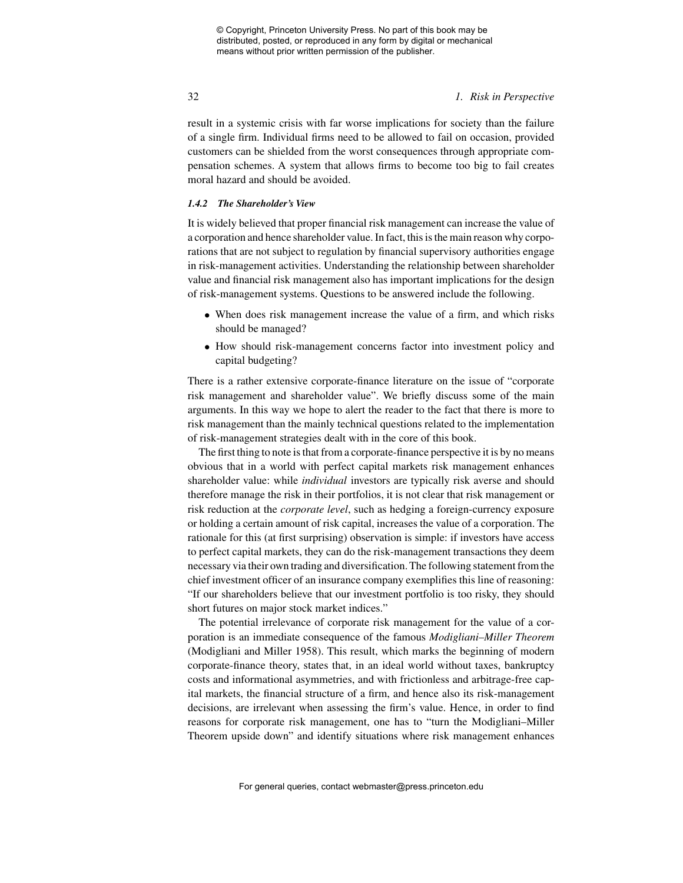### 32 *1. Risk in Perspective*

result in a systemic crisis with far worse implications for society than the failure of a single firm. Individual firms need to be allowed to fail on occasion, provided customers can be shielded from the worst consequences through appropriate compensation schemes. A system that allows firms to become too big to fail creates moral hazard and should be avoided.

### *1.4.2 The Shareholder's View*

It is widely believed that proper financial risk management can increase the value of a corporation and hence shareholder value. In fact, this is the main reason why corporations that are not subject to regulation by financial supervisory authorities engage in risk-management activities. Understanding the relationship between shareholder value and financial risk management also has important implications for the design of risk-management systems. Questions to be answered include the following.

- When does risk management increase the value of a firm, and which risks should be managed?
- How should risk-management concerns factor into investment policy and capital budgeting?

There is a rather extensive corporate-finance literature on the issue of "corporate risk management and shareholder value". We briefly discuss some of the main arguments. In this way we hope to alert the reader to the fact that there is more to risk management than the mainly technical questions related to the implementation of risk-management strategies dealt with in the core of this book.

The first thing to note is that from a corporate-finance perspective it is by no means obvious that in a world with perfect capital markets risk management enhances shareholder value: while *individual* investors are typically risk averse and should therefore manage the risk in their portfolios, it is not clear that risk management or risk reduction at the *corporate level*, such as hedging a foreign-currency exposure or holding a certain amount of risk capital, increases the value of a corporation. The rationale for this (at first surprising) observation is simple: if investors have access to perfect capital markets, they can do the risk-management transactions they deem necessary via their own trading and diversification. The following statement from the chief investment officer of an insurance company exemplifies this line of reasoning: "If our shareholders believe that our investment portfolio is too risky, they should short futures on major stock market indices."

The potential irrelevance of corporate risk management for the value of a corporation is an immediate consequence of the famous *Modigliani–Miller Theorem* (Modigliani and Miller 1958). This result, which marks the beginning of modern corporate-finance theory, states that, in an ideal world without taxes, bankruptcy costs and informational asymmetries, and with frictionless and arbitrage-free capital markets, the financial structure of a firm, and hence also its risk-management decisions, are irrelevant when assessing the firm's value. Hence, in order to find reasons for corporate risk management, one has to "turn the Modigliani–Miller Theorem upside down" and identify situations where risk management enhances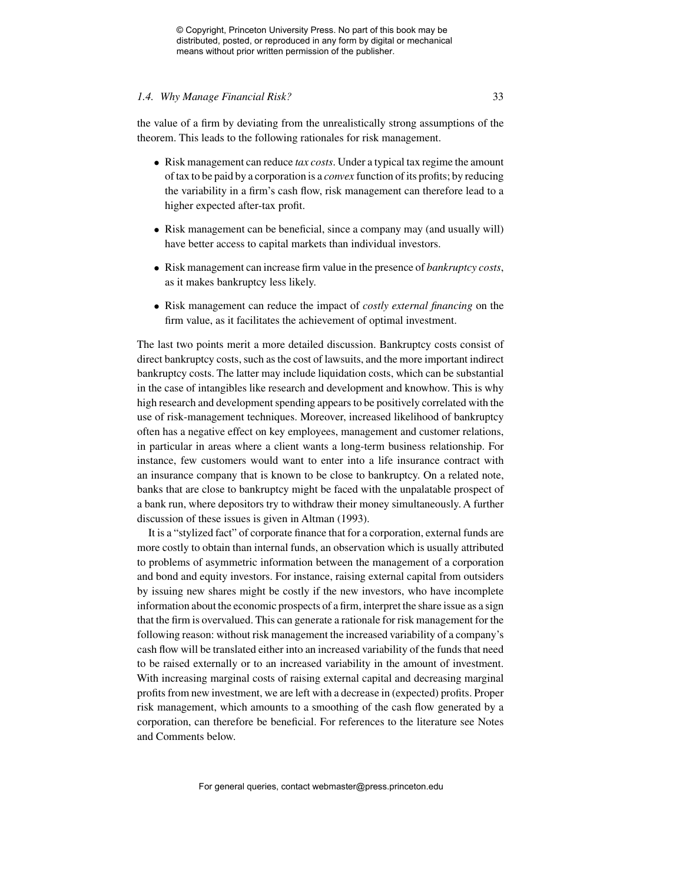#### *1.4. Why Manage Financial Risk?* 33

the value of a firm by deviating from the unrealistically strong assumptions of the theorem. This leads to the following rationales for risk management.

- Risk management can reduce *tax costs*. Under a typical tax regime the amount of tax to be paid by a corporation is a *convex* function of its profits; by reducing the variability in a firm's cash flow, risk management can therefore lead to a higher expected after-tax profit.
- Risk management can be beneficial, since a company may (and usually will) have better access to capital markets than individual investors.
- Risk management can increase firm value in the presence of *bankruptcy costs*, as it makes bankruptcy less likely.
- Risk management can reduce the impact of *costly external financing* on the firm value, as it facilitates the achievement of optimal investment.

The last two points merit a more detailed discussion. Bankruptcy costs consist of direct bankruptcy costs, such as the cost of lawsuits, and the more important indirect bankruptcy costs. The latter may include liquidation costs, which can be substantial in the case of intangibles like research and development and knowhow. This is why high research and development spending appears to be positively correlated with the use of risk-management techniques. Moreover, increased likelihood of bankruptcy often has a negative effect on key employees, management and customer relations, in particular in areas where a client wants a long-term business relationship. For instance, few customers would want to enter into a life insurance contract with an insurance company that is known to be close to bankruptcy. On a related note, banks that are close to bankruptcy might be faced with the unpalatable prospect of a bank run, where depositors try to withdraw their money simultaneously. A further discussion of these issues is given in Altman (1993).

It is a "stylized fact" of corporate finance that for a corporation, external funds are more costly to obtain than internal funds, an observation which is usually attributed to problems of asymmetric information between the management of a corporation and bond and equity investors. For instance, raising external capital from outsiders by issuing new shares might be costly if the new investors, who have incomplete information about the economic prospects of a firm, interpret the share issue as a sign that the firm is overvalued. This can generate a rationale for risk management for the following reason: without risk management the increased variability of a company's cash flow will be translated either into an increased variability of the funds that need to be raised externally or to an increased variability in the amount of investment. With increasing marginal costs of raising external capital and decreasing marginal profits from new investment, we are left with a decrease in (expected) profits. Proper risk management, which amounts to a smoothing of the cash flow generated by a corporation, can therefore be beneficial. For references to the literature see Notes and Comments below.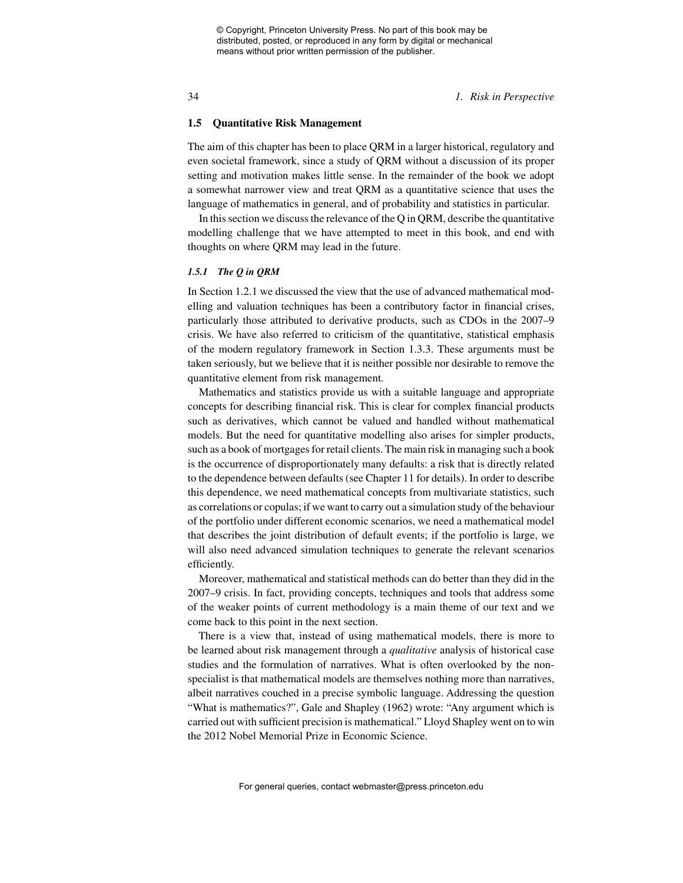34 *1. Risk in Perspective*

#### **1.5 Quantitative Risk Management**

The aim of this chapter has been to place QRM in a larger historical, regulatory and even societal framework, since a study of QRM without a discussion of its proper setting and motivation makes little sense. In the remainder of the book we adopt a somewhat narrower view and treat QRM as a quantitative science that uses the language of mathematics in general, and of probability and statistics in particular.

In this section we discuss the relevance of the Q in QRM, describe the quantitative modelling challenge that we have attempted to meet in this book, and end with thoughts on where QRM may lead in the future.

#### *1.5.1 The Q in QRM*

In Section 1.2.1 we discussed the view that the use of advanced mathematical modelling and valuation techniques has been a contributory factor in financial crises, particularly those attributed to derivative products, such as CDOs in the 2007–9 crisis. We have also referred to criticism of the quantitative, statistical emphasis of the modern regulatory framework in Section 1.3.3. These arguments must be taken seriously, but we believe that it is neither possible nor desirable to remove the quantitative element from risk management.

Mathematics and statistics provide us with a suitable language and appropriate concepts for describing financial risk. This is clear for complex financial products such as derivatives, which cannot be valued and handled without mathematical models. But the need for quantitative modelling also arises for simpler products, such as a book of mortgages for retail clients. The main risk in managing such a book is the occurrence of disproportionately many defaults: a risk that is directly related to the dependence between defaults (see Chapter 11 for details). In order to describe this dependence, we need mathematical concepts from multivariate statistics, such as correlations or copulas; if we want to carry out a simulation study of the behaviour of the portfolio under different economic scenarios, we need a mathematical model that describes the joint distribution of default events; if the portfolio is large, we will also need advanced simulation techniques to generate the relevant scenarios efficiently.

Moreover, mathematical and statistical methods can do better than they did in the 2007–9 crisis. In fact, providing concepts, techniques and tools that address some of the weaker points of current methodology is a main theme of our text and we come back to this point in the next section.

There is a view that, instead of using mathematical models, there is more to be learned about risk management through a *qualitative* analysis of historical case studies and the formulation of narratives. What is often overlooked by the nonspecialist is that mathematical models are themselves nothing more than narratives, albeit narratives couched in a precise symbolic language. Addressing the question "What is mathematics?", Gale and Shapley (1962) wrote: "Any argument which is carried out with sufficient precision is mathematical." Lloyd Shapley went on to win the 2012 Nobel Memorial Prize in Economic Science.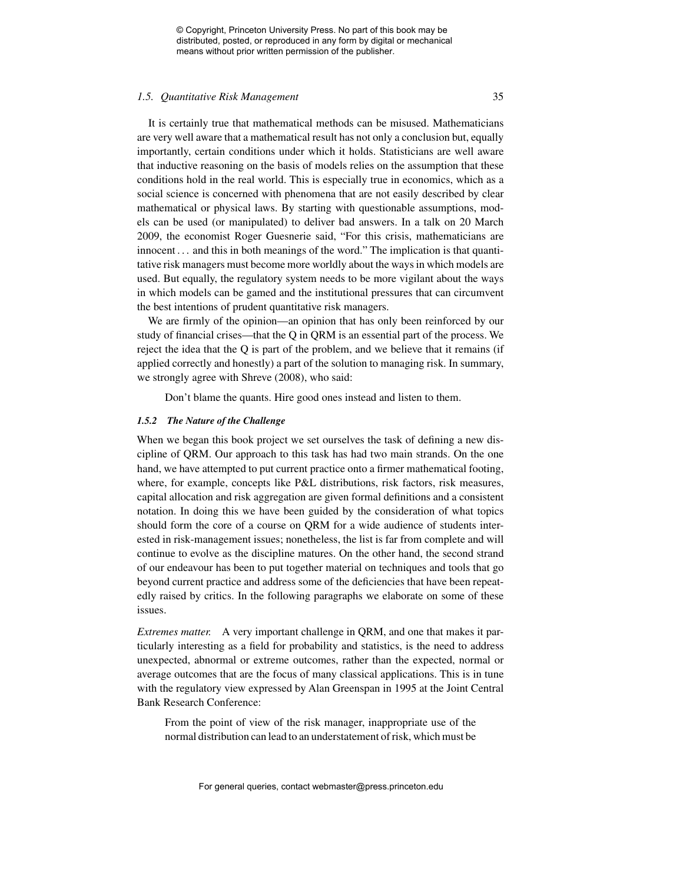#### *1.5. Quantitative Risk Management* 35

It is certainly true that mathematical methods can be misused. Mathematicians are very well aware that a mathematical result has not only a conclusion but, equally importantly, certain conditions under which it holds. Statisticians are well aware that inductive reasoning on the basis of models relies on the assumption that these conditions hold in the real world. This is especially true in economics, which as a social science is concerned with phenomena that are not easily described by clear mathematical or physical laws. By starting with questionable assumptions, models can be used (or manipulated) to deliver bad answers. In a talk on 20 March 2009, the economist Roger Guesnerie said, "For this crisis, mathematicians are innocent . . . and this in both meanings of the word." The implication is that quantitative risk managers must become more worldly about the ways in which models are used. But equally, the regulatory system needs to be more vigilant about the ways in which models can be gamed and the institutional pressures that can circumvent the best intentions of prudent quantitative risk managers.

We are firmly of the opinion—an opinion that has only been reinforced by our study of financial crises—that the Q in QRM is an essential part of the process. We reject the idea that the Q is part of the problem, and we believe that it remains (if applied correctly and honestly) a part of the solution to managing risk. In summary, we strongly agree with Shreve (2008), who said:

Don't blame the quants. Hire good ones instead and listen to them.

### *1.5.2 The Nature of the Challenge*

When we began this book project we set ourselves the task of defining a new discipline of QRM. Our approach to this task has had two main strands. On the one hand, we have attempted to put current practice onto a firmer mathematical footing, where, for example, concepts like P&L distributions, risk factors, risk measures, capital allocation and risk aggregation are given formal definitions and a consistent notation. In doing this we have been guided by the consideration of what topics should form the core of a course on QRM for a wide audience of students interested in risk-management issues; nonetheless, the list is far from complete and will continue to evolve as the discipline matures. On the other hand, the second strand of our endeavour has been to put together material on techniques and tools that go beyond current practice and address some of the deficiencies that have been repeatedly raised by critics. In the following paragraphs we elaborate on some of these issues.

*Extremes matter.* A very important challenge in QRM, and one that makes it particularly interesting as a field for probability and statistics, is the need to address unexpected, abnormal or extreme outcomes, rather than the expected, normal or average outcomes that are the focus of many classical applications. This is in tune with the regulatory view expressed by Alan Greenspan in 1995 at the Joint Central Bank Research Conference:

From the point of view of the risk manager, inappropriate use of the normal distribution can lead to an understatement of risk, which must be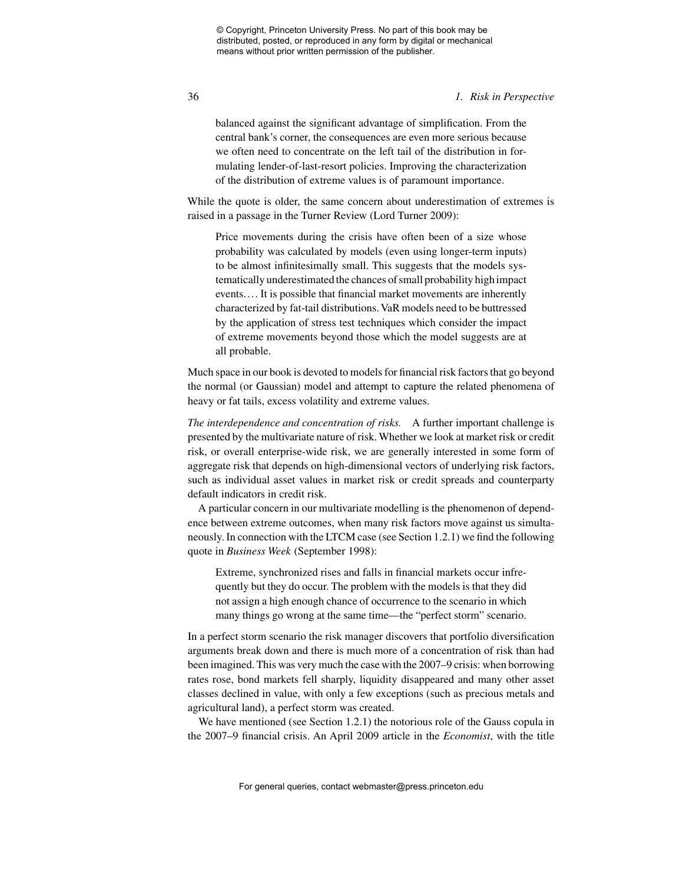#### 36 *1. Risk in Perspective*

balanced against the significant advantage of simplification. From the central bank's corner, the consequences are even more serious because we often need to concentrate on the left tail of the distribution in formulating lender-of-last-resort policies. Improving the characterization of the distribution of extreme values is of paramount importance.

While the quote is older, the same concern about underestimation of extremes is raised in a passage in the Turner Review (Lord Turner 2009):

Price movements during the crisis have often been of a size whose probability was calculated by models (even using longer-term inputs) to be almost infinitesimally small. This suggests that the models systematically underestimated the chances of small probability high impact events.... It is possible that financial market movements are inherently characterized by fat-tail distributions. VaR models need to be buttressed by the application of stress test techniques which consider the impact of extreme movements beyond those which the model suggests are at all probable.

Much space in our book is devoted to models for financial risk factors that go beyond the normal (or Gaussian) model and attempt to capture the related phenomena of heavy or fat tails, excess volatility and extreme values.

*The interdependence and concentration of risks.* A further important challenge is presented by the multivariate nature of risk. Whether we look at market risk or credit risk, or overall enterprise-wide risk, we are generally interested in some form of aggregate risk that depends on high-dimensional vectors of underlying risk factors, such as individual asset values in market risk or credit spreads and counterparty default indicators in credit risk.

A particular concern in our multivariate modelling is the phenomenon of dependence between extreme outcomes, when many risk factors move against us simultaneously. In connection with the LTCM case (see Section 1.2.1) we find the following quote in *Business Week* (September 1998):

Extreme, synchronized rises and falls in financial markets occur infrequently but they do occur. The problem with the models is that they did not assign a high enough chance of occurrence to the scenario in which many things go wrong at the same time—the "perfect storm" scenario.

In a perfect storm scenario the risk manager discovers that portfolio diversification arguments break down and there is much more of a concentration of risk than had been imagined. This was very much the case with the 2007–9 crisis: when borrowing rates rose, bond markets fell sharply, liquidity disappeared and many other asset classes declined in value, with only a few exceptions (such as precious metals and agricultural land), a perfect storm was created.

We have mentioned (see Section 1.2.1) the notorious role of the Gauss copula in the 2007–9 financial crisis. An April 2009 article in the *Economist*, with the title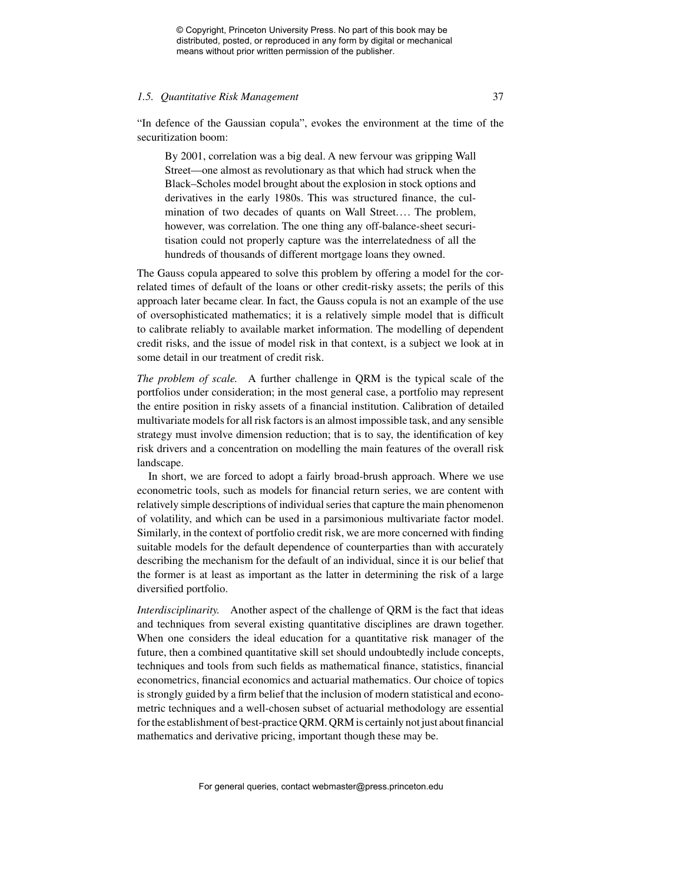#### *1.5. Quantitative Risk Management* 37

"In defence of the Gaussian copula", evokes the environment at the time of the securitization boom:

By 2001, correlation was a big deal. A new fervour was gripping Wall Street—one almost as revolutionary as that which had struck when the Black–Scholes model brought about the explosion in stock options and derivatives in the early 1980s. This was structured finance, the culmination of two decades of quants on Wall Street.... The problem, however, was correlation. The one thing any off-balance-sheet securitisation could not properly capture was the interrelatedness of all the hundreds of thousands of different mortgage loans they owned.

The Gauss copula appeared to solve this problem by offering a model for the correlated times of default of the loans or other credit-risky assets; the perils of this approach later became clear. In fact, the Gauss copula is not an example of the use of oversophisticated mathematics; it is a relatively simple model that is difficult to calibrate reliably to available market information. The modelling of dependent credit risks, and the issue of model risk in that context, is a subject we look at in some detail in our treatment of credit risk.

*The problem of scale.* A further challenge in QRM is the typical scale of the portfolios under consideration; in the most general case, a portfolio may represent the entire position in risky assets of a financial institution. Calibration of detailed multivariate models for all risk factors is an almost impossible task, and any sensible strategy must involve dimension reduction; that is to say, the identification of key risk drivers and a concentration on modelling the main features of the overall risk landscape.

In short, we are forced to adopt a fairly broad-brush approach. Where we use econometric tools, such as models for financial return series, we are content with relatively simple descriptions of individual series that capture the main phenomenon of volatility, and which can be used in a parsimonious multivariate factor model. Similarly, in the context of portfolio credit risk, we are more concerned with finding suitable models for the default dependence of counterparties than with accurately describing the mechanism for the default of an individual, since it is our belief that the former is at least as important as the latter in determining the risk of a large diversified portfolio.

*Interdisciplinarity.* Another aspect of the challenge of QRM is the fact that ideas and techniques from several existing quantitative disciplines are drawn together. When one considers the ideal education for a quantitative risk manager of the future, then a combined quantitative skill set should undoubtedly include concepts, techniques and tools from such fields as mathematical finance, statistics, financial econometrics, financial economics and actuarial mathematics. Our choice of topics is strongly guided by a firm belief that the inclusion of modern statistical and econometric techniques and a well-chosen subset of actuarial methodology are essential for the establishment of best-practice QRM. QRM is certainly not just about financial mathematics and derivative pricing, important though these may be.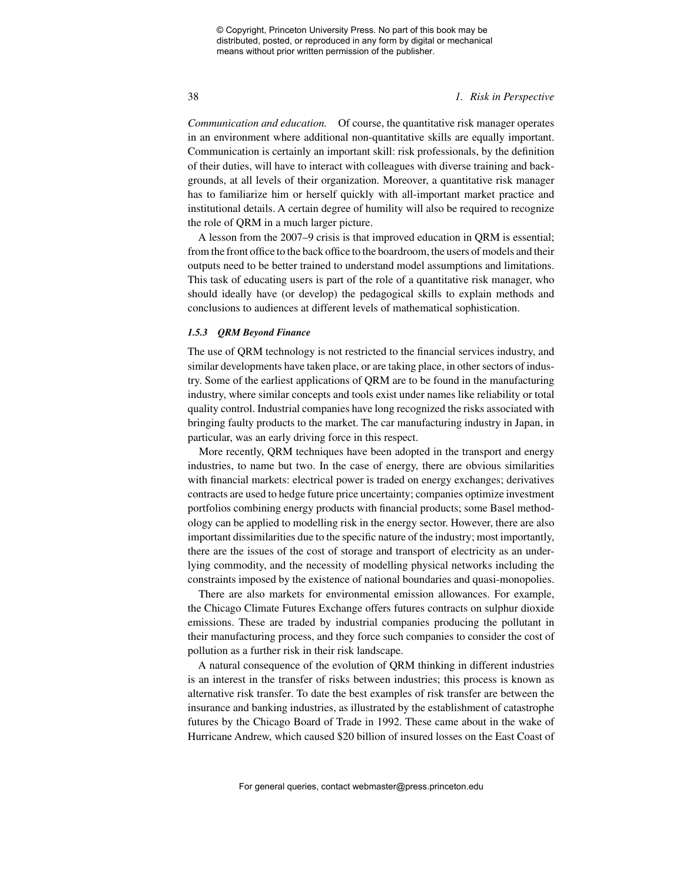#### 38 *1. Risk in Perspective*

*Communication and education.* Of course, the quantitative risk manager operates in an environment where additional non-quantitative skills are equally important. Communication is certainly an important skill: risk professionals, by the definition of their duties, will have to interact with colleagues with diverse training and backgrounds, at all levels of their organization. Moreover, a quantitative risk manager has to familiarize him or herself quickly with all-important market practice and institutional details. A certain degree of humility will also be required to recognize the role of QRM in a much larger picture.

A lesson from the 2007–9 crisis is that improved education in QRM is essential; from the front office to the back office to the boardroom, the users of models and their outputs need to be better trained to understand model assumptions and limitations. This task of educating users is part of the role of a quantitative risk manager, who should ideally have (or develop) the pedagogical skills to explain methods and conclusions to audiences at different levels of mathematical sophistication.

### *1.5.3 QRM Beyond Finance*

The use of QRM technology is not restricted to the financial services industry, and similar developments have taken place, or are taking place, in other sectors of industry. Some of the earliest applications of QRM are to be found in the manufacturing industry, where similar concepts and tools exist under names like reliability or total quality control. Industrial companies have long recognized the risks associated with bringing faulty products to the market. The car manufacturing industry in Japan, in particular, was an early driving force in this respect.

More recently, QRM techniques have been adopted in the transport and energy industries, to name but two. In the case of energy, there are obvious similarities with financial markets: electrical power is traded on energy exchanges; derivatives contracts are used to hedge future price uncertainty; companies optimize investment portfolios combining energy products with financial products; some Basel methodology can be applied to modelling risk in the energy sector. However, there are also important dissimilarities due to the specific nature of the industry; most importantly, there are the issues of the cost of storage and transport of electricity as an underlying commodity, and the necessity of modelling physical networks including the constraints imposed by the existence of national boundaries and quasi-monopolies.

There are also markets for environmental emission allowances. For example, the Chicago Climate Futures Exchange offers futures contracts on sulphur dioxide emissions. These are traded by industrial companies producing the pollutant in their manufacturing process, and they force such companies to consider the cost of pollution as a further risk in their risk landscape.

A natural consequence of the evolution of QRM thinking in different industries is an interest in the transfer of risks between industries; this process is known as alternative risk transfer. To date the best examples of risk transfer are between the insurance and banking industries, as illustrated by the establishment of catastrophe futures by the Chicago Board of Trade in 1992. These came about in the wake of Hurricane Andrew, which caused \$20 billion of insured losses on the East Coast of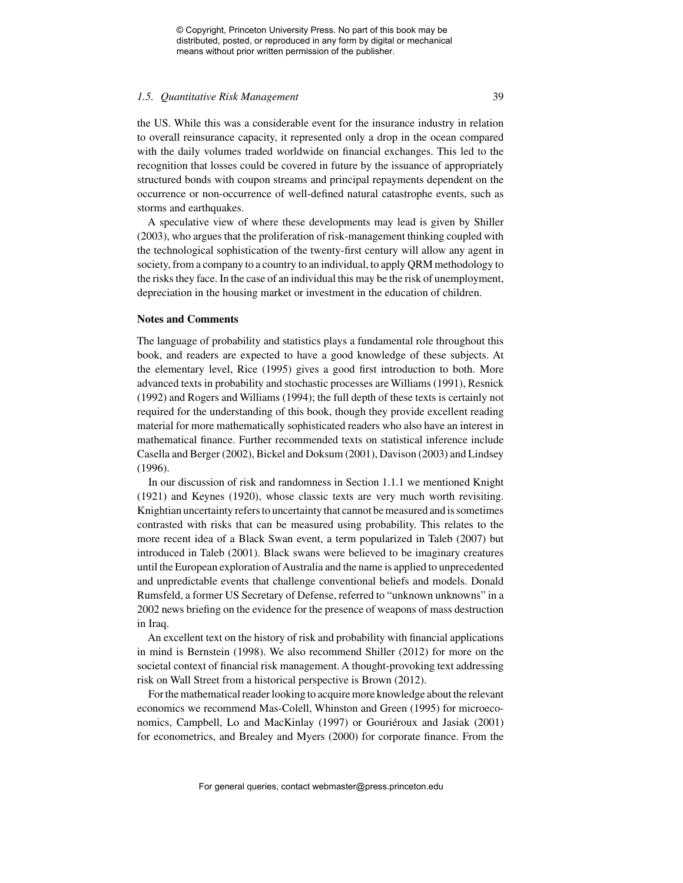#### *1.5. Quantitative Risk Management* 39

the US. While this was a considerable event for the insurance industry in relation to overall reinsurance capacity, it represented only a drop in the ocean compared with the daily volumes traded worldwide on financial exchanges. This led to the recognition that losses could be covered in future by the issuance of appropriately structured bonds with coupon streams and principal repayments dependent on the occurrence or non-occurrence of well-defined natural catastrophe events, such as storms and earthquakes.

A speculative view of where these developments may lead is given by Shiller (2003), who argues that the proliferation of risk-management thinking coupled with the technological sophistication of the twenty-first century will allow any agent in society, from a company to a country to an individual, to apply QRM methodology to the risks they face. In the case of an individual this may be the risk of unemployment, depreciation in the housing market or investment in the education of children.

#### **Notes and Comments**

The language of probability and statistics plays a fundamental role throughout this book, and readers are expected to have a good knowledge of these subjects. At the elementary level, Rice (1995) gives a good first introduction to both. More advanced texts in probability and stochastic processes are Williams (1991), Resnick (1992) and Rogers and Williams (1994); the full depth of these texts is certainly not required for the understanding of this book, though they provide excellent reading material for more mathematically sophisticated readers who also have an interest in mathematical finance. Further recommended texts on statistical inference include Casella and Berger (2002), Bickel and Doksum (2001), Davison (2003) and Lindsey (1996).

In our discussion of risk and randomness in Section 1.1.1 we mentioned Knight (1921) and Keynes (1920), whose classic texts are very much worth revisiting. Knightian uncertainty refers to uncertainty that cannot be measured and is sometimes contrasted with risks that can be measured using probability. This relates to the more recent idea of a Black Swan event, a term popularized in Taleb (2007) but introduced in Taleb (2001). Black swans were believed to be imaginary creatures until the European exploration of Australia and the name is applied to unprecedented and unpredictable events that challenge conventional beliefs and models. Donald Rumsfeld, a former US Secretary of Defense, referred to "unknown unknowns" in a 2002 news briefing on the evidence for the presence of weapons of mass destruction in Iraq.

An excellent text on the history of risk and probability with financial applications in mind is Bernstein (1998). We also recommend Shiller (2012) for more on the societal context of financial risk management. A thought-provoking text addressing risk on Wall Street from a historical perspective is Brown (2012).

For the mathematical reader looking to acquire more knowledge about the relevant economics we recommend Mas-Colell, Whinston and Green (1995) for microeconomics, Campbell, Lo and MacKinlay (1997) or Gouriéroux and Jasiak (2001) for econometrics, and Brealey and Myers (2000) for corporate finance. From the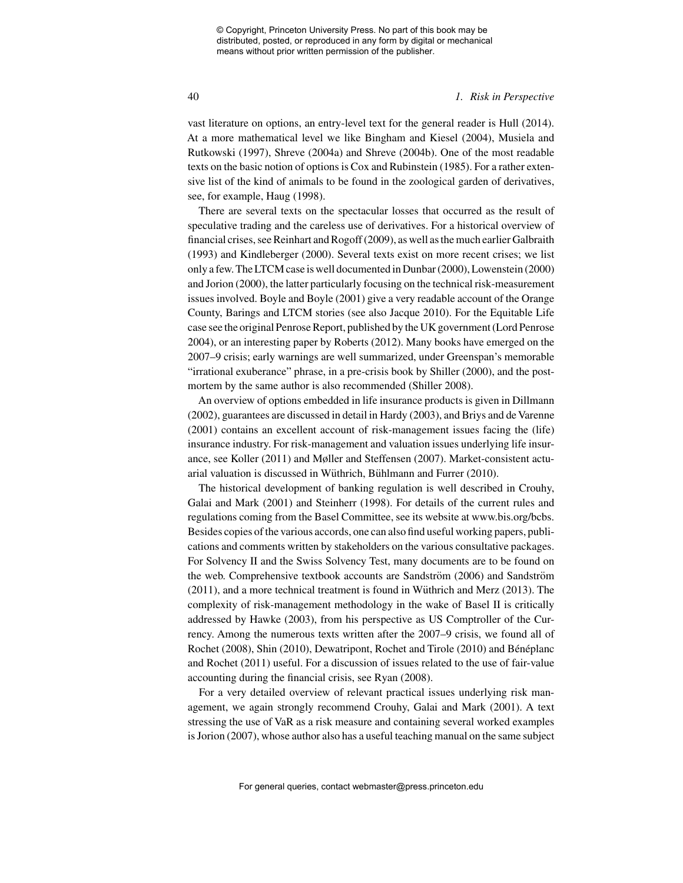#### 40 *1. Risk in Perspective*

vast literature on options, an entry-level text for the general reader is Hull (2014). At a more mathematical level we like Bingham and Kiesel (2004), Musiela and Rutkowski (1997), Shreve (2004a) and Shreve (2004b). One of the most readable texts on the basic notion of options is Cox and Rubinstein (1985). For a rather extensive list of the kind of animals to be found in the zoological garden of derivatives, see, for example, Haug (1998).

There are several texts on the spectacular losses that occurred as the result of speculative trading and the careless use of derivatives. For a historical overview of financial crises, see Reinhart and Rogoff (2009), as well as the much earlier Galbraith (1993) and Kindleberger (2000). Several texts exist on more recent crises; we list only a few. The LTCM case is well documented in Dunbar (2000), Lowenstein (2000) and Jorion (2000), the latter particularly focusing on the technical risk-measurement issues involved. Boyle and Boyle (2001) give a very readable account of the Orange County, Barings and LTCM stories (see also Jacque 2010). For the Equitable Life case see the original Penrose Report, published by the UK government (Lord Penrose 2004), or an interesting paper by Roberts (2012). Many books have emerged on the 2007–9 crisis; early warnings are well summarized, under Greenspan's memorable "irrational exuberance" phrase, in a pre-crisis book by Shiller (2000), and the postmortem by the same author is also recommended (Shiller 2008).

An overview of options embedded in life insurance products is given in Dillmann (2002), guarantees are discussed in detail in Hardy (2003), and Briys and de Varenne (2001) contains an excellent account of risk-management issues facing the (life) insurance industry. For risk-management and valuation issues underlying life insurance, see Koller (2011) and Møller and Steffensen (2007). Market-consistent actuarial valuation is discussed in Wüthrich, Bühlmann and Furrer (2010).

The historical development of banking regulation is well described in Crouhy, Galai and Mark (2001) and Steinherr (1998). For details of the current rules and regulations coming from the Basel Committee, see its website at www.bis.org/bcbs. Besides copies of the various accords, one can also find useful working papers, publications and comments written by stakeholders on the various consultative packages. For Solvency II and the Swiss Solvency Test, many documents are to be found on the web. Comprehensive textbook accounts are Sandström (2006) and Sandström  $(2011)$ , and a more technical treatment is found in Wüthrich and Merz  $(2013)$ . The complexity of risk-management methodology in the wake of Basel II is critically addressed by Hawke (2003), from his perspective as US Comptroller of the Currency. Among the numerous texts written after the 2007–9 crisis, we found all of Rochet (2008), Shin (2010), Dewatripont, Rochet and Tirole (2010) and Bénéplanc and Rochet (2011) useful. For a discussion of issues related to the use of fair-value accounting during the financial crisis, see Ryan (2008).

For a very detailed overview of relevant practical issues underlying risk management, we again strongly recommend Crouhy, Galai and Mark (2001). A text stressing the use of VaR as a risk measure and containing several worked examples is Jorion (2007), whose author also has a useful teaching manual on the same subject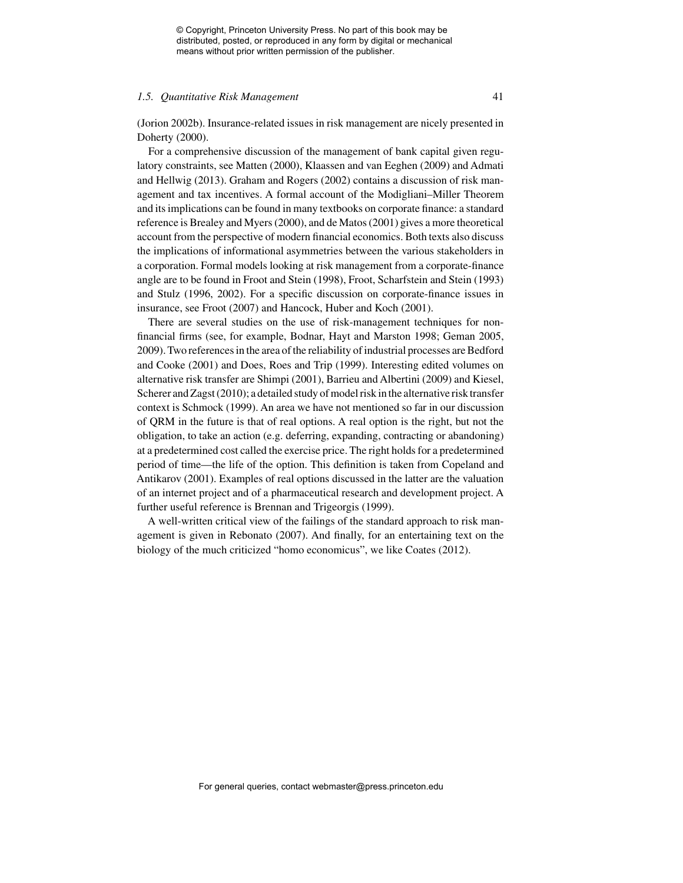#### *1.5. Quantitative Risk Management* 41

(Jorion 2002b). Insurance-related issues in risk management are nicely presented in Doherty (2000).

For a comprehensive discussion of the management of bank capital given regulatory constraints, see Matten (2000), Klaassen and van Eeghen (2009) and Admati and Hellwig (2013). Graham and Rogers (2002) contains a discussion of risk management and tax incentives. A formal account of the Modigliani–Miller Theorem and its implications can be found in many textbooks on corporate finance: a standard reference is Brealey and Myers (2000), and de Matos (2001) gives a more theoretical account from the perspective of modern financial economics. Both texts also discuss the implications of informational asymmetries between the various stakeholders in a corporation. Formal models looking at risk management from a corporate-finance angle are to be found in Froot and Stein (1998), Froot, Scharfstein and Stein (1993) and Stulz (1996, 2002). For a specific discussion on corporate-finance issues in insurance, see Froot (2007) and Hancock, Huber and Koch (2001).

There are several studies on the use of risk-management techniques for nonfinancial firms (see, for example, Bodnar, Hayt and Marston 1998; Geman 2005, 2009). Two references in the area of the reliability of industrial processes are Bedford and Cooke (2001) and Does, Roes and Trip (1999). Interesting edited volumes on alternative risk transfer are Shimpi (2001), Barrieu and Albertini (2009) and Kiesel, Scherer and Zagst (2010); a detailed study of model risk in the alternative risk transfer context is Schmock (1999). An area we have not mentioned so far in our discussion of QRM in the future is that of real options. A real option is the right, but not the obligation, to take an action (e.g. deferring, expanding, contracting or abandoning) at a predetermined cost called the exercise price. The right holds for a predetermined period of time—the life of the option. This definition is taken from Copeland and Antikarov (2001). Examples of real options discussed in the latter are the valuation of an internet project and of a pharmaceutical research and development project. A further useful reference is Brennan and Trigeorgis (1999).

A well-written critical view of the failings of the standard approach to risk management is given in Rebonato (2007). And finally, for an entertaining text on the biology of the much criticized "homo economicus", we like Coates (2012).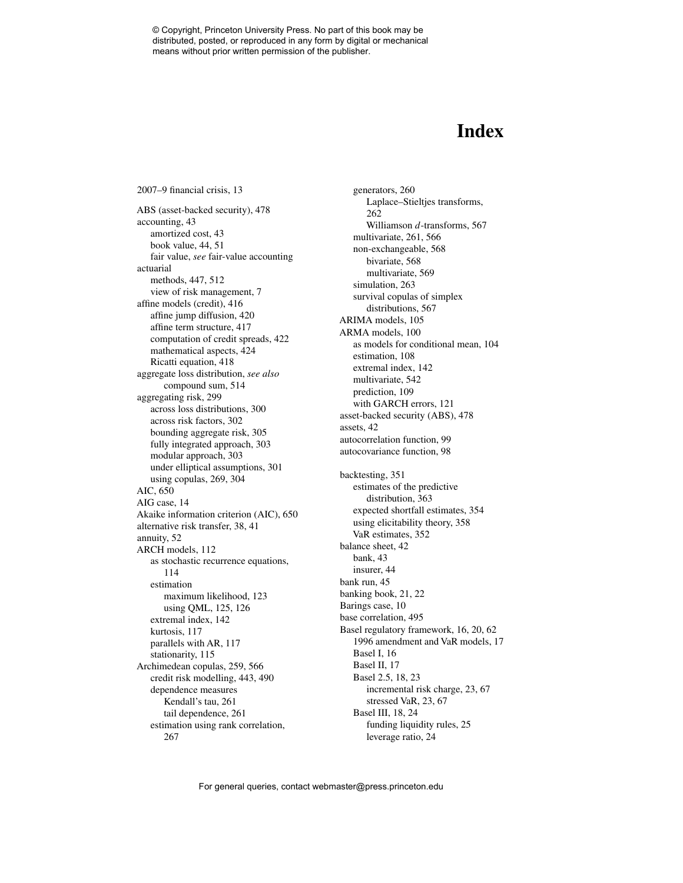## **Index**

2007–9 financial crisis, 13 ABS (asset-backed security), 478 accounting, 43 amortized cost, 43 book value, 44, 51 fair value, *see* fair-value accounting actuarial methods, 447, 512 view of risk management, 7 affine models (credit), 416 affine jump diffusion, 420 affine term structure, 417 computation of credit spreads, 422 mathematical aspects, 424 Ricatti equation, 418 aggregate loss distribution, *see also* compound sum, 514 aggregating risk, 299 across loss distributions, 300 across risk factors, 302 bounding aggregate risk, 305 fully integrated approach, 303 modular approach, 303 under elliptical assumptions, 301 using copulas, 269, 304 AIC, 650 AIG case, 14 Akaike information criterion (AIC), 650 alternative risk transfer, 38, 41 annuity, 52 ARCH models, 112 as stochastic recurrence equations, 114 estimation maximum likelihood, 123 using QML, 125, 126 extremal index, 142 kurtosis, 117 parallels with AR, 117 stationarity, 115 Archimedean copulas, 259, 566 credit risk modelling, 443, 490 dependence measures Kendall's tau, 261 tail dependence, 261 estimation using rank correlation, 267

generators, 260 Laplace–Stieltjes transforms, 262 Williamson *d*-transforms, 567 multivariate, 261, 566 non-exchangeable, 568 bivariate, 568 multivariate, 569 simulation, 263 survival copulas of simplex distributions, 567 ARIMA models, 105 ARMA models, 100 as models for conditional mean, 104 estimation, 108 extremal index, 142 multivariate, 542 prediction, 109 with GARCH errors, 121 asset-backed security (ABS), 478 assets, 42 autocorrelation function, 99 autocovariance function, 98 backtesting, 351 estimates of the predictive distribution, 363 expected shortfall estimates, 354 using elicitability theory, 358 VaR estimates, 352 balance sheet, 42 bank, 43 insurer, 44 bank run, 45 banking book, 21, 22 Barings case, 10 base correlation, 495 Basel regulatory framework, 16, 20, 62 1996 amendment and VaR models, 17 Basel I, 16 Basel II, 17 Basel 2.5, 18, 23 incremental risk charge, 23, 67 stressed VaR, 23, 67 Basel III, 18, 24 funding liquidity rules, 25 leverage ratio, 24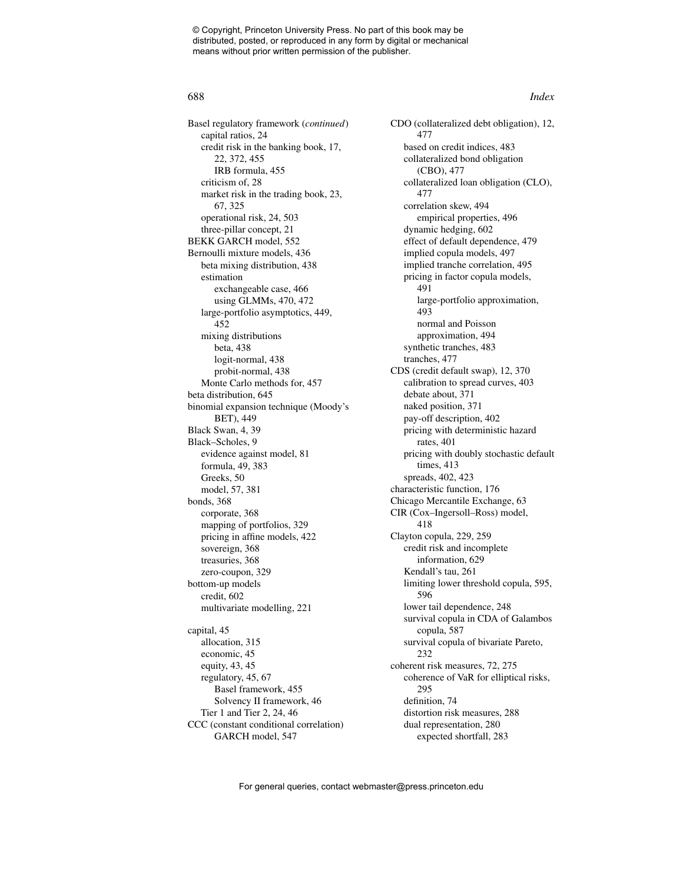#### 688 *Index*

Basel regulatory framework (*continued*) capital ratios, 24 credit risk in the banking book, 17, 22, 372, 455 IRB formula, 455 criticism of, 28 market risk in the trading book, 23, 67, 325 operational risk, 24, 503 three-pillar concept, 21 BEKK GARCH model, 552 Bernoulli mixture models, 436 beta mixing distribution, 438 estimation exchangeable case, 466 using GLMMs, 470, 472 large-portfolio asymptotics, 449, 452 mixing distributions beta, 438 logit-normal, 438 probit-normal, 438 Monte Carlo methods for, 457 beta distribution, 645 binomial expansion technique (Moody's BET), 449 Black Swan, 4, 39 Black–Scholes, 9 evidence against model, 81 formula, 49, 383 Greeks, 50 model, 57, 381 bonds, 368 corporate, 368 mapping of portfolios, 329 pricing in affine models, 422 sovereign, 368 treasuries, 368 zero-coupon, 329 bottom-up models credit, 602 multivariate modelling, 221 capital, 45 allocation, 315 economic, 45 equity, 43, 45 regulatory, 45, 67 Basel framework, 455 Solvency II framework, 46 Tier 1 and Tier 2, 24, 46 CCC (constant conditional correlation) GARCH model, 547

CDO (collateralized debt obligation), 12, 477 based on credit indices, 483 collateralized bond obligation (CBO), 477 collateralized loan obligation (CLO), 477 correlation skew, 494 empirical properties, 496 dynamic hedging, 602 effect of default dependence, 479 implied copula models, 497 implied tranche correlation, 495 pricing in factor copula models, 491 large-portfolio approximation, 493 normal and Poisson approximation, 494 synthetic tranches, 483 tranches, 477 CDS (credit default swap), 12, 370 calibration to spread curves, 403 debate about, 371 naked position, 371 pay-off description, 402 pricing with deterministic hazard rates, 401 pricing with doubly stochastic default times, 413 spreads, 402, 423 characteristic function, 176 Chicago Mercantile Exchange, 63 CIR (Cox–Ingersoll–Ross) model, 418 Clayton copula, 229, 259 credit risk and incomplete information, 629 Kendall's tau, 261 limiting lower threshold copula, 595, 596 lower tail dependence, 248 survival copula in CDA of Galambos copula, 587 survival copula of bivariate Pareto, 232 coherent risk measures, 72, 275 coherence of VaR for elliptical risks, 295 definition, 74 distortion risk measures, 288 dual representation, 280 expected shortfall, 283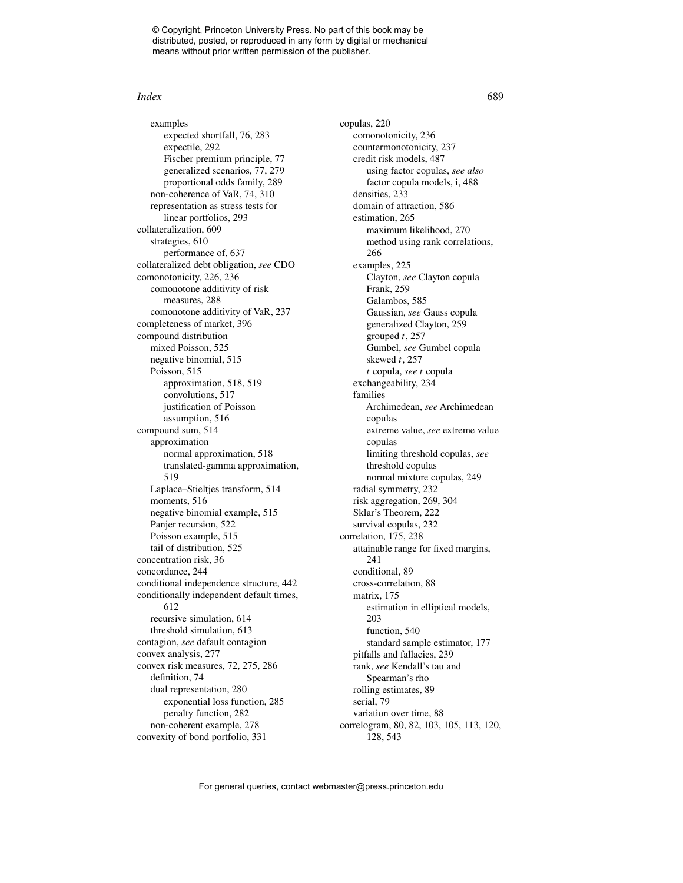#### *Index* 689

examples expected shortfall, 76, 283 expectile, 292 Fischer premium principle, 77 generalized scenarios, 77, 279 proportional odds family, 289 non-coherence of VaR, 74, 310 representation as stress tests for linear portfolios, 293 collateralization, 609 strategies, 610 performance of, 637 collateralized debt obligation, *see* CDO comonotonicity, 226, 236 comonotone additivity of risk measures, 288 comonotone additivity of VaR, 237 completeness of market, 396 compound distribution mixed Poisson, 525 negative binomial, 515 Poisson, 515 approximation, 518, 519 convolutions, 517 justification of Poisson assumption, 516 compound sum, 514 approximation normal approximation, 518 translated-gamma approximation, 519 Laplace–Stieltjes transform, 514 moments, 516 negative binomial example, 515 Panjer recursion, 522 Poisson example, 515 tail of distribution, 525 concentration risk, 36 concordance, 244 conditional independence structure, 442 conditionally independent default times, 612 recursive simulation, 614 threshold simulation, 613 contagion, *see* default contagion convex analysis, 277 convex risk measures, 72, 275, 286 definition, 74 dual representation, 280 exponential loss function, 285 penalty function, 282 non-coherent example, 278 convexity of bond portfolio, 331

copulas, 220 comonotonicity, 236 countermonotonicity, 237 credit risk models, 487 using factor copulas, *see also* factor copula models, i, 488 densities, 233 domain of attraction, 586 estimation, 265 maximum likelihood, 270 method using rank correlations, 266 examples, 225 Clayton, *see* Clayton copula Frank, 259 Galambos, 585 Gaussian, *see* Gauss copula generalized Clayton, 259 grouped *t*, 257 Gumbel, *see* Gumbel copula skewed *t*, 257 *t* copula, *see t* copula exchangeability, 234 families Archimedean, *see* Archimedean copulas extreme value, *see* extreme value copulas limiting threshold copulas, *see* threshold copulas normal mixture copulas, 249 radial symmetry, 232 risk aggregation, 269, 304 Sklar's Theorem, 222 survival copulas, 232 correlation, 175, 238 attainable range for fixed margins, 241 conditional, 89 cross-correlation, 88 matrix, 175 estimation in elliptical models, 203 function, 540 standard sample estimator, 177 pitfalls and fallacies, 239 rank, *see* Kendall's tau and Spearman's rho rolling estimates, 89 serial, 79 variation over time, 88 correlogram, 80, 82, 103, 105, 113, 120, 128, 543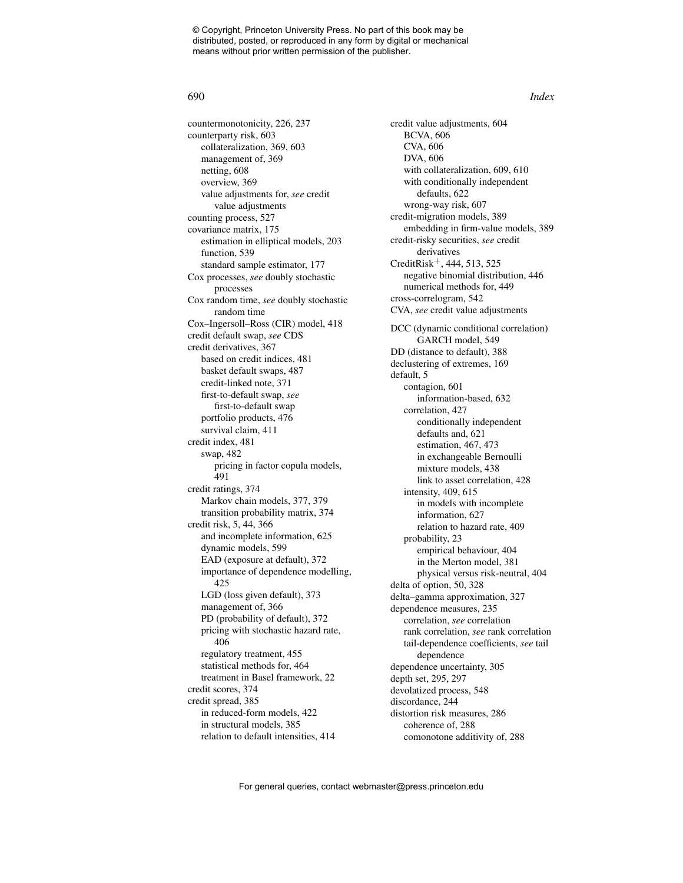countermonotonicity, 226, 237 counterparty risk, 603 collateralization, 369, 603 management of, 369 netting, 608 overview, 369 value adjustments for, *see* credit value adjustments counting process, 527 covariance matrix, 175 estimation in elliptical models, 203 function, 539 standard sample estimator, 177 Cox processes, *see* doubly stochastic processes Cox random time, *see* doubly stochastic random time Cox–Ingersoll–Ross (CIR) model, 418 credit default swap, *see* CDS credit derivatives, 367 based on credit indices, 481 basket default swaps, 487 credit-linked note, 371 first-to-default swap, *see* first-to-default swap portfolio products, 476 survival claim, 411 credit index, 481 swap, 482 pricing in factor copula models, 491 credit ratings, 374 Markov chain models, 377, 379 transition probability matrix, 374 credit risk, 5, 44, 366 and incomplete information, 625 dynamic models, 599 EAD (exposure at default), 372 importance of dependence modelling, 425 LGD (loss given default), 373 management of, 366 PD (probability of default), 372 pricing with stochastic hazard rate, 406 regulatory treatment, 455 statistical methods for, 464 treatment in Basel framework, 22 credit scores, 374 credit spread, 385 in reduced-form models, 422 in structural models, 385 relation to default intensities, 414

credit value adjustments, 604 BCVA, 606 CVA, 606 DVA, 606 with collateralization, 609, 610 with conditionally independent defaults, 622 wrong-way risk, 607 credit-migration models, 389 embedding in firm-value models, 389 credit-risky securities, *see* credit derivatives CreditRisk+, 444, 513, 525 negative binomial distribution, 446 numerical methods for, 449 cross-correlogram, 542 CVA, *see* credit value adjustments DCC (dynamic conditional correlation) GARCH model, 549 DD (distance to default), 388 declustering of extremes, 169 default, 5 contagion, 601 information-based, 632 correlation, 427 conditionally independent defaults and, 621 estimation, 467, 473 in exchangeable Bernoulli mixture models, 438 link to asset correlation, 428 intensity, 409, 615 in models with incomplete information, 627 relation to hazard rate, 409 probability, 23 empirical behaviour, 404 in the Merton model, 381 physical versus risk-neutral, 404 delta of option, 50, 328 delta–gamma approximation, 327 dependence measures, 235 correlation, *see* correlation rank correlation, *see* rank correlation tail-dependence coefficients, *see* tail dependence dependence uncertainty, 305 depth set, 295, 297 devolatized process, 548 discordance, 244 distortion risk measures, 286 coherence of, 288 comonotone additivity of, 288

#### 690 *Index*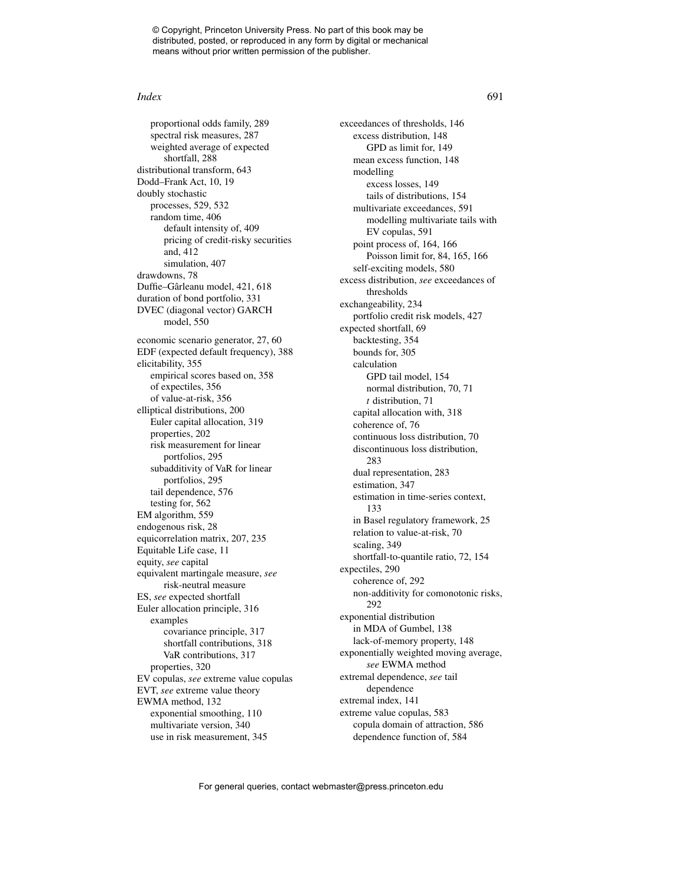#### *Index* 691

proportional odds family, 289 spectral risk measures, 287 weighted average of expected shortfall, 288 distributional transform, 643 Dodd–Frank Act, 10, 19 doubly stochastic processes, 529, 532 random time, 406 default intensity of, 409 pricing of credit-risky securities and, 412 simulation, 407 drawdowns, 78 Duffie–Gârleanu model, 421, 618 duration of bond portfolio, 331 DVEC (diagonal vector) GARCH model, 550 economic scenario generator, 27, 60 EDF (expected default frequency), 388 elicitability, 355 empirical scores based on, 358 of expectiles, 356 of value-at-risk, 356 elliptical distributions, 200 Euler capital allocation, 319 properties, 202 risk measurement for linear portfolios, 295 subadditivity of VaR for linear portfolios, 295 tail dependence, 576 testing for, 562 EM algorithm, 559 endogenous risk, 28 equicorrelation matrix, 207, 235 Equitable Life case, 11 equity, *see* capital equivalent martingale measure, *see* risk-neutral measure ES, *see* expected shortfall Euler allocation principle, 316 examples covariance principle, 317 shortfall contributions, 318 VaR contributions, 317 properties, 320 EV copulas, *see* extreme value copulas EVT, *see* extreme value theory EWMA method, 132 exponential smoothing, 110 multivariate version, 340 use in risk measurement, 345

exceedances of thresholds, 146 excess distribution, 148 GPD as limit for, 149 mean excess function, 148 modelling excess losses, 149 tails of distributions, 154 multivariate exceedances, 591 modelling multivariate tails with EV copulas, 591 point process of, 164, 166 Poisson limit for, 84, 165, 166 self-exciting models, 580 excess distribution, *see* exceedances of thresholds exchangeability, 234 portfolio credit risk models, 427 expected shortfall, 69 backtesting, 354 bounds for, 305 calculation GPD tail model, 154 normal distribution, 70, 71 *t* distribution, 71 capital allocation with, 318 coherence of, 76 continuous loss distribution, 70 discontinuous loss distribution, 283 dual representation, 283 estimation, 347 estimation in time-series context, 133 in Basel regulatory framework, 25 relation to value-at-risk, 70 scaling, 349 shortfall-to-quantile ratio, 72, 154 expectiles, 290 coherence of, 292 non-additivity for comonotonic risks, 292 exponential distribution in MDA of Gumbel, 138 lack-of-memory property, 148 exponentially weighted moving average, *see* EWMA method extremal dependence, *see* tail dependence extremal index, 141 extreme value copulas, 583 copula domain of attraction, 586 dependence function of, 584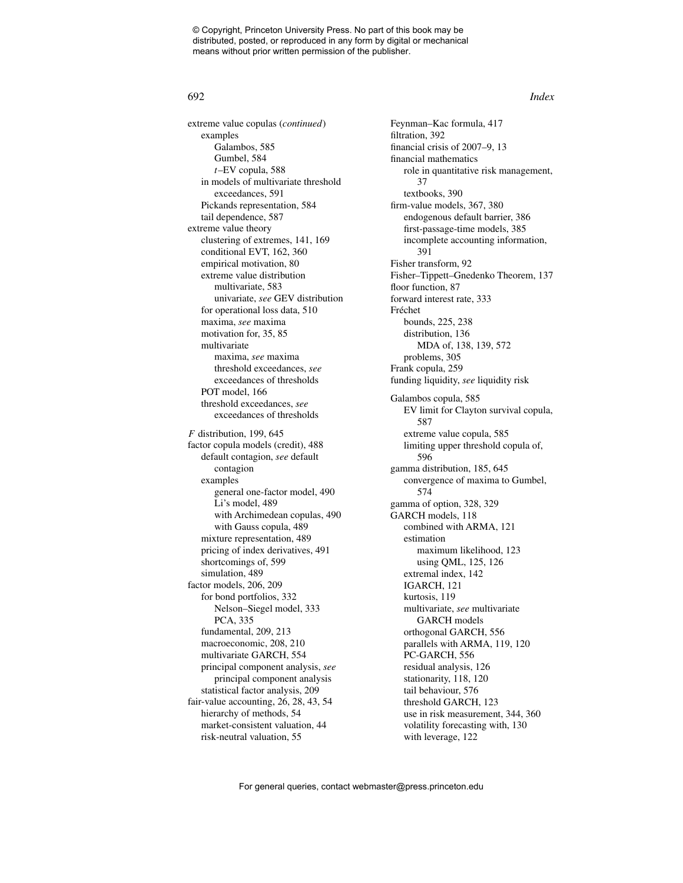extreme value copulas (*continued*) examples Galambos, 585 Gumbel, 584 *t*–EV copula, 588 in models of multivariate threshold exceedances, 591 Pickands representation, 584 tail dependence, 587 extreme value theory clustering of extremes, 141, 169 conditional EVT, 162, 360 empirical motivation, 80 extreme value distribution multivariate, 583 univariate, *see* GEV distribution for operational loss data, 510 maxima, *see* maxima motivation for, 35, 85 multivariate maxima, *see* maxima threshold exceedances, *see* exceedances of thresholds POT model, 166 threshold exceedances, *see* exceedances of thresholds *F* distribution, 199, 645 factor copula models (credit), 488 default contagion, *see* default contagion examples general one-factor model, 490 Li's model, 489 with Archimedean copulas, 490 with Gauss copula, 489 mixture representation, 489 pricing of index derivatives, 491 shortcomings of, 599 simulation, 489 factor models, 206, 209 for bond portfolios, 332 Nelson–Siegel model, 333 PCA, 335 fundamental, 209, 213 macroeconomic, 208, 210 multivariate GARCH, 554 principal component analysis, *see* principal component analysis statistical factor analysis, 209 fair-value accounting, 26, 28, 43, 54 hierarchy of methods, 54 market-consistent valuation, 44 risk-neutral valuation, 55

Feynman–Kac formula, 417 filtration, 392 financial crisis of 2007–9, 13 financial mathematics role in quantitative risk management, 37 textbooks, 390 firm-value models, 367, 380 endogenous default barrier, 386 first-passage-time models, 385 incomplete accounting information, 391 Fisher transform, 92 Fisher–Tippett–Gnedenko Theorem, 137 floor function, 87 forward interest rate, 333 Fréchet bounds, 225, 238 distribution, 136 MDA of, 138, 139, 572 problems, 305 Frank copula, 259 funding liquidity, *see* liquidity risk Galambos copula, 585 EV limit for Clayton survival copula, 587 extreme value copula, 585 limiting upper threshold copula of, 596 gamma distribution, 185, 645 convergence of maxima to Gumbel, 574 gamma of option, 328, 329 GARCH models, 118 combined with ARMA, 121 estimation maximum likelihood, 123 using QML, 125, 126 extremal index, 142 IGARCH, 121 kurtosis, 119 multivariate, *see* multivariate GARCH models orthogonal GARCH, 556 parallels with ARMA, 119, 120 PC-GARCH, 556 residual analysis, 126 stationarity, 118, 120 tail behaviour, 576 threshold GARCH, 123 use in risk measurement, 344, 360 volatility forecasting with, 130 with leverage, 122

#### 692 *Index*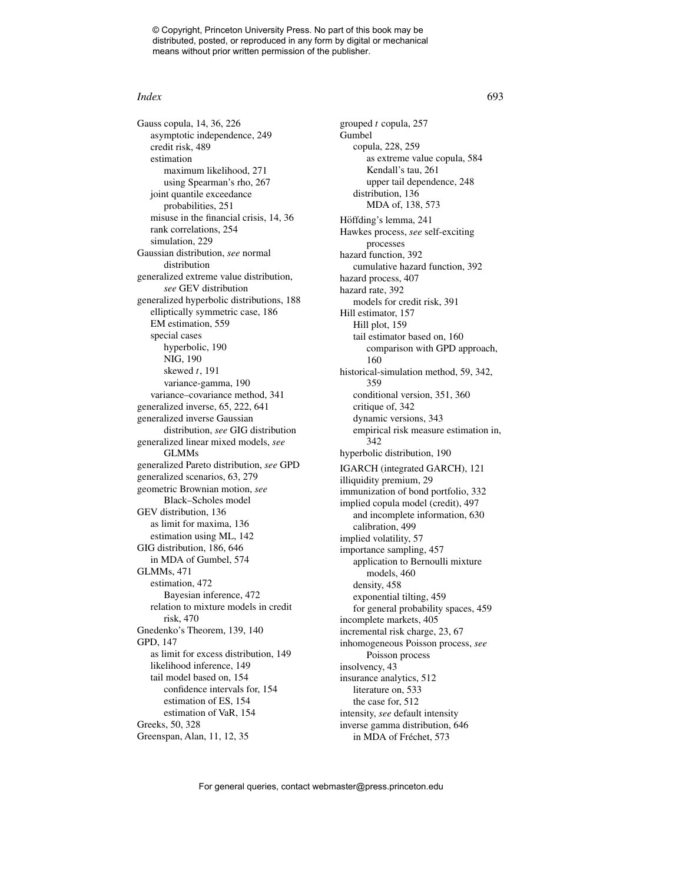#### *Index* 693

Gauss copula, 14, 36, 226 asymptotic independence, 249 credit risk, 489 estimation maximum likelihood, 271 using Spearman's rho, 267 joint quantile exceedance probabilities, 251 misuse in the financial crisis, 14, 36 rank correlations, 254 simulation, 229 Gaussian distribution, *see* normal distribution generalized extreme value distribution, *see* GEV distribution generalized hyperbolic distributions, 188 elliptically symmetric case, 186 EM estimation, 559 special cases hyperbolic, 190 NIG, 190 skewed *t*, 191 variance-gamma, 190 variance–covariance method, 341 generalized inverse, 65, 222, 641 generalized inverse Gaussian distribution, *see* GIG distribution generalized linear mixed models, *see* GLMMs generalized Pareto distribution, *see* GPD generalized scenarios, 63, 279 geometric Brownian motion, *see* Black–Scholes model GEV distribution, 136 as limit for maxima, 136 estimation using ML, 142 GIG distribution, 186, 646 in MDA of Gumbel, 574 GLMMs, 471 estimation, 472 Bayesian inference, 472 relation to mixture models in credit risk, 470 Gnedenko's Theorem, 139, 140 GPD, 147 as limit for excess distribution, 149 likelihood inference, 149 tail model based on, 154 confidence intervals for, 154 estimation of ES, 154 estimation of VaR, 154 Greeks, 50, 328 Greenspan, Alan, 11, 12, 35

grouped *t* copula, 257 Gumbel copula, 228, 259 as extreme value copula, 584 Kendall's tau, 261 upper tail dependence, 248 distribution, 136 MDA of, 138, 573 Höffding's lemma, 241 Hawkes process, *see* self-exciting processes hazard function, 392 cumulative hazard function, 392 hazard process, 407 hazard rate, 392 models for credit risk, 391 Hill estimator, 157 Hill plot, 159 tail estimator based on, 160 comparison with GPD approach, 160 historical-simulation method, 59, 342, 359 conditional version, 351, 360 critique of, 342 dynamic versions, 343 empirical risk measure estimation in, 342 hyperbolic distribution, 190 IGARCH (integrated GARCH), 121 illiquidity premium, 29 immunization of bond portfolio, 332 implied copula model (credit), 497 and incomplete information, 630 calibration, 499 implied volatility, 57 importance sampling, 457 application to Bernoulli mixture models, 460 density, 458 exponential tilting, 459 for general probability spaces, 459 incomplete markets, 405 incremental risk charge, 23, 67 inhomogeneous Poisson process, *see* Poisson process insolvency, 43 insurance analytics, 512 literature on, 533 the case for, 512 intensity, *see* default intensity inverse gamma distribution, 646 in MDA of Fréchet, 573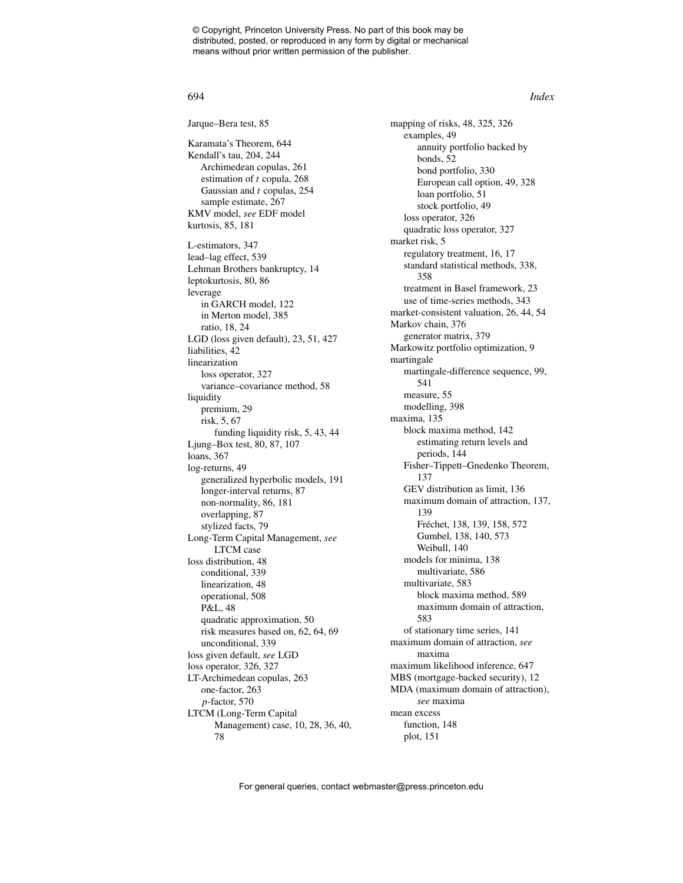Jarque–Bera test, 85 Karamata's Theorem, 644 Kendall's tau, 204, 244 Archimedean copulas, 261 estimation of *t* copula, 268 Gaussian and *t* copulas, 254 sample estimate, 267 KMV model, *see* EDF model kurtosis, 85, 181 L-estimators, 347 lead–lag effect, 539 Lehman Brothers bankruptcy, 14 leptokurtosis, 80, 86 leverage in GARCH model, 122 in Merton model, 385 ratio, 18, 24 LGD (loss given default), 23, 51, 427 liabilities, 42 linearization loss operator, 327 variance–covariance method, 58 liquidity premium, 29 risk, 5, 67 funding liquidity risk, 5, 43, 44 Ljung–Box test, 80, 87, 107 loans, 367 log-returns, 49 generalized hyperbolic models, 191 longer-interval returns, 87 non-normality, 86, 181 overlapping, 87 stylized facts, 79 Long-Term Capital Management, *see* LTCM case loss distribution, 48 conditional, 339 linearization, 48 operational, 508 P&L, 48 quadratic approximation, 50 risk measures based on, 62, 64, 69 unconditional, 339 loss given default, *see* LGD loss operator, 326, 327 LT-Archimedean copulas, 263 one-factor, 263 *p*-factor, 570 LTCM (Long-Term Capital Management) case, 10, 28, 36, 40, 78

mapping of risks, 48, 325, 326 examples, 49 annuity portfolio backed by bonds, 52 bond portfolio, 330 European call option, 49, 328 loan portfolio, 51 stock portfolio, 49 loss operator, 326 quadratic loss operator, 327 market risk, 5 regulatory treatment, 16, 17 standard statistical methods, 338, 358 treatment in Basel framework, 23 use of time-series methods, 343 market-consistent valuation, 26, 44, 54 Markov chain, 376 generator matrix, 379 Markowitz portfolio optimization, 9 martingale martingale-difference sequence, 99, 541 measure, 55 modelling, 398 maxima, 135 block maxima method, 142 estimating return levels and periods, 144 Fisher–Tippett–Gnedenko Theorem, 137 GEV distribution as limit, 136 maximum domain of attraction, 137, 139 Fréchet, 138, 139, 158, 572 Gumbel, 138, 140, 573 Weibull, 140 models for minima, 138 multivariate, 586 multivariate, 583 block maxima method, 589 maximum domain of attraction, 583 of stationary time series, 141 maximum domain of attraction, *see* maxima maximum likelihood inference, 647 MBS (mortgage-backed security), 12 MDA (maximum domain of attraction), *see* maxima mean excess function, 148 plot, 151

#### 694 *Index*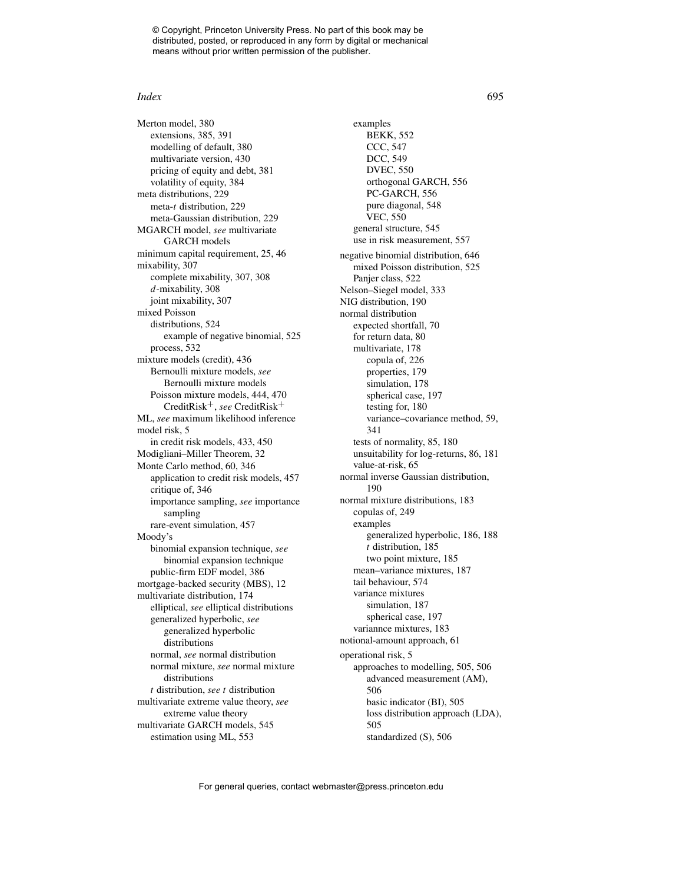#### *Index* 695

Merton model, 380 extensions, 385, 391 modelling of default, 380 multivariate version, 430 pricing of equity and debt, 381 volatility of equity, 384 meta distributions, 229 meta-*t* distribution, 229 meta-Gaussian distribution, 229 MGARCH model, *see* multivariate GARCH models minimum capital requirement, 25, 46 mixability, 307 complete mixability, 307, 308 *d*-mixability, 308 joint mixability, 307 mixed Poisson distributions, 524 example of negative binomial, 525 process, 532 mixture models (credit), 436 Bernoulli mixture models, *see* Bernoulli mixture models Poisson mixture models, 444, 470 CreditRisk+, *see* CreditRisk<sup>+</sup> ML, *see* maximum likelihood inference model risk, 5 in credit risk models, 433, 450 Modigliani–Miller Theorem, 32 Monte Carlo method, 60, 346 application to credit risk models, 457 critique of, 346 importance sampling, *see* importance sampling rare-event simulation, 457 Moody's binomial expansion technique, *see* binomial expansion technique public-firm EDF model, 386 mortgage-backed security (MBS), 12 multivariate distribution, 174 elliptical, *see* elliptical distributions generalized hyperbolic, *see* generalized hyperbolic distributions normal, *see* normal distribution normal mixture, *see* normal mixture distributions *t* distribution, *see t* distribution multivariate extreme value theory, *see* extreme value theory multivariate GARCH models, 545 estimation using ML, 553

examples BEKK, 552 CCC, 547 DCC, 549 DVEC, 550 orthogonal GARCH, 556 PC-GARCH, 556 pure diagonal, 548 VEC, 550 general structure, 545 use in risk measurement, 557 negative binomial distribution, 646 mixed Poisson distribution, 525 Panjer class, 522 Nelson–Siegel model, 333 NIG distribution, 190 normal distribution expected shortfall, 70 for return data, 80 multivariate, 178 copula of, 226 properties, 179 simulation, 178 spherical case, 197 testing for, 180 variance–covariance method, 59, 341 tests of normality, 85, 180 unsuitability for log-returns, 86, 181 value-at-risk, 65 normal inverse Gaussian distribution, 190 normal mixture distributions, 183 copulas of, 249 examples generalized hyperbolic, 186, 188 *t* distribution, 185 two point mixture, 185 mean–variance mixtures, 187 tail behaviour, 574 variance mixtures simulation, 187 spherical case, 197 variannce mixtures, 183 notional-amount approach, 61 operational risk, 5 approaches to modelling, 505, 506 advanced measurement (AM), 506 basic indicator (BI), 505 loss distribution approach (LDA), 505 standardized (S), 506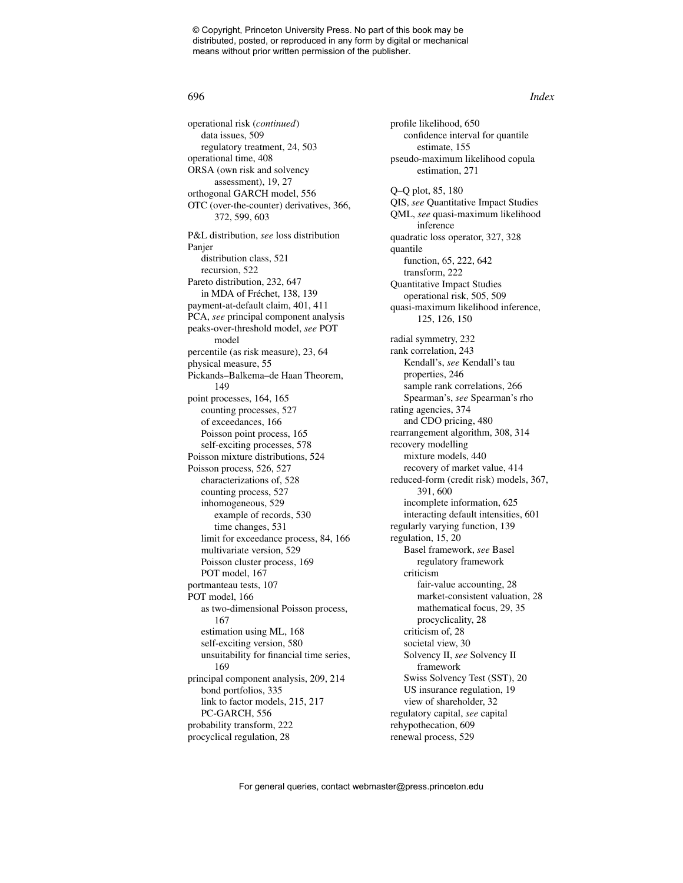operational risk (*continued*) data issues, 509 regulatory treatment, 24, 503 operational time, 408 ORSA (own risk and solvency assessment), 19, 27 orthogonal GARCH model, 556 OTC (over-the-counter) derivatives, 366, 372, 599, 603 P&L distribution, *see* loss distribution Panjer distribution class, 521 recursion, 522 Pareto distribution, 232, 647 in MDA of Fréchet, 138, 139 payment-at-default claim, 401, 411 PCA, *see* principal component analysis peaks-over-threshold model, *see* POT model percentile (as risk measure), 23, 64 physical measure, 55 Pickands–Balkema–de Haan Theorem, 149 point processes, 164, 165 counting processes, 527 of exceedances, 166 Poisson point process, 165 self-exciting processes, 578 Poisson mixture distributions, 524 Poisson process, 526, 527 characterizations of, 528 counting process, 527 inhomogeneous, 529 example of records, 530 time changes, 531 limit for exceedance process, 84, 166 multivariate version, 529 Poisson cluster process, 169 POT model, 167 portmanteau tests, 107 POT model, 166 as two-dimensional Poisson process, 167 estimation using ML, 168 self-exciting version, 580 unsuitability for financial time series, 169 principal component analysis, 209, 214 bond portfolios, 335 link to factor models, 215, 217 PC-GARCH, 556 probability transform, 222 procyclical regulation, 28

profile likelihood, 650 confidence interval for quantile estimate, 155 pseudo-maximum likelihood copula estimation, 271 Q–Q plot, 85, 180 QIS, *see* Quantitative Impact Studies QML, *see* quasi-maximum likelihood inference quadratic loss operator, 327, 328 quantile function, 65, 222, 642 transform, 222 Quantitative Impact Studies operational risk, 505, 509 quasi-maximum likelihood inference, 125, 126, 150 radial symmetry, 232 rank correlation, 243 Kendall's, *see* Kendall's tau properties, 246 sample rank correlations, 266 Spearman's, *see* Spearman's rho rating agencies, 374 and CDO pricing, 480 rearrangement algorithm, 308, 314 recovery modelling mixture models, 440 recovery of market value, 414 reduced-form (credit risk) models, 367, 391, 600 incomplete information, 625 interacting default intensities, 601 regularly varying function, 139 regulation, 15, 20 Basel framework, *see* Basel regulatory framework criticism fair-value accounting, 28 market-consistent valuation, 28 mathematical focus, 29, 35 procyclicality, 28 criticism of, 28 societal view, 30 Solvency II, *see* Solvency II framework Swiss Solvency Test (SST), 20 US insurance regulation, 19 view of shareholder, 32 regulatory capital, *see* capital rehypothecation, 609 renewal process, 529

#### 696 *Index*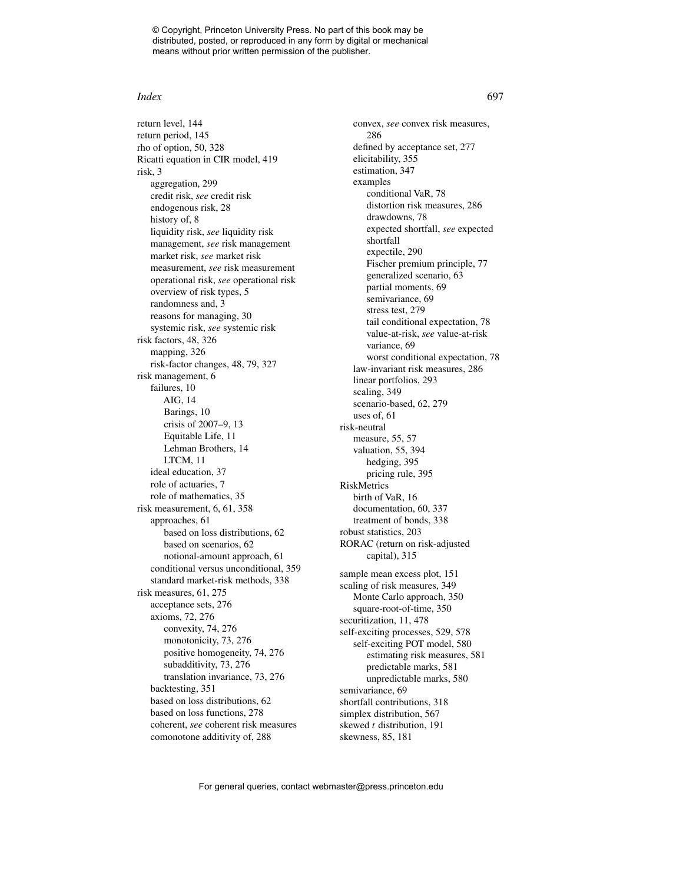#### *Index* 697

return level, 144 return period, 145 rho of option, 50, 328 Ricatti equation in CIR model, 419 risk, 3 aggregation, 299 credit risk, *see* credit risk endogenous risk, 28 history of, 8 liquidity risk, *see* liquidity risk management, *see* risk management market risk, *see* market risk measurement, *see* risk measurement operational risk, *see* operational risk overview of risk types, 5 randomness and, 3 reasons for managing, 30 systemic risk, *see* systemic risk risk factors, 48, 326 mapping, 326 risk-factor changes, 48, 79, 327 risk management, 6 failures, 10 AIG, 14 Barings, 10 crisis of 2007–9, 13 Equitable Life, 11 Lehman Brothers, 14 LTCM, 11 ideal education, 37 role of actuaries, 7 role of mathematics, 35 risk measurement, 6, 61, 358 approaches, 61 based on loss distributions, 62 based on scenarios, 62 notional-amount approach, 61 conditional versus unconditional, 359 standard market-risk methods, 338 risk measures, 61, 275 acceptance sets, 276 axioms, 72, 276 convexity, 74, 276 monotonicity, 73, 276 positive homogeneity, 74, 276 subadditivity, 73, 276 translation invariance, 73, 276 backtesting, 351 based on loss distributions, 62 based on loss functions, 278 coherent, *see* coherent risk measures comonotone additivity of, 288

convex, *see* convex risk measures, 286 defined by acceptance set, 277 elicitability, 355 estimation, 347 examples conditional VaR, 78 distortion risk measures, 286 drawdowns, 78 expected shortfall, *see* expected shortfall expectile, 290 Fischer premium principle, 77 generalized scenario, 63 partial moments, 69 semivariance, 69 stress test, 279 tail conditional expectation, 78 value-at-risk, *see* value-at-risk variance, 69 worst conditional expectation, 78 law-invariant risk measures, 286 linear portfolios, 293 scaling, 349 scenario-based, 62, 279 uses of, 61 risk-neutral measure, 55, 57 valuation, 55, 394 hedging, 395 pricing rule, 395 RiskMetrics birth of VaR, 16 documentation, 60, 337 treatment of bonds, 338 robust statistics, 203 RORAC (return on risk-adjusted capital), 315 sample mean excess plot, 151 scaling of risk measures, 349 Monte Carlo approach, 350 square-root-of-time, 350 securitization, 11, 478 self-exciting processes, 529, 578 self-exciting POT model, 580 estimating risk measures, 581 predictable marks, 581 unpredictable marks, 580 semivariance, 69 shortfall contributions, 318 simplex distribution, 567 skewed *t* distribution, 191 skewness, 85, 181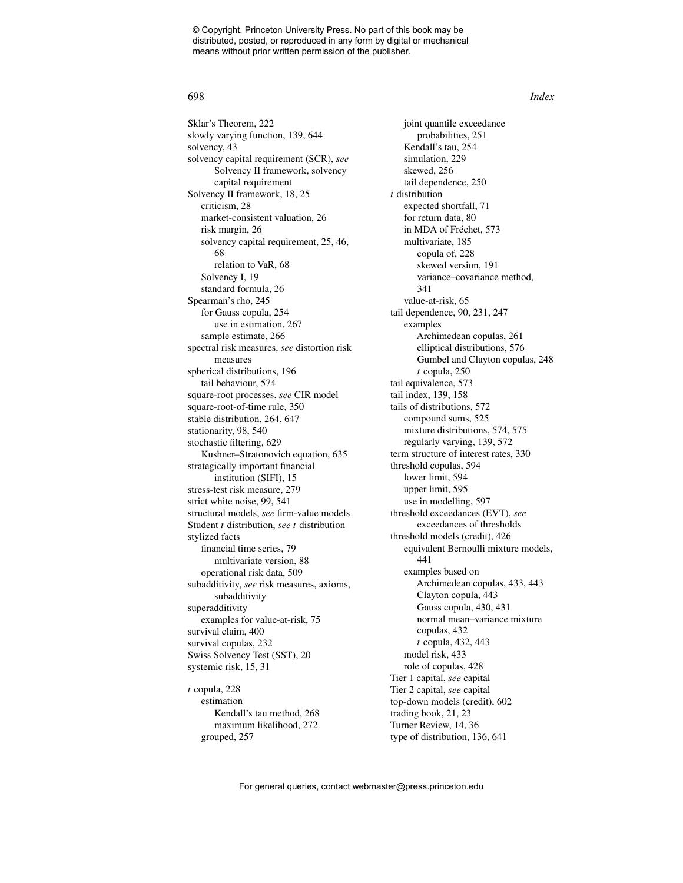Sklar's Theorem, 222 slowly varying function, 139, 644 solvency, 43 solvency capital requirement (SCR), *see* Solvency II framework, solvency capital requirement Solvency II framework, 18, 25 criticism, 28 market-consistent valuation, 26 risk margin, 26 solvency capital requirement, 25, 46, 68 relation to VaR, 68 Solvency I, 19 standard formula, 26 Spearman's rho, 245 for Gauss copula, 254 use in estimation, 267 sample estimate, 266 spectral risk measures, *see* distortion risk measures spherical distributions, 196 tail behaviour, 574 square-root processes, *see* CIR model square-root-of-time rule, 350 stable distribution, 264, 647 stationarity, 98, 540 stochastic filtering, 629 Kushner–Stratonovich equation, 635 strategically important financial institution (SIFI), 15 stress-test risk measure, 279 strict white noise, 99, 541 structural models, *see* firm-value models Student *t* distribution, *see t* distribution stylized facts financial time series, 79 multivariate version, 88 operational risk data, 509 subadditivity, *see* risk measures, axioms, subadditivity superadditivity examples for value-at-risk, 75 survival claim, 400 survival copulas, 232 Swiss Solvency Test (SST), 20 systemic risk, 15, 31 *t* copula, 228 estimation Kendall's tau method, 268 maximum likelihood, 272

grouped, 257

joint quantile exceedance probabilities, 251 Kendall's tau, 254 simulation, 229 skewed, 256 tail dependence, 250 *t* distribution expected shortfall, 71 for return data, 80 in MDA of Fréchet, 573 multivariate, 185 copula of, 228 skewed version, 191 variance–covariance method, 341 value-at-risk, 65 tail dependence, 90, 231, 247 examples Archimedean copulas, 261 elliptical distributions, 576 Gumbel and Clayton copulas, 248 *t* copula, 250 tail equivalence, 573 tail index, 139, 158 tails of distributions, 572 compound sums, 525 mixture distributions, 574, 575 regularly varying, 139, 572 term structure of interest rates, 330 threshold copulas, 594 lower limit, 594 upper limit, 595 use in modelling, 597 threshold exceedances (EVT), *see* exceedances of thresholds threshold models (credit), 426 equivalent Bernoulli mixture models, 441 examples based on Archimedean copulas, 433, 443 Clayton copula, 443 Gauss copula, 430, 431 normal mean–variance mixture copulas, 432 *t* copula, 432, 443 model risk, 433 role of copulas, 428 Tier 1 capital, *see* capital Tier 2 capital, *see* capital top-down models (credit), 602 trading book, 21, 23 Turner Review, 14, 36 type of distribution, 136, 641

#### 698 *Index*